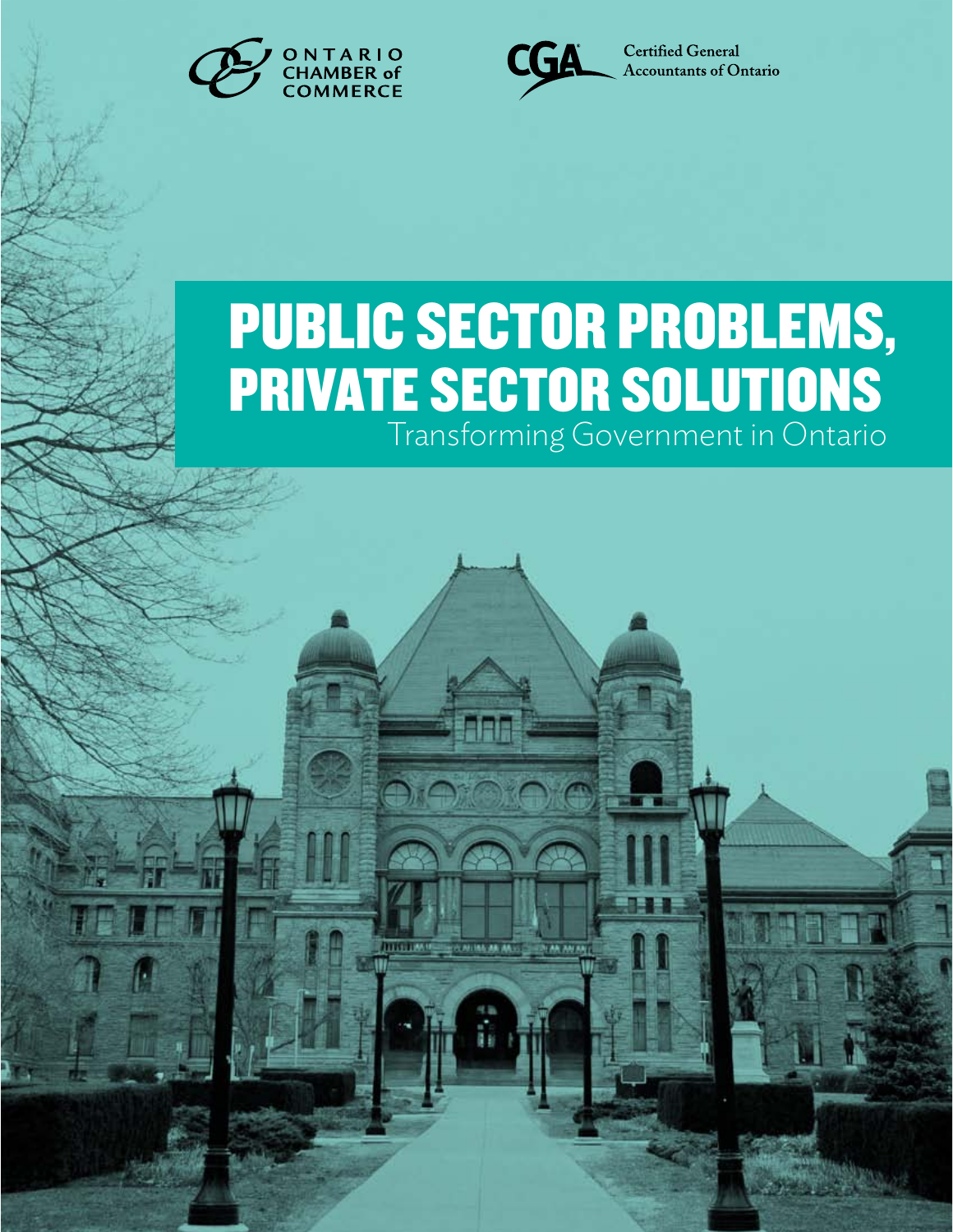



# Public Sector Problems, **PRIVATE SECTOR SOLUTION** Transforming Government in Ontario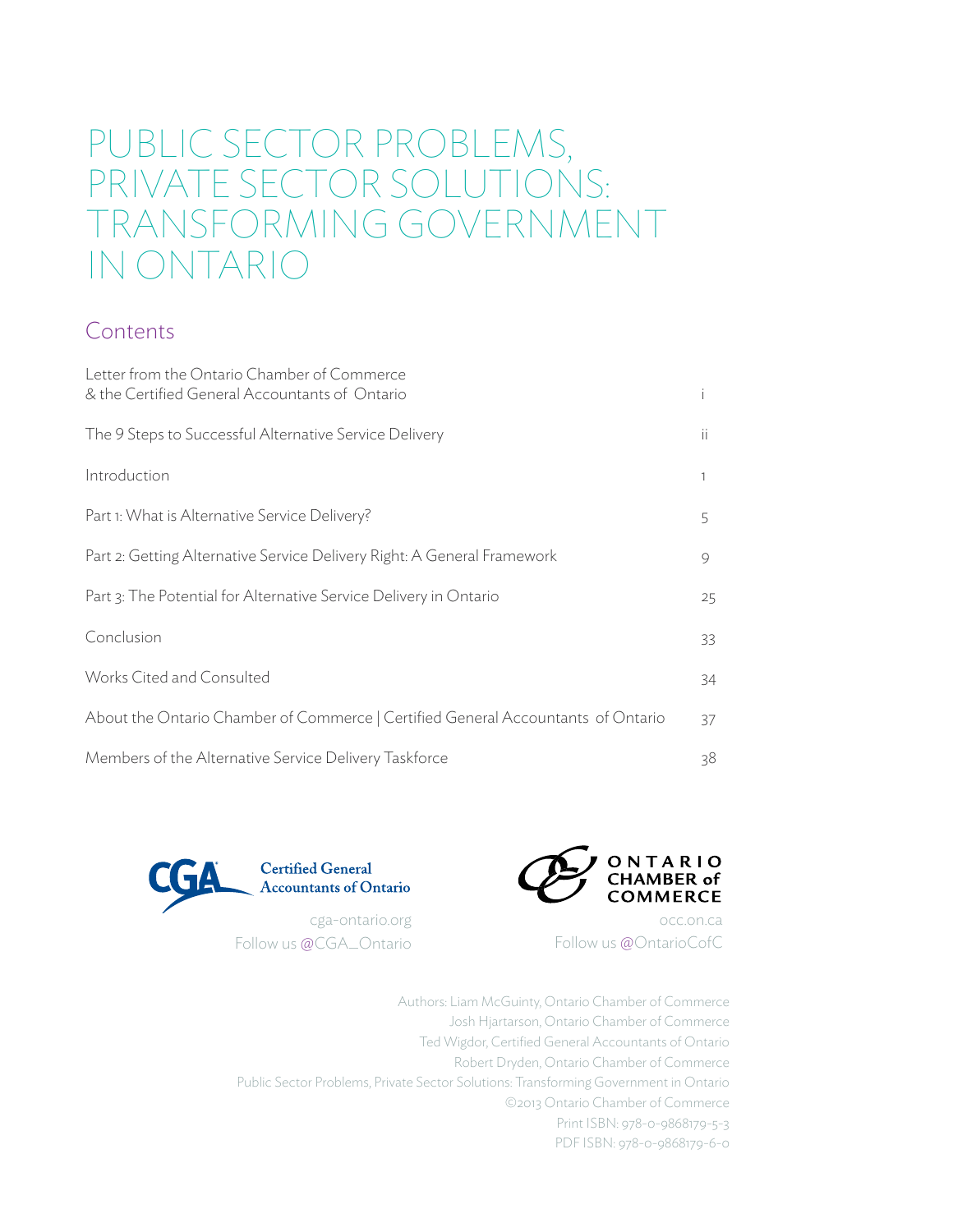## PUBLIC SECTOR PROBLEMS, PRIVATE SECTOR SOLUTIONS: Transforming government in ontario

### Contents

| Letter from the Ontario Chamber of Commerce<br>& the Certified General Accountants of Ontario |     |
|-----------------------------------------------------------------------------------------------|-----|
| The 9 Steps to Successful Alternative Service Delivery                                        | ii. |
| Introduction                                                                                  |     |
| Part 1: What is Alternative Service Delivery?                                                 | 5   |
| Part 2: Getting Alternative Service Delivery Right: A General Framework                       | 9   |
| Part 3: The Potential for Alternative Service Delivery in Ontario                             | 25  |
| Conclusion                                                                                    | 33  |
| Works Cited and Consulted                                                                     | 34  |
| About the Ontario Chamber of Commerce   Certified General Accountants of Ontario              | 37  |
| Members of the Alternative Service Delivery Taskforce                                         | 38  |



Follow us @CGA\_Ontario



occ.on.ca Follow us @OntarioCofC

Authors: Liam McGuinty, Ontario Chamber of Commerce Josh Hjartarson, Ontario Chamber of Commerce Ted Wigdor, Certified General Accountants of Ontario Robert Dryden, Ontario Chamber of Commerce Public Sector Problems, Private Sector Solutions: Transforming Government in Ontario ©2013 Ontario Chamber of Commerce Print ISBN: 978-0-9868179-5-3 PDF ISBN: 978-0-9868179-6-0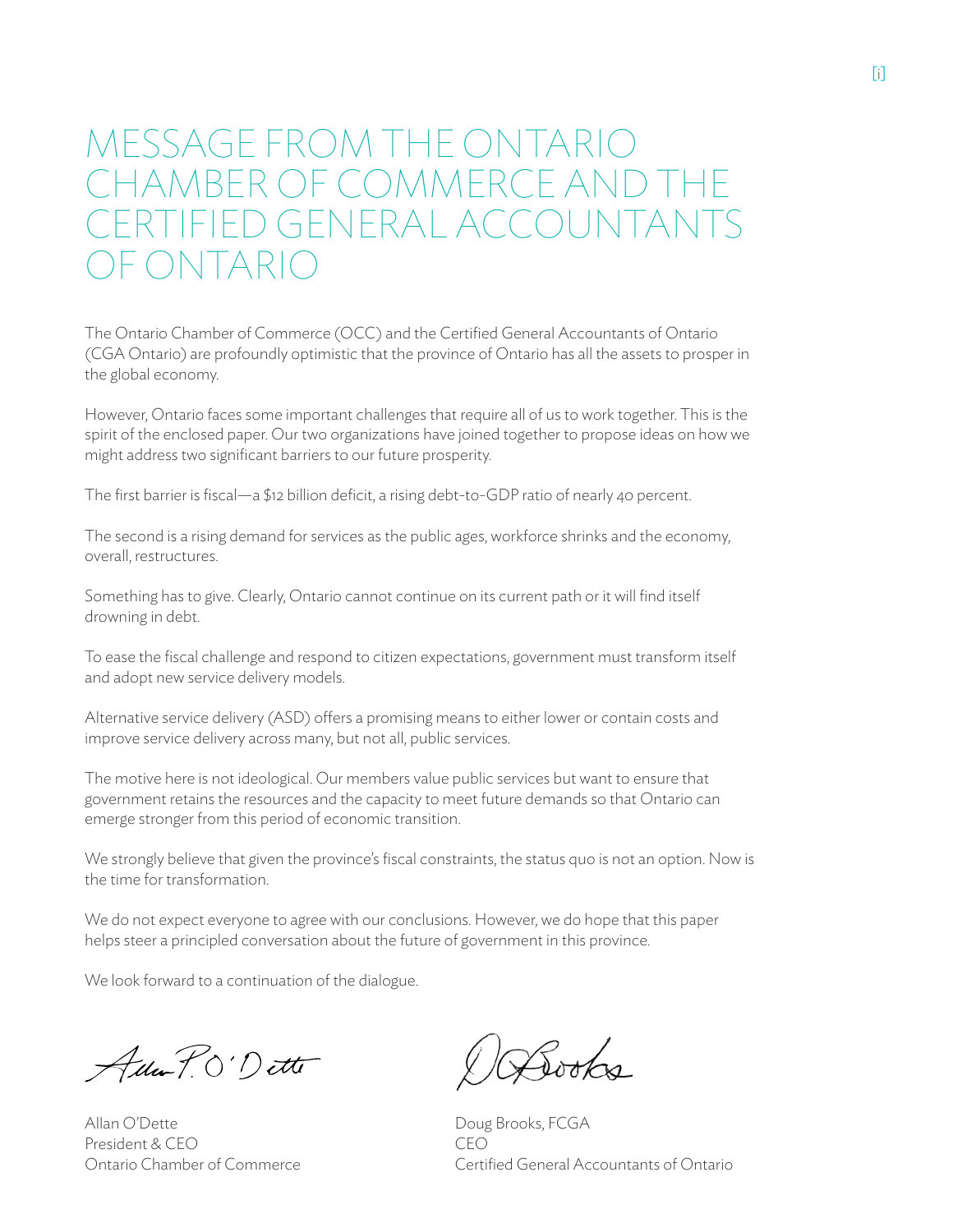## MESSAGE FROM THE ONTARIO CHAMBER OF COMMERCE and THE ERTIFIED GENERAL ACCOUNTANTS of ONTARIO

The Ontario Chamber of Commerce (OCC) and the Certified General Accountants of Ontario (CGA Ontario) are profoundly optimistic that the province of Ontario has all the assets to prosper in the global economy.

However, Ontario faces some important challenges that require all of us to work together. This is the spirit of the enclosed paper. Our two organizations have joined together to propose ideas on how we might address two significant barriers to our future prosperity.

The first barrier is fiscal—a \$12 billion deficit, a rising debt-to-GDP ratio of nearly 40 percent.

The second is a rising demand for services as the public ages, workforce shrinks and the economy, overall, restructures.

Something has to give. Clearly, Ontario cannot continue on its current path or it will find itself drowning in debt.

To ease the fiscal challenge and respond to citizen expectations, government must transform itself and adopt new service delivery models.

Alternative service delivery (ASD) offers a promising means to either lower or contain costs and improve service delivery across many, but not all, public services.

The motive here is not ideological. Our members value public services but want to ensure that government retains the resources and the capacity to meet future demands so that Ontario can emerge stronger from this period of economic transition.

We strongly believe that given the province's fiscal constraints, the status quo is not an option. Now is the time for transformation.

We do not expect everyone to agree with our conclusions. However, we do hope that this paper helps steer a principled conversation about the future of government in this province.

We look forward to a continuation of the dialogue.

Ada P. O'Dette

Allan O'Dette President & CEO Ontario Chamber of Commerce

Gooks

Doug Brooks, FCGA CEO Certified General Accountants of Ontario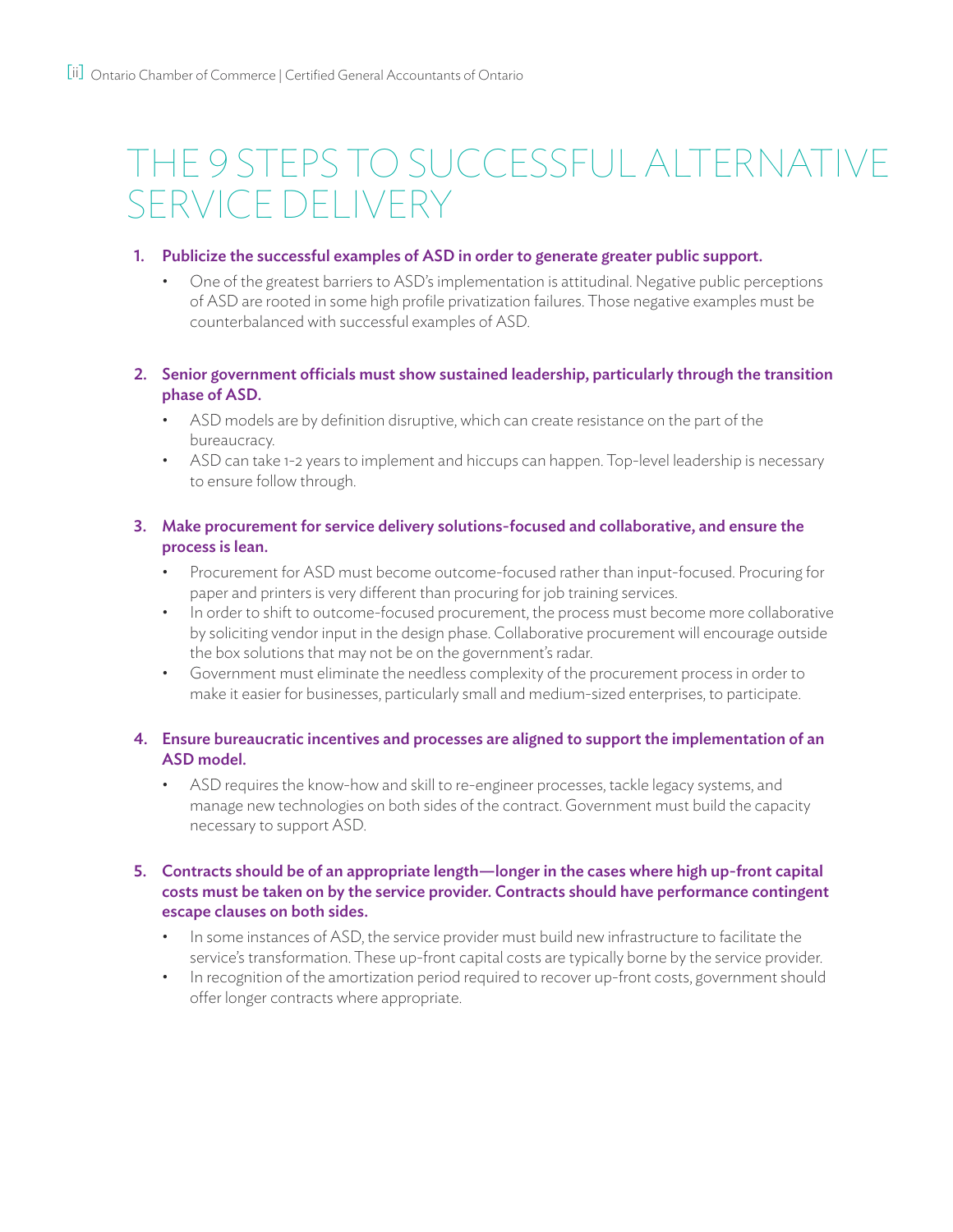# The 9 Steps to Successful Alternative Service Delivery

#### 1. Publicize the successful examples of ASD in order to generate greater public support..

One of the greatest barriers to ASD's implementation is attitudinal. Negative public perceptions of ASD are rooted in some high profile privatization failures. Those negative examples must be counterbalanced with successful examples of ASD.

#### 2. Senior government officials must show sustained leadership, particularly through the transition phase of ASD.

- ASD models are by definition disruptive, which can create resistance on the part of the bureaucracy.
- ASD can take 1-2 years to implement and hiccups can happen. Top-level leadership is necessary to ensure follow through.

#### 3. Make procurement for service delivery solutions-focused and collaborative, and ensure the process is lean.

- Procurement for ASD must become outcome-focused rather than input-focused. Procuring for paper and printers is very different than procuring for job training services.
- In order to shift to outcome-focused procurement, the process must become more collaborative by soliciting vendor input in the design phase. Collaborative procurement will encourage outside the box solutions that may not be on the government's radar.
- Government must eliminate the needless complexity of the procurement process in order to make it easier for businesses, particularly small and medium-sized enterprises, to participate.

### 4. Ensure bureaucratic incentives and processes are aligned to support the implementation of an ASD model.

ASD requires the know-how and skill to re-engineer processes, tackle legacy systems, and manage new technologies on both sides of the contract. Government must build the capacity necessary to support ASD.

### 5. Contracts should be of an appropriate length—longer in the cases where high up-front capital costs must be taken on by the service provider. Contracts should have performance contingent escape clauses on both sides.

- In some instances of ASD, the service provider must build new infrastructure to facilitate the service's transformation. These up-front capital costs are typically borne by the service provider.
- In recognition of the amortization period required to recover up-front costs, government should offer longer contracts where appropriate.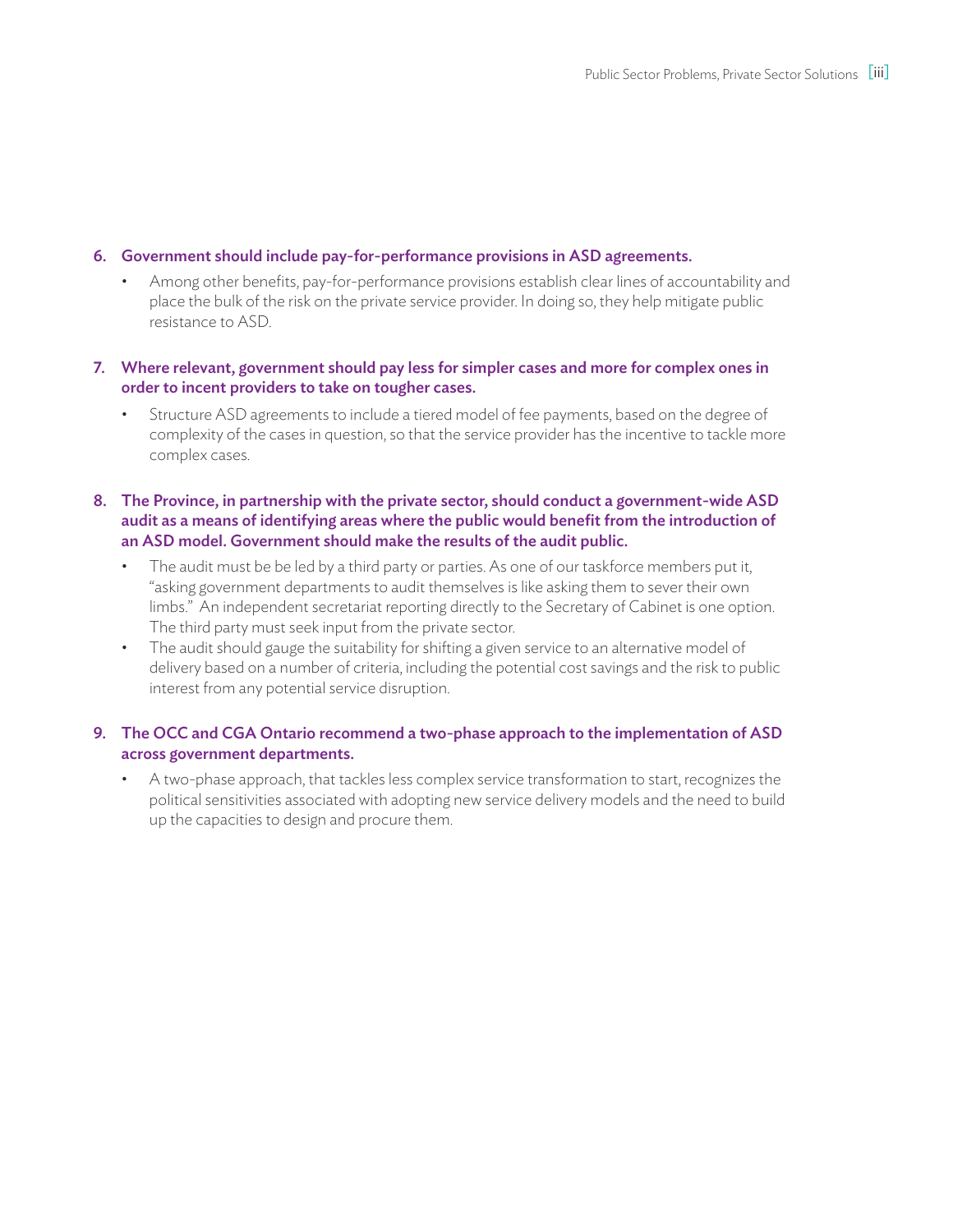#### 6. Government should include pay-for-performance provisions in ASD agreements.

Among other benefits, pay-for-performance provisions establish clear lines of accountability and place the bulk of the risk on the private service provider. In doing so, they help mitigate public resistance to ASD.

#### 7. Where relevant, government should pay less for simpler cases and more for complex ones in order to incent providers to take on tougher cases.

Structure ASD agreements to include a tiered model of fee payments, based on the degree of complexity of the cases in question, so that the service provider has the incentive to tackle more complex cases.

#### 8. The Province, in partnership with the private sector, should conduct a government-wide ASD audit as a means of identifying areas where the public would benefit from the introduction of an ASD model. Government should make the results of the audit public.

- The audit must be be led by a third party or parties. As one of our taskforce members put it, "asking government departments to audit themselves is like asking them to sever their own limbs." An independent secretariat reporting directly to the Secretary of Cabinet is one option. The third party must seek input from the private sector.
- The audit should gauge the suitability for shifting a given service to an alternative model of delivery based on a number of criteria, including the potential cost savings and the risk to public interest from any potential service disruption.

#### 9. The OCC and CGA Ontario recommend a two-phase approach to the implementation of ASD across government departments.

A two-phase approach, that tackles less complex service transformation to start, recognizes the political sensitivities associated with adopting new service delivery models and the need to build up the capacities to design and procure them.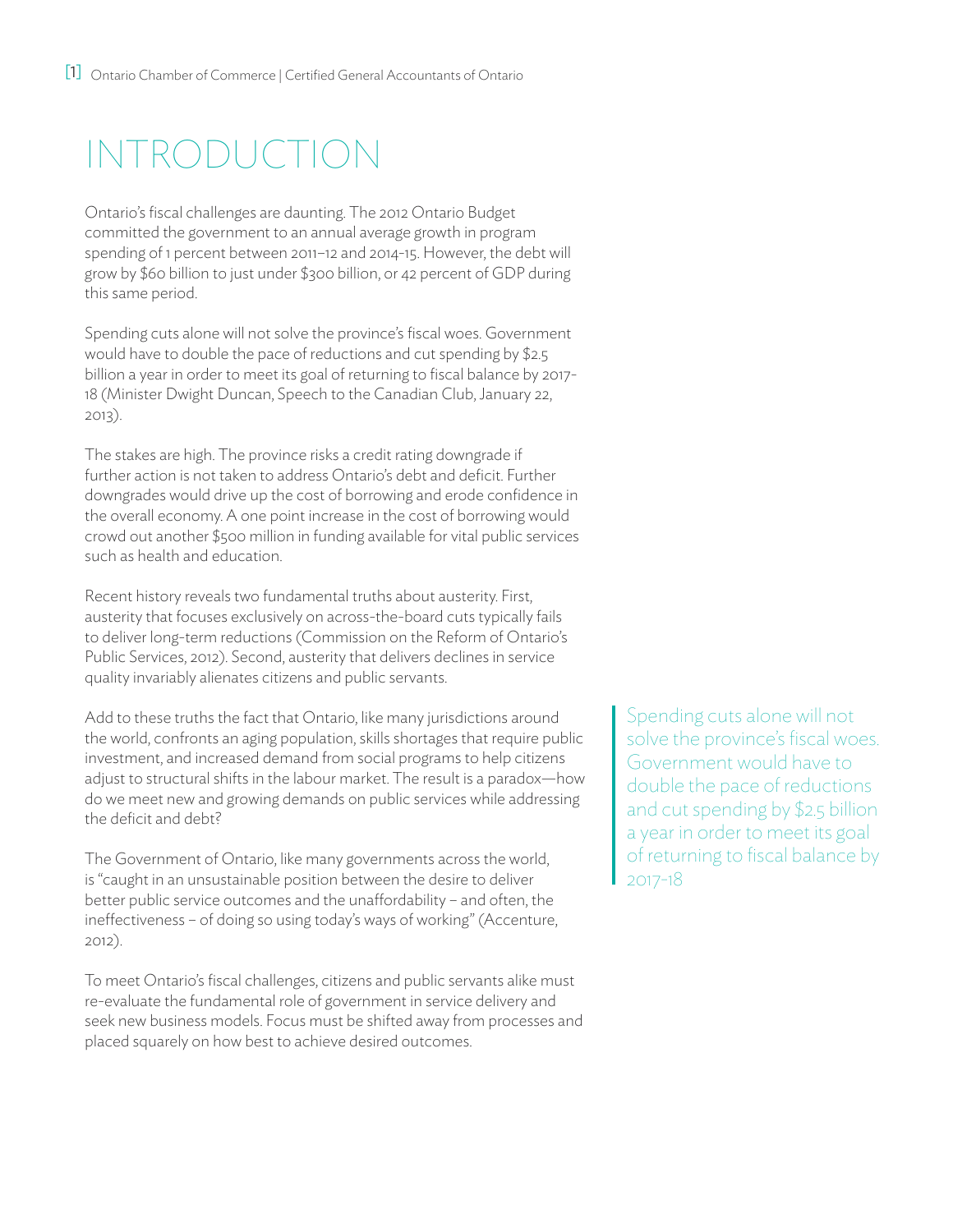# Introduction

Ontario's fiscal challenges are daunting. The 2012 Ontario Budget committed the government to an annual average growth in program spending of 1 percent between 2011–12 and 2014-15. However, the debt will grow by \$60 billion to just under \$300 billion, or 42 percent of GDP during this same period.

Spending cuts alone will not solve the province's fiscal woes. Government would have to double the pace of reductions and cut spending by \$2.5 billion a year in order to meet its goal of returning to fiscal balance by 2017- 18 (Minister Dwight Duncan, Speech to the Canadian Club, January 22, 2013).

The stakes are high. The province risks a credit rating downgrade if further action is not taken to address Ontario's debt and deficit. Further downgrades would drive up the cost of borrowing and erode confidence in the overall economy. A one point increase in the cost of borrowing would crowd out another \$500 million in funding available for vital public services such as health and education.

Recent history reveals two fundamental truths about austerity. First, austerity that focuses exclusively on across-the-board cuts typically fails to deliver long-term reductions (Commission on the Reform of Ontario's Public Services, 2012). Second, austerity that delivers declines in service quality invariably alienates citizens and public servants.

Add to these truths the fact that Ontario, like many jurisdictions around the world, confronts an aging population, skills shortages that require public investment, and increased demand from social programs to help citizens adjust to structural shifts in the labour market. The result is a paradox—how do we meet new and growing demands on public services while addressing the deficit and debt?

The Government of Ontario, like many governments across the world, is "caught in an unsustainable position between the desire to deliver better public service outcomes and the unaffordability – and often, the ineffectiveness – of doing so using today's ways of working" (Accenture, 2012).

To meet Ontario's fiscal challenges, citizens and public servants alike must re-evaluate the fundamental role of government in service delivery and seek new business models. Focus must be shifted away from processes and placed squarely on how best to achieve desired outcomes.

Spending cuts alone will not solve the province's fiscal woes. Government would have to double the pace of reductions and cut spending by \$2.5 billion a year in order to meet its goal of returning to fiscal balance by 2017-18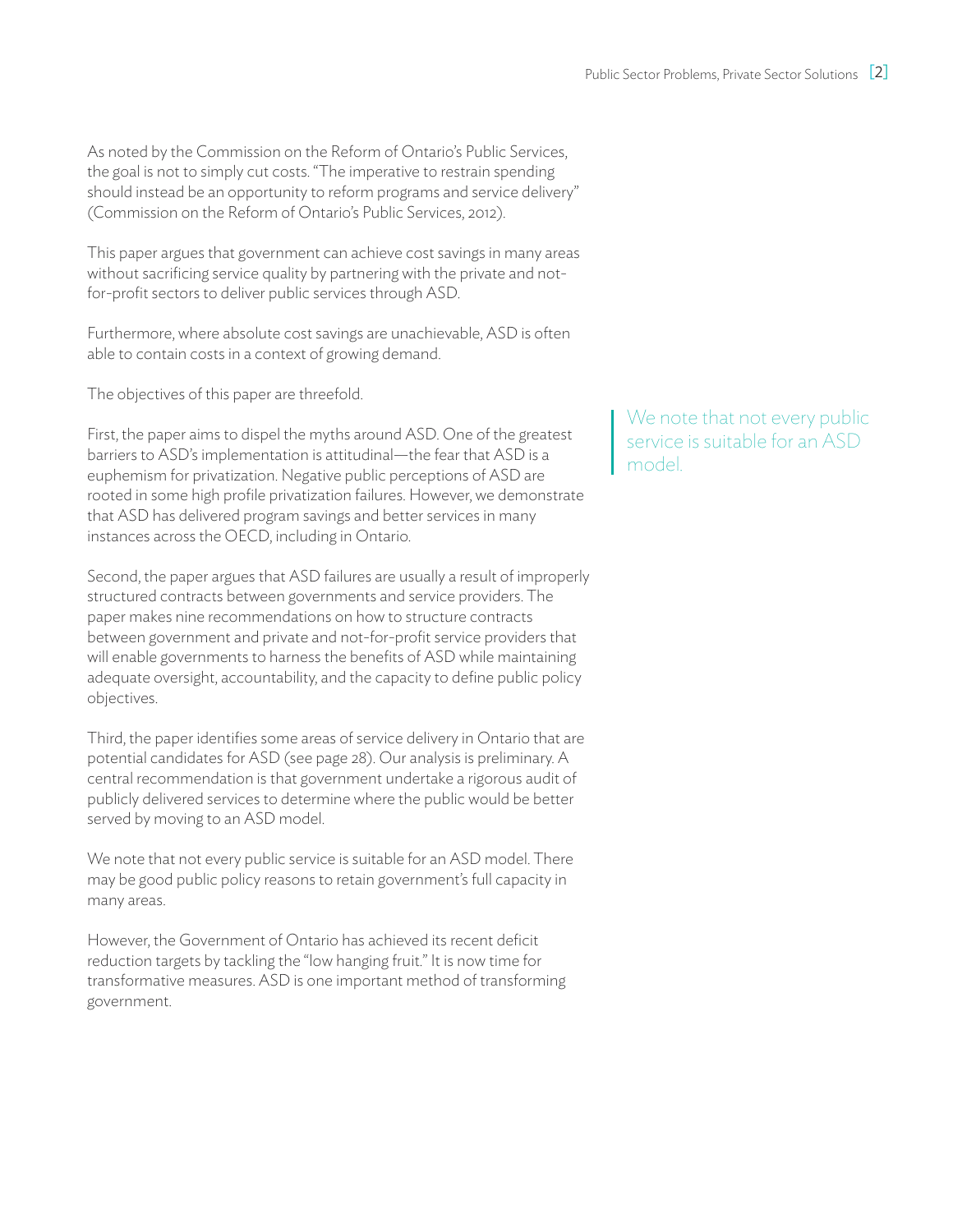As noted by the Commission on the Reform of Ontario's Public Services, the goal is not to simply cut costs. "The imperative to restrain spending should instead be an opportunity to reform programs and service delivery" (Commission on the Reform of Ontario's Public Services, 2012).

This paper argues that government can achieve cost savings in many areas without sacrificing service quality by partnering with the private and notfor-profit sectors to deliver public services through ASD.

Furthermore, where absolute cost savings are unachievable, ASD is often able to contain costs in a context of growing demand.

The objectives of this paper are threefold.

First, the paper aims to dispel the myths around ASD. One of the greatest barriers to ASD's implementation is attitudinal—the fear that ASD is a euphemism for privatization. Negative public perceptions of ASD are rooted in some high profile privatization failures. However, we demonstrate that ASD has delivered program savings and better services in many instances across the OECD, including in Ontario.

Second, the paper argues that ASD failures are usually a result of improperly structured contracts between governments and service providers. The paper makes nine recommendations on how to structure contracts between government and private and not-for-profit service providers that will enable governments to harness the benefits of ASD while maintaining adequate oversight, accountability, and the capacity to define public policy objectives.

Third, the paper identifies some areas of service delivery in Ontario that are potential candidates for ASD (see page 28). Our analysis is preliminary. A central recommendation is that government undertake a rigorous audit of publicly delivered services to determine where the public would be better served by moving to an ASD model.

We note that not every public service is suitable for an ASD model. There may be good public policy reasons to retain government's full capacity in many areas.

However, the Government of Ontario has achieved its recent deficit reduction targets by tackling the "low hanging fruit." It is now time for transformative measures. ASD is one important method of transforming government.

We note that not every public service is suitable for an ASD model.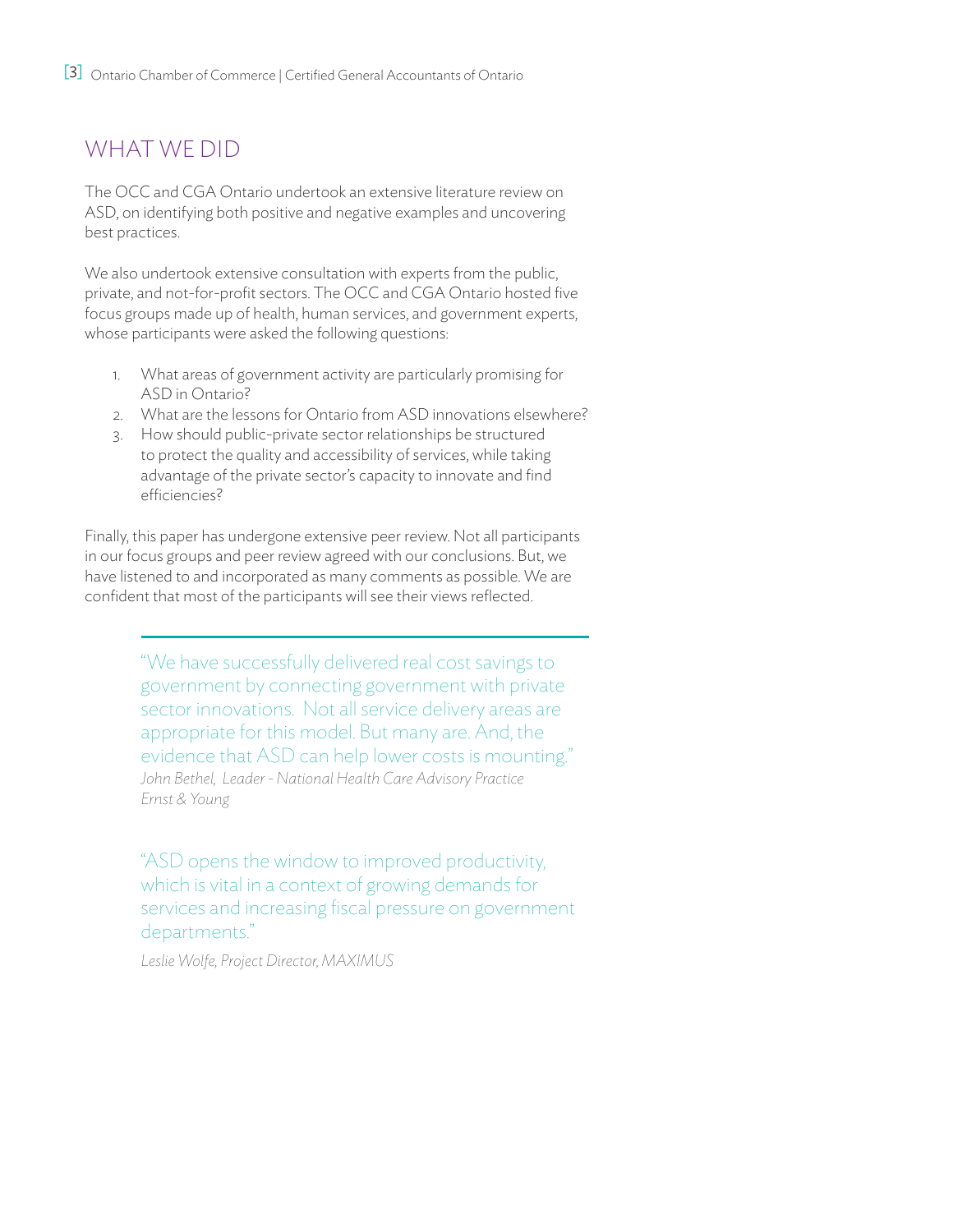## WHAT WE DID

The OCC and CGA Ontario undertook an extensive literature review on ASD, on identifying both positive and negative examples and uncovering best practices.

We also undertook extensive consultation with experts from the public, private, and not-for-profit sectors. The OCC and CGA Ontario hosted five focus groups made up of health, human services, and government experts, whose participants were asked the following questions:

- 1. What areas of government activity are particularly promising for ASD in Ontario?
- 2. What are the lessons for Ontario from ASD innovations elsewhere?
- 3. How should public-private sector relationships be structured to protect the quality and accessibility of services, while taking advantage of the private sector's capacity to innovate and find efficiencies?

Finally, this paper has undergone extensive peer review. Not all participants in our focus groups and peer review agreed with our conclusions. But, we have listened to and incorporated as many comments as possible. We are confident that most of the participants will see their views reflected.

> "We have successfully delivered real cost savings to government by connecting government with private sector innovations. Not all service delivery areas are appropriate for this model. But many are. And, the evidence that ASD can help lower costs is mounting." *John Bethel, Leader - National Health Care Advisory Practice Ernst & Young*

> "ASD opens the window to improved productivity, which is vital in a context of growing demands for services and increasing fiscal pressure on government departments."

*Leslie Wolfe, Project Director, MAXIMUS*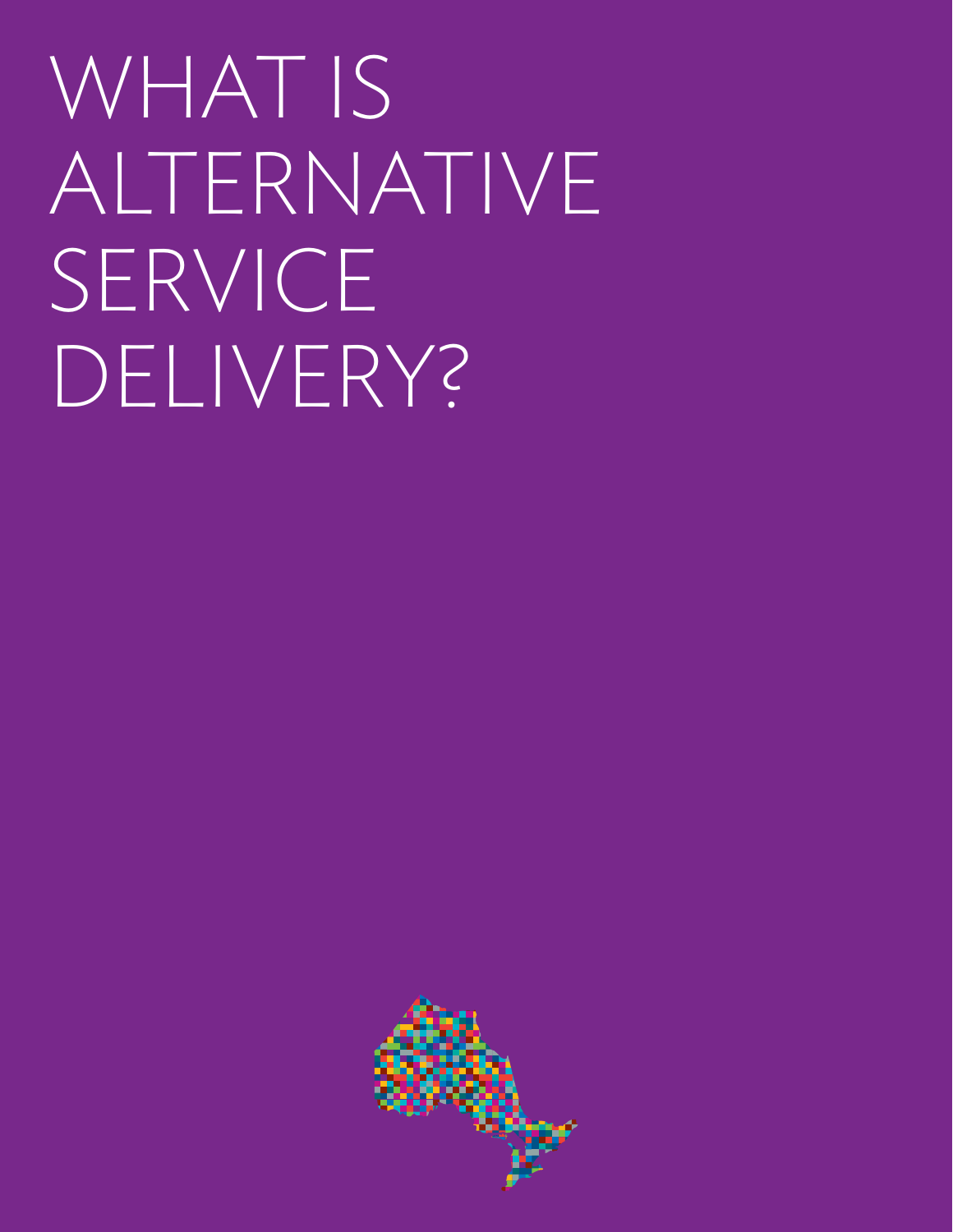WHAT IS ALTERNATIVE SERVICE DELIVERY?

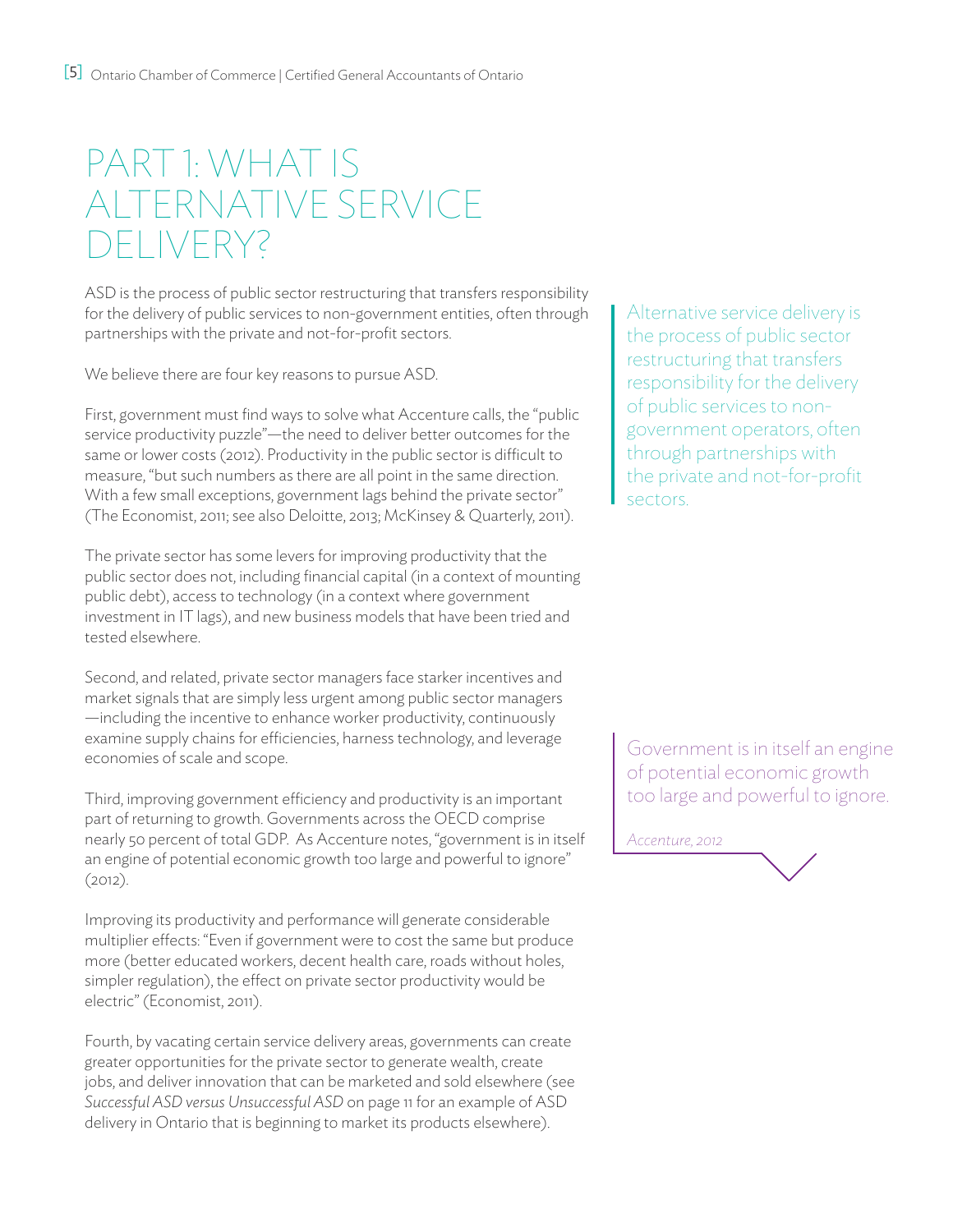# PART 1: WHAT IS Alternative Service DEI IVERY?

ASD is the process of public sector restructuring that transfers responsibility for the delivery of public services to non-government entities, often through partnerships with the private and not-for-profit sectors.

We believe there are four key reasons to pursue ASD.

First, government must find ways to solve what Accenture calls, the "public service productivity puzzle"—the need to deliver better outcomes for the same or lower costs (2012). Productivity in the public sector is difficult to measure, "but such numbers as there are all point in the same direction. With a few small exceptions, government lags behind the private sector" (The Economist, 2011; see also Deloitte, 2013; McKinsey & Quarterly, 2011).

The private sector has some levers for improving productivity that the public sector does not, including financial capital (in a context of mounting public debt), access to technology (in a context where government investment in IT lags), and new business models that have been tried and tested elsewhere.

Second, and related, private sector managers face starker incentives and market signals that are simply less urgent among public sector managers —including the incentive to enhance worker productivity, continuously examine supply chains for efficiencies, harness technology, and leverage economies of scale and scope.

Third, improving government efficiency and productivity is an important part of returning to growth. Governments across the OECD comprise nearly 50 percent of total GDP. As Accenture notes, "government is in itself an engine of potential economic growth too large and powerful to ignore" (2012).

Improving its productivity and performance will generate considerable multiplier effects: "Even if government were to cost the same but produce more (better educated workers, decent health care, roads without holes, simpler regulation), the effect on private sector productivity would be electric" (Economist, 2011).

Fourth, by vacating certain service delivery areas, governments can create greater opportunities for the private sector to generate wealth, create jobs, and deliver innovation that can be marketed and sold elsewhere (see *Successful ASD versus Unsuccessful ASD* on page 11 for an example of ASD delivery in Ontario that is beginning to market its products elsewhere).

Alternative service delivery is the process of public sector restructuring that transfers responsibility for the delivery of public services to nongovernment operators, often through partnerships with the private and not-for-profit sectors.

Government is in itself an engine of potential economic growth too large and powerful to ignore.

*Accenture, 2012*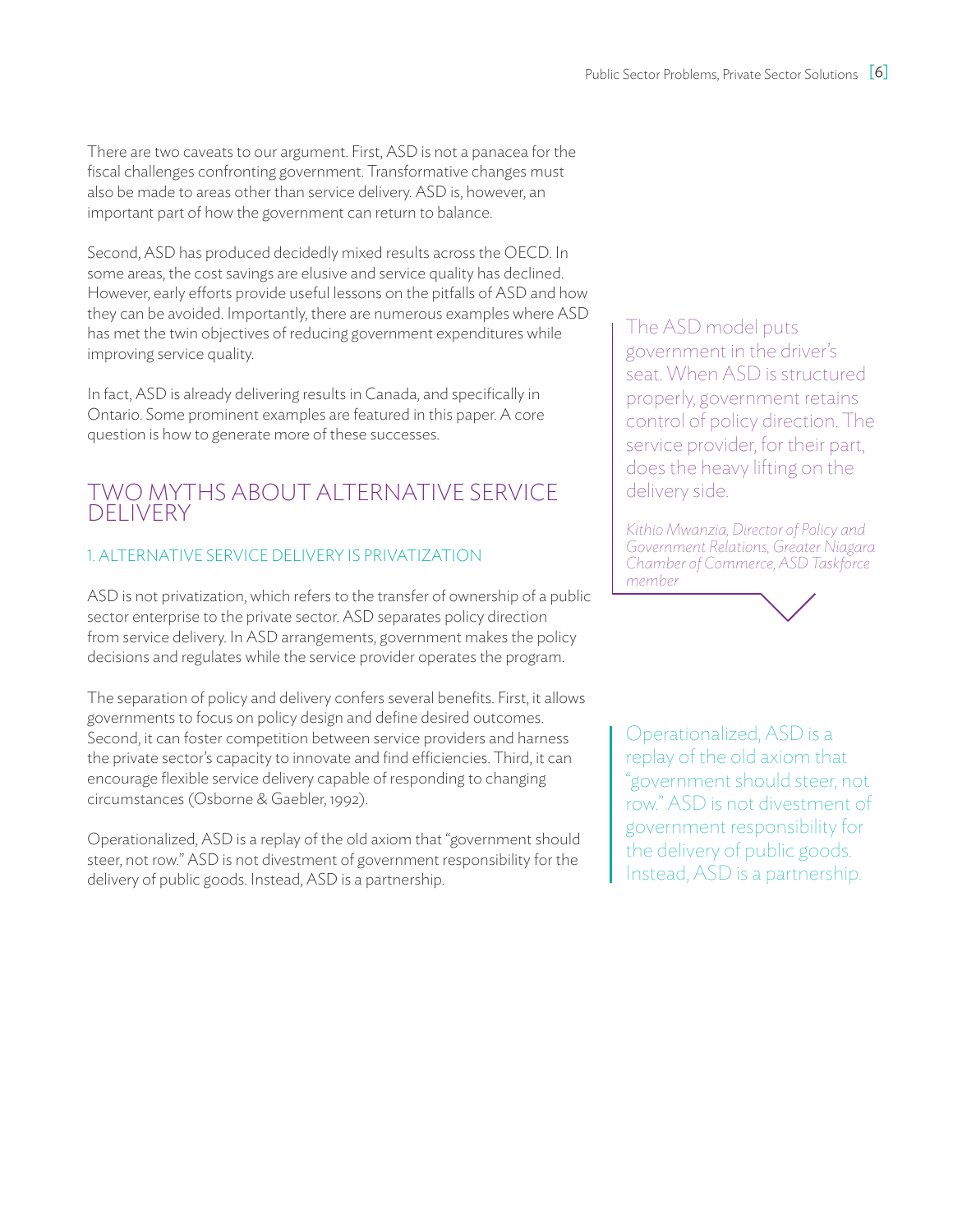There are two caveats to our argument. First, ASD is not a panacea for the fiscal challenges confronting government. Transformative changes must also be made to areas other than service delivery. ASD is, however, an important part of how the government can return to balance.

Second, ASD has produced decidedly mixed results across the OECD. In some areas, the cost savings are elusive and service quality has declined. However, early efforts provide useful lessons on the pitfalls of ASD and how they can be avoided. Importantly, there are numerous examples where ASD has met the twin objectives of reducing government expenditures while improving service quality.

In fact, ASD is already delivering results in Canada, and specifically in Ontario. Some prominent examples are featured in this paper. A core question is how to generate more of these successes.

### TWO MYTHS ABOUT ALTERNATIVE SERVICE DELIVERY

### 1. Alternative Service Delivery is privatization

ASD is not privatization, which refers to the transfer of ownership of a public sector enterprise to the private sector. ASD separates policy direction from service delivery. In ASD arrangements, government makes the policy decisions and regulates while the service provider operates the program.

The separation of policy and delivery confers several benefits. First, it allows governments to focus on policy design and define desired outcomes. Second, it can foster competition between service providers and harness the private sector's capacity to innovate and find efficiencies. Third, it can encourage flexible service delivery capable of responding to changing circumstances (Osborne & Gaebler, 1992).

Operationalized, ASD is a replay of the old axiom that "government should steer, not row." ASD is not divestment of government responsibility for the delivery of public goods. Instead, ASD is a partnership.

The ASD model puts government in the driver's seat. When ASD is structured properly, government retains control of policy direction. The service provider, for their part, does the heavy lifting on the delivery side.

*Kithio Mwanzia, Director of Policy and Government Relations, Greater Niagara Chamber of Commerce, ASD Taskforce member*

Operationalized, ASD is a replay of the old axiom that "government should steer, not row." ASD is not divestment of government responsibility for the delivery of public goods. Instead, ASD is a partnership.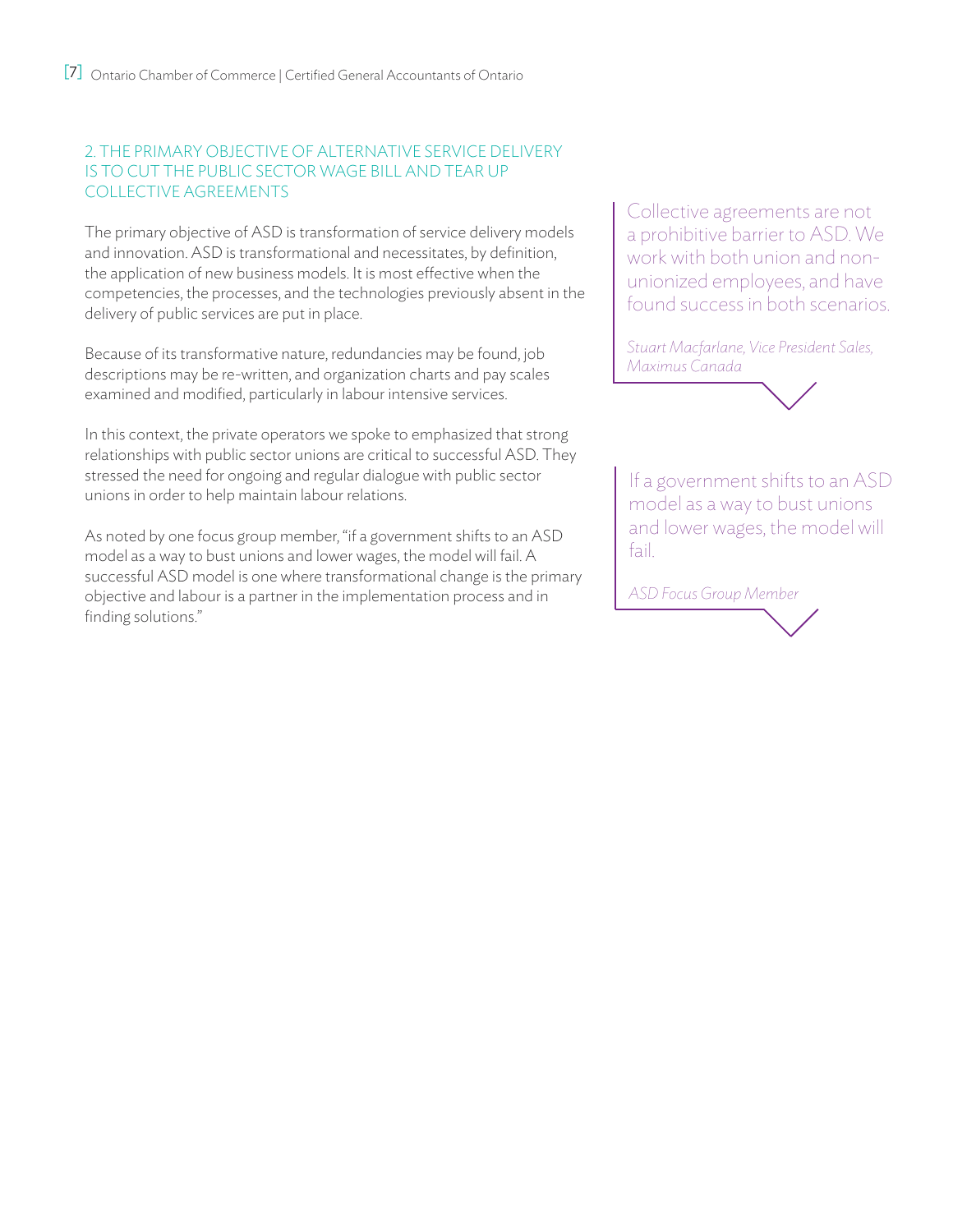### 2. The primary objective of Alternative service Delivery is to cut the public sector wage bill and tear up collective agreements

The primary objective of ASD is transformation of service delivery models and innovation. ASD is transformational and necessitates, by definition, the application of new business models. It is most effective when the competencies, the processes, and the technologies previously absent in the delivery of public services are put in place.

Because of its transformative nature, redundancies may be found, job descriptions may be re-written, and organization charts and pay scales examined and modified, particularly in labour intensive services.

In this context, the private operators we spoke to emphasized that strong relationships with public sector unions are critical to successful ASD. They stressed the need for ongoing and regular dialogue with public sector unions in order to help maintain labour relations.

As noted by one focus group member, "if a government shifts to an ASD model as a way to bust unions and lower wages, the model will fail. A successful ASD model is one where transformational change is the primary objective and labour is a partner in the implementation process and in finding solutions."

Collective agreements are not a prohibitive barrier to ASD. We work with both union and nonunionized employees, and have found success in both scenarios.

*Stuart Macfarlane, Vice President Sales, Maximus Canada*



If a government shifts to an ASD model as a way to bust unions and lower wages, the model will fail.

*ASD Focus Group Member*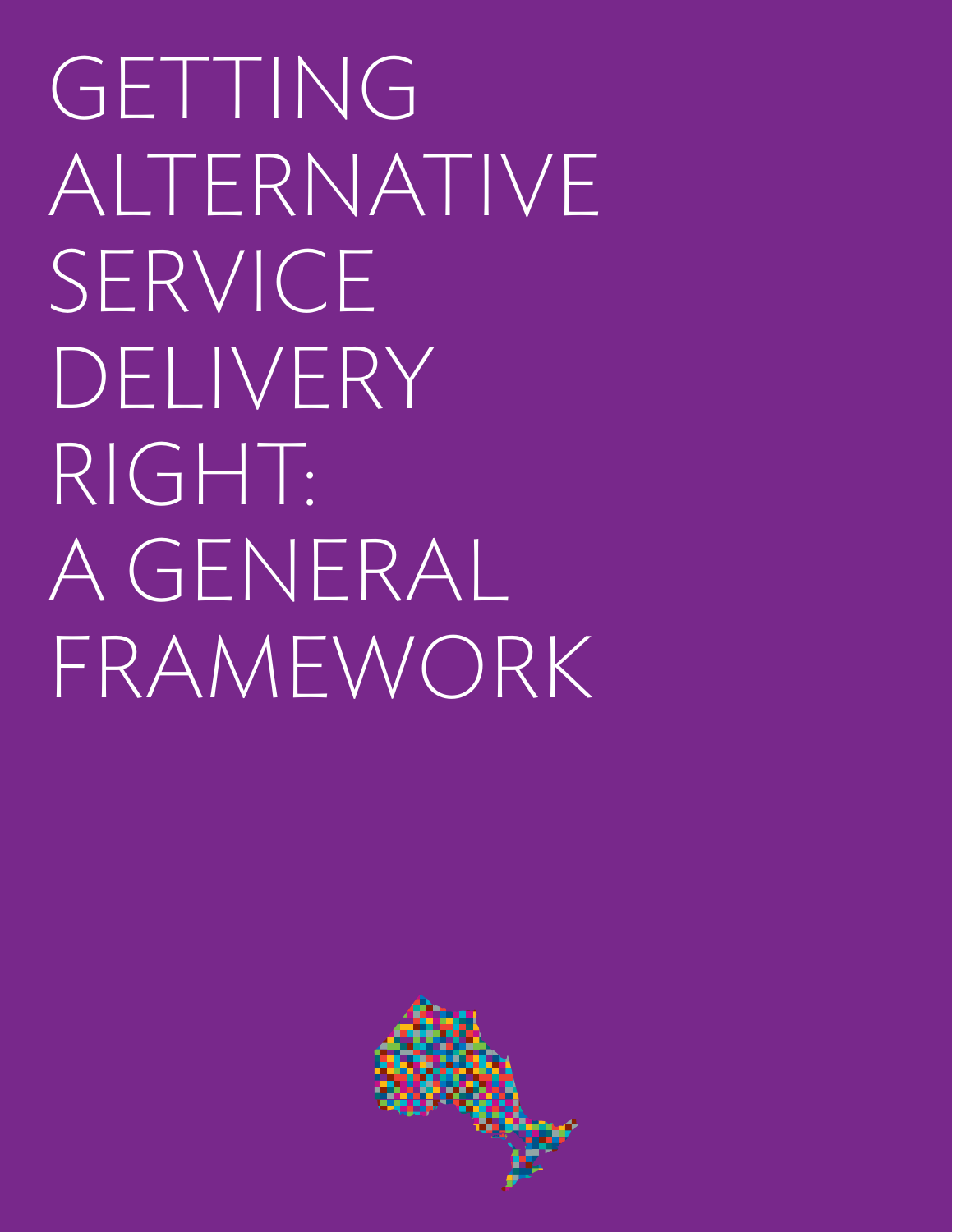GETTING ALTERNATIVE SERVICE DELIVERY RIGHT: A GENERAL FRAMEWORK

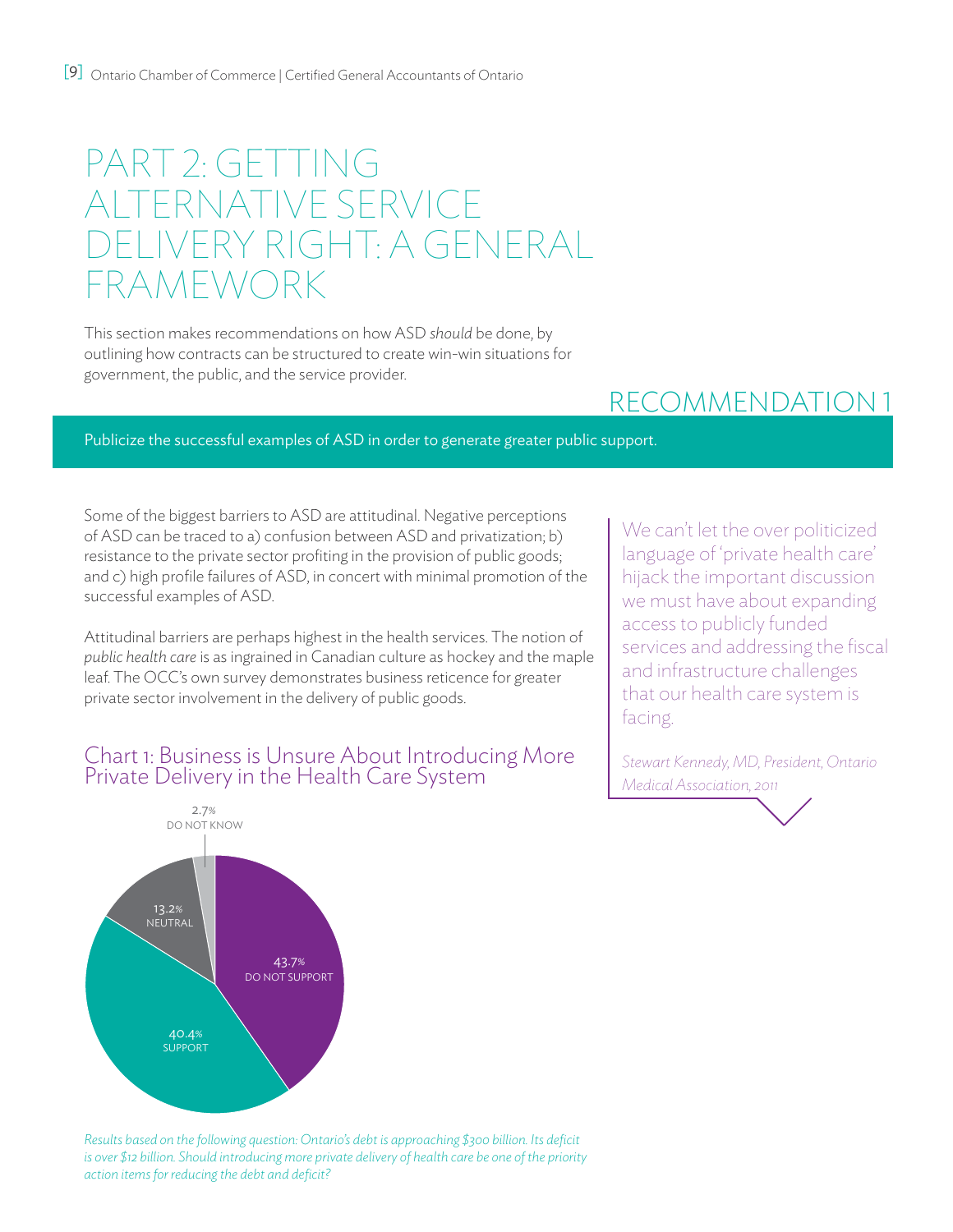# PART 2: GETTING ALTERNATIVE SERVICE DELIVERY RIGHT: A GENERAL FRAMEWORK

This section makes recommendations on how ASD *should* be done, by outlining how contracts can be structured to create win-win situations for government, the public, and the service provider.

## recommendation 1

Publicize the successful examples of ASD in order to generate greater public support.

Some of the biggest barriers to ASD are attitudinal. Negative perceptions of ASD can be traced to a) confusion between ASD and privatization; b) resistance to the private sector profiting in the provision of public goods; and c) high profile failures of ASD, in concert with minimal promotion of the successful examples of ASD.

Attitudinal barriers are perhaps highest in the health services. The notion of *public health care* is as ingrained in Canadian culture as hockey and the maple leaf. The OCC's own survey demonstrates business reticence for greater private sector involvement in the delivery of public goods.

### Chart 1: Business is Unsure About Introducing More Private Delivery in the Health Care System



*Stewart Kennedy, MD, President, Ontario Medical Association, 2011*



*Results based on the following question: Ontario's debt is approaching \$300 billion. Its deficit is over \$12 billion. Should introducing more private delivery of health care be one of the priority action items for reducing the debt and deficit?*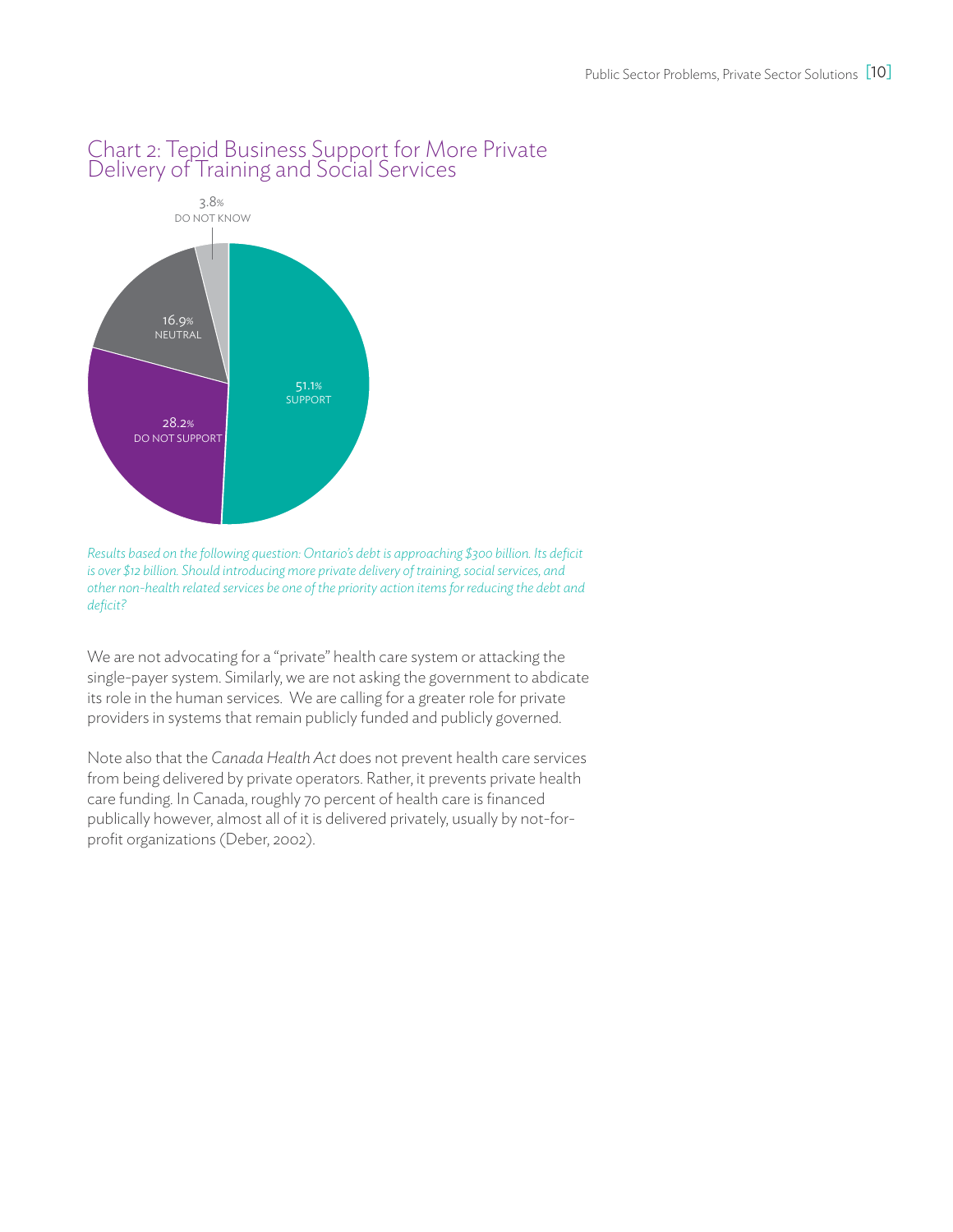

### Chart 2: Tepid Business Support for More Private Delivery of Training and Social Services

*Results based on the following question: Ontario's debt is approaching \$300 billion. Its deficit is over \$12 billion. Should introducing more private delivery of training, social services, and other non-health related services be one of the priority action items for reducing the debt and deficit?* 

We are not advocating for a "private" health care system or attacking the single-payer system. Similarly, we are not asking the government to abdicate its role in the human services. We are calling for a greater role for private providers in systems that remain publicly funded and publicly governed.

Note also that the *Canada Health Act* does not prevent health care services from being delivered by private operators. Rather, it prevents private health care funding. In Canada, roughly 70 percent of health care is financed publically however, almost all of it is delivered privately, usually by not-forprofit organizations (Deber, 2002).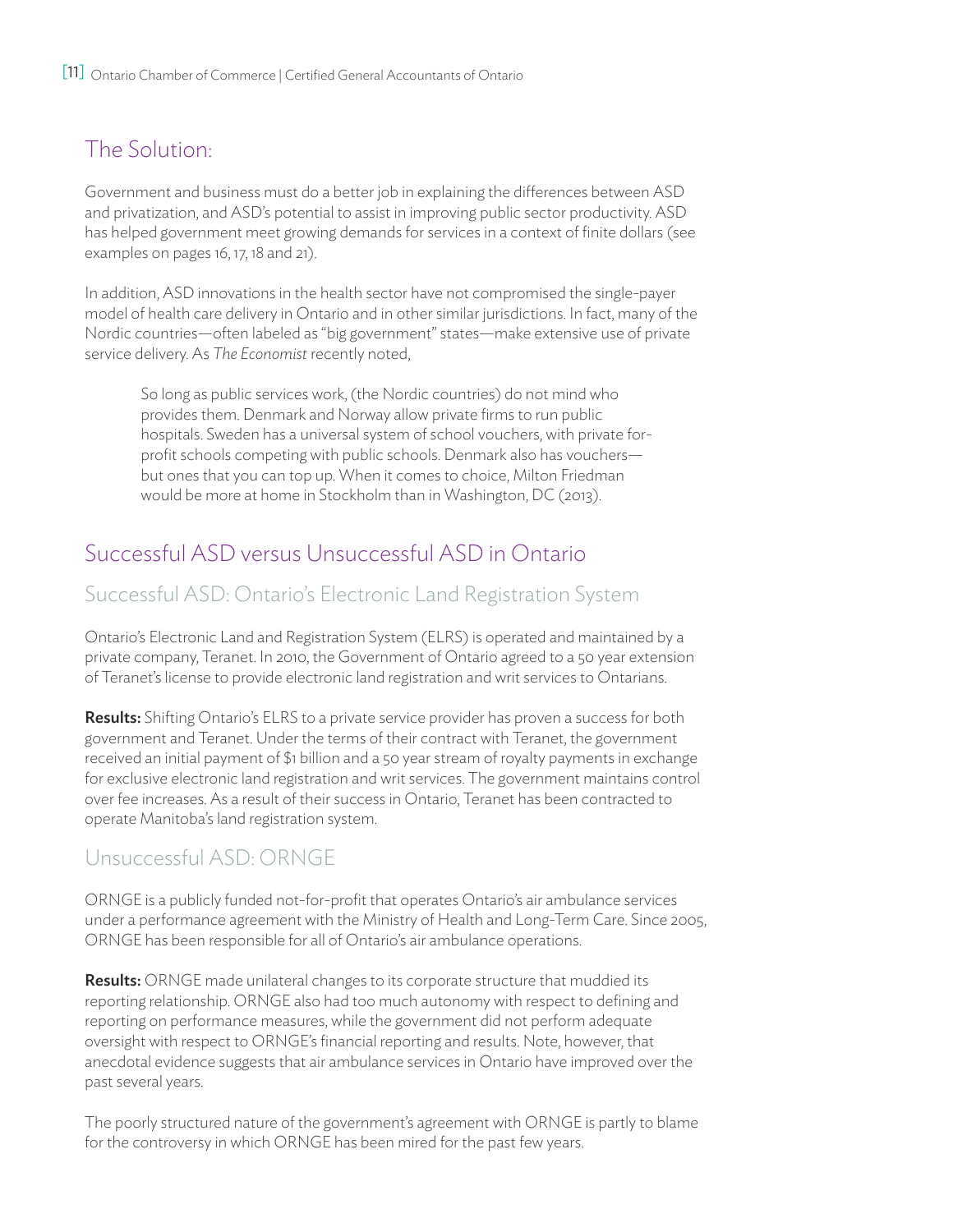## The Solution:

Government and business must do a better job in explaining the differences between ASD and privatization, and ASD's potential to assist in improving public sector productivity. ASD has helped government meet growing demands for services in a context of finite dollars (see examples on pages 16, 17, 18 and 21).

In addition, ASD innovations in the health sector have not compromised the single-payer model of health care delivery in Ontario and in other similar jurisdictions. In fact, many of the Nordic countries—often labeled as "big government" states—make extensive use of private service delivery. As *The Economist* recently noted,

So long as public services work, (the Nordic countries) do not mind who provides them. Denmark and Norway allow private firms to run public hospitals. Sweden has a universal system of school vouchers, with private forprofit schools competing with public schools. Denmark also has vouchers but ones that you can top up. When it comes to choice, Milton Friedman would be more at home in Stockholm than in Washington, DC (2013).

### Successful ASD versus Unsuccessful ASD in Ontario

### Successful ASD: Ontario's Electronic Land Registration System

Ontario's Electronic Land and Registration System (ELRS) is operated and maintained by a private company, Teranet. In 2010, the Government of Ontario agreed to a 50 year extension of Teranet's license to provide electronic land registration and writ services to Ontarians.

Results: Shifting Ontario's ELRS to a private service provider has proven a success for both government and Teranet. Under the terms of their contract with Teranet, the government received an initial payment of \$1 billion and a 50 year stream of royalty payments in exchange for exclusive electronic land registration and writ services. The government maintains control over fee increases. As a result of their success in Ontario, Teranet has been contracted to operate Manitoba's land registration system.

### Unsuccessful ASD: ORNGE

ORNGE is a publicly funded not-for-profit that operates Ontario's air ambulance services under a performance agreement with the Ministry of Health and Long-Term Care. Since 2005, ORNGE has been responsible for all of Ontario's air ambulance operations.

**Results:** ORNGE made unilateral changes to its corporate structure that muddied its reporting relationship. ORNGE also had too much autonomy with respect to defining and reporting on performance measures, while the government did not perform adequate oversight with respect to ORNGE's financial reporting and results. Note, however, that anecdotal evidence suggests that air ambulance services in Ontario have improved over the past several years.

The poorly structured nature of the government's agreement with ORNGE is partly to blame for the controversy in which ORNGE has been mired for the past few years.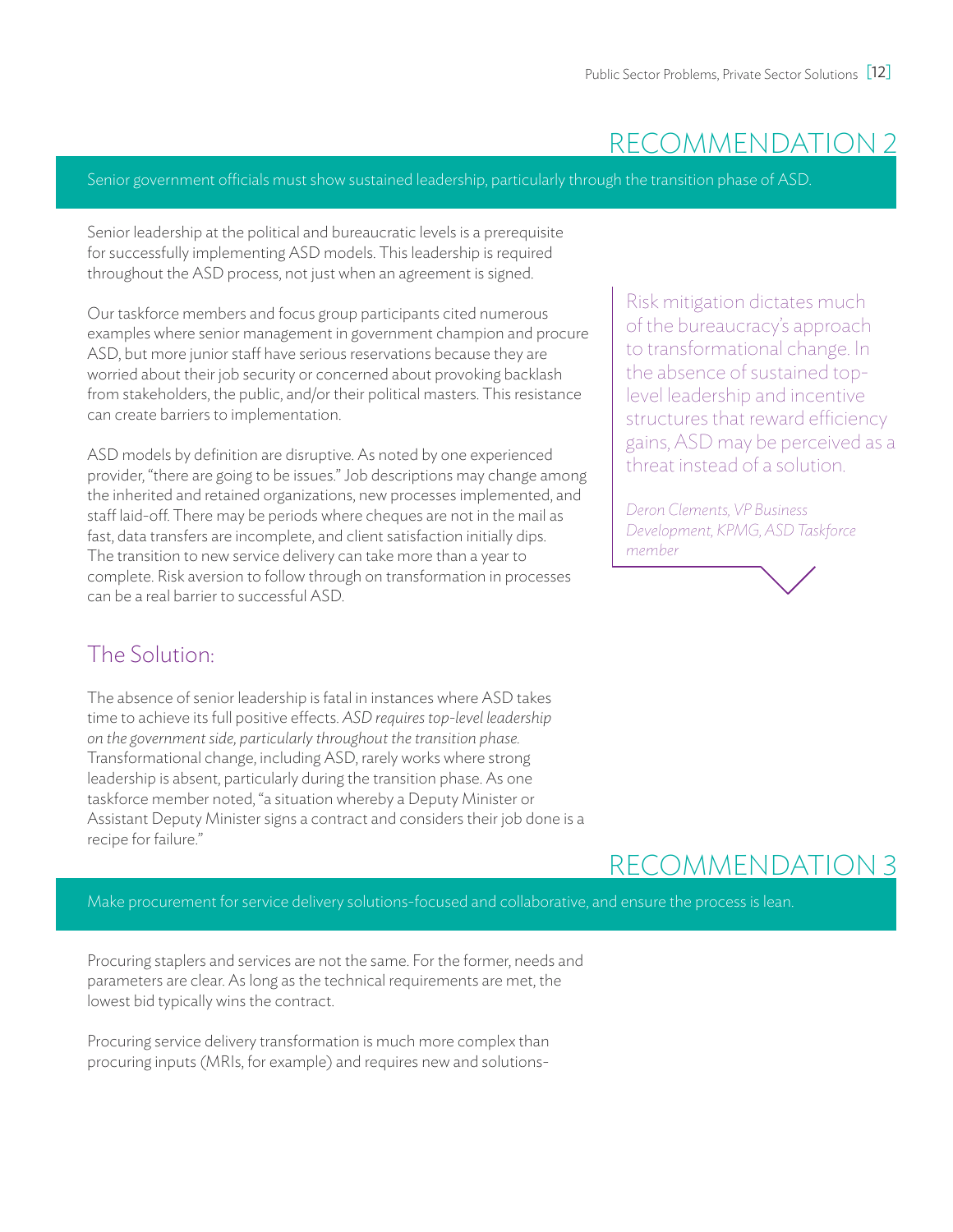## recommendation 2

Senior government officials must show sustained leadership, particularly through the transition phase of ASD.

Senior leadership at the political and bureaucratic levels is a prerequisite for successfully implementing ASD models. This leadership is required throughout the ASD process, not just when an agreement is signed.

Our taskforce members and focus group participants cited numerous examples where senior management in government champion and procure ASD, but more junior staff have serious reservations because they are worried about their job security or concerned about provoking backlash from stakeholders, the public, and/or their political masters. This resistance can create barriers to implementation.

ASD models by definition are disruptive. As noted by one experienced provider, "there are going to be issues." Job descriptions may change among the inherited and retained organizations, new processes implemented, and staff laid-off. There may be periods where cheques are not in the mail as fast, data transfers are incomplete, and client satisfaction initially dips. The transition to new service delivery can take more than a year to complete. Risk aversion to follow through on transformation in processes can be a real barrier to successful ASD.

### The Solution:

The absence of senior leadership is fatal in instances where ASD takes time to achieve its full positive effects. *ASD requires top-level leadership on the government side, particularly throughout the transition phase.* Transformational change, including ASD, rarely works where strong leadership is absent, particularly during the transition phase. As one taskforce member noted, "a situation whereby a Deputy Minister or Assistant Deputy Minister signs a contract and considers their job done is a recipe for failure."

Risk mitigation dictates much of the bureaucracy's approach to transformational change. In the absence of sustained toplevel leadership and incentive structures that reward efficiency gains, ASD may be perceived as a threat instead of a solution.

*Deron Clements, VP Business Development, KPMG, ASD Taskforce member*

## recommendation 3

Make procurement for service delivery solutions-focused and collaborative, and ensure the process is lean.

Procuring staplers and services are not the same. For the former, needs and parameters are clear. As long as the technical requirements are met, the lowest bid typically wins the contract.

Procuring service delivery transformation is much more complex than procuring inputs (MRIs, for example) and requires new and solutions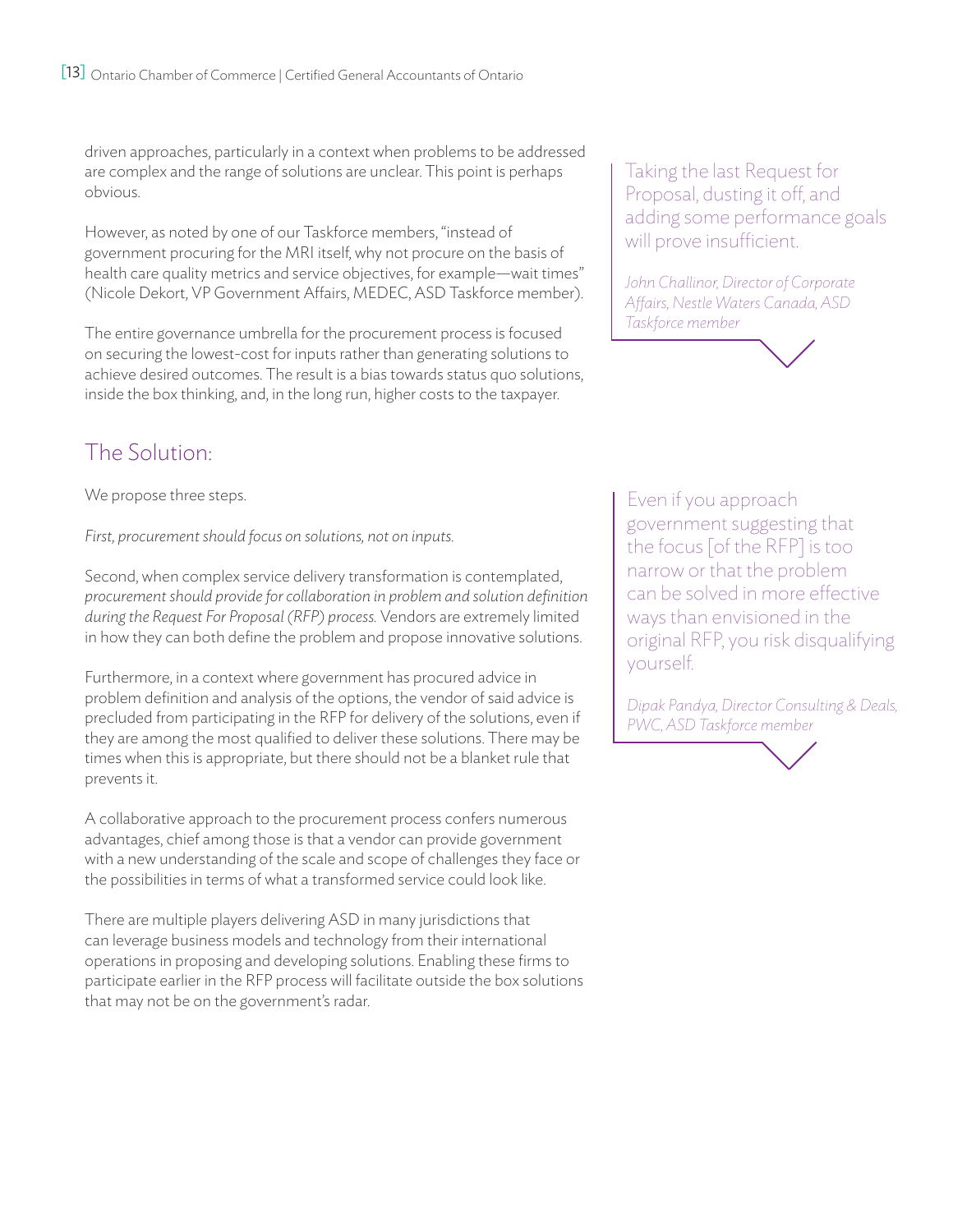driven approaches, particularly in a context when problems to be addressed are complex and the range of solutions are unclear. This point is perhaps obvious.

However, as noted by one of our Taskforce members, "instead of government procuring for the MRI itself, why not procure on the basis of health care quality metrics and service objectives, for example—wait times" (Nicole Dekort, VP Government Affairs, MEDEC, ASD Taskforce member).

The entire governance umbrella for the procurement process is focused on securing the lowest-cost for inputs rather than generating solutions to achieve desired outcomes. The result is a bias towards status quo solutions, inside the box thinking, and, in the long run, higher costs to the taxpayer.

## The Solution:

We propose three steps.

*First, procurement should focus on solutions, not on inputs.*

Second, when complex service delivery transformation is contemplated, *procurement should provide for collaboration in problem and solution definition during the Request For Proposal (RFP) process.* Vendors are extremely limited in how they can both define the problem and propose innovative solutions.

Furthermore, in a context where government has procured advice in problem definition and analysis of the options, the vendor of said advice is precluded from participating in the RFP for delivery of the solutions, even if they are among the most qualified to deliver these solutions. There may be times when this is appropriate, but there should not be a blanket rule that prevents it.

A collaborative approach to the procurement process confers numerous advantages, chief among those is that a vendor can provide government with a new understanding of the scale and scope of challenges they face or the possibilities in terms of what a transformed service could look like.

There are multiple players delivering ASD in many jurisdictions that can leverage business models and technology from their international operations in proposing and developing solutions. Enabling these firms to participate earlier in the RFP process will facilitate outside the box solutions that may not be on the government's radar.

Taking the last Request for Proposal, dusting it off, and adding some performance goals will prove insufficient.

*John Challinor, Director of Corporate Affairs, Nestle Waters Canada, ASD Taskforce member*

Even if you approach government suggesting that the focus [of the RFP] is too narrow or that the problem can be solved in more effective ways than envisioned in the original RFP, you risk disqualifying yourself.

*Dipak Pandya, Director Consulting & Deals, PWC, ASD Taskforce member*

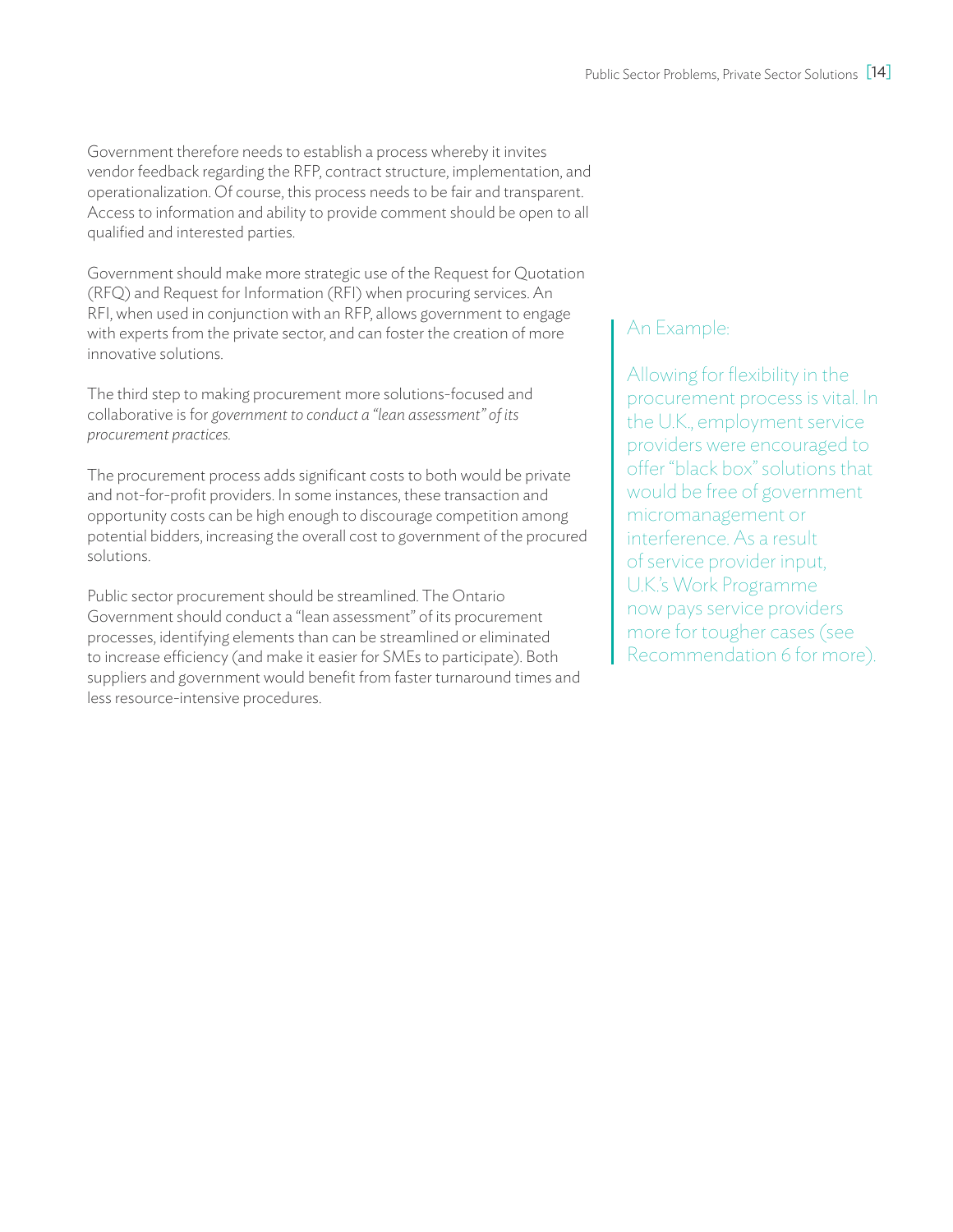Government therefore needs to establish a process whereby it invites vendor feedback regarding the RFP, contract structure, implementation, and operationalization. Of course, this process needs to be fair and transparent. Access to information and ability to provide comment should be open to all qualified and interested parties.

Government should make more strategic use of the Request for Quotation (RFQ) and Request for Information (RFI) when procuring services. An RFI, when used in conjunction with an RFP, allows government to engage with experts from the private sector, and can foster the creation of more innovative solutions.

The third step to making procurement more solutions-focused and collaborative is for *government to conduct a "lean assessment" of its procurement practices.*

The procurement process adds significant costs to both would be private and not-for-profit providers. In some instances, these transaction and opportunity costs can be high enough to discourage competition among potential bidders, increasing the overall cost to government of the procured solutions.

Public sector procurement should be streamlined. The Ontario Government should conduct a "lean assessment" of its procurement processes, identifying elements than can be streamlined or eliminated to increase efficiency (and make it easier for SMEs to participate). Both suppliers and government would benefit from faster turnaround times and less resource-intensive procedures.

### An Example:

Allowing for flexibility in the procurement process is vital. In the U.K., employment service providers were encouraged to offer "black box" solutions that would be free of government micromanagement or interference. As a result of service provider input, U.K.'s Work Programme now pays service providers more for tougher cases (see Recommendation 6 for more).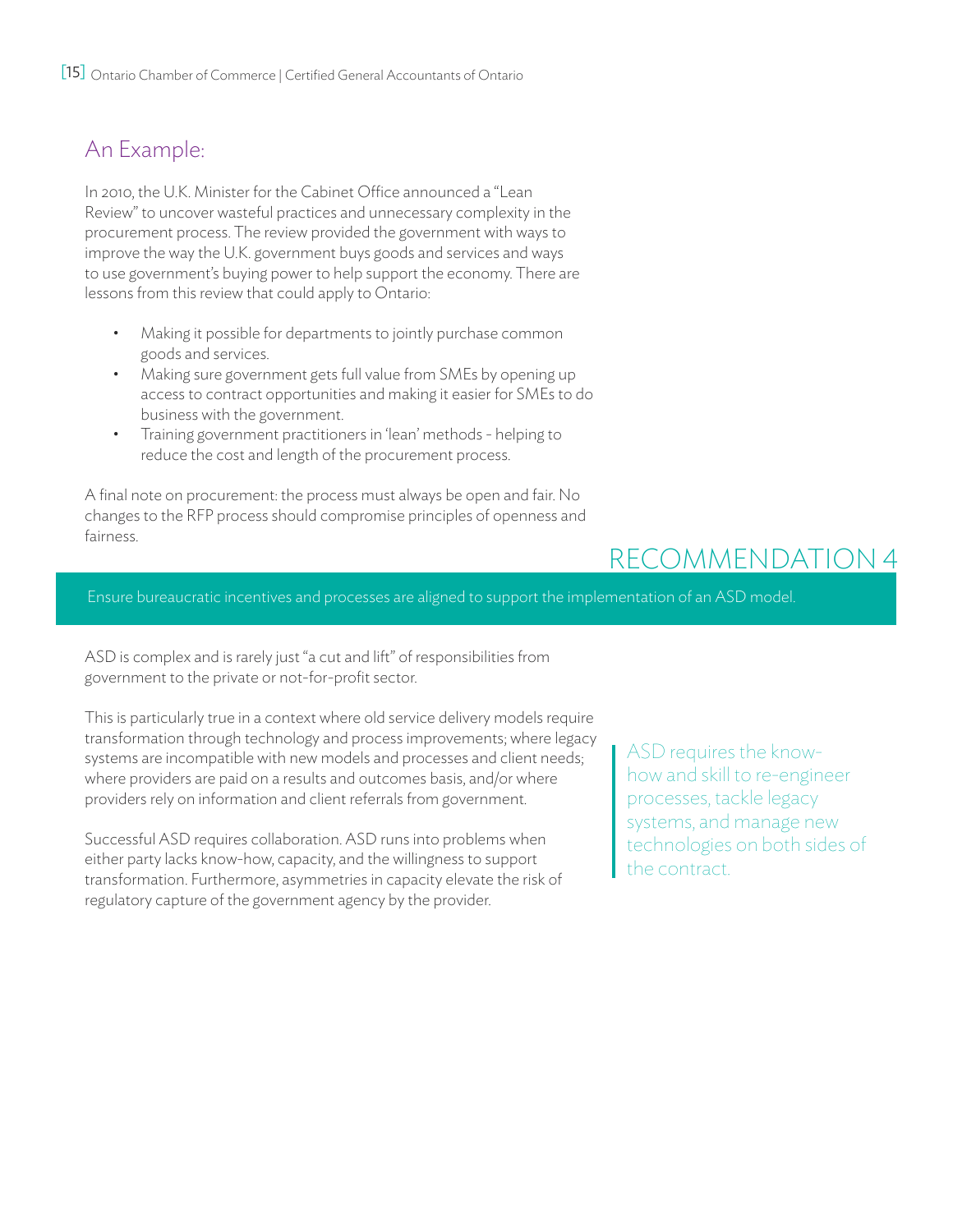## An Example:

In 2010, the U.K. Minister for the Cabinet Office announced a "Lean Review" to uncover wasteful practices and unnecessary complexity in the procurement process. The review provided the government with ways to improve the way the U.K. government buys goods and services and ways to use government's buying power to help support the economy. There are lessons from this review that could apply to Ontario:

- Making it possible for departments to jointly purchase common goods and services.
- Making sure government gets full value from SMEs by opening up access to contract opportunities and making it easier for SMEs to do business with the government.
- Training government practitioners in 'lean' methods helping to reduce the cost and length of the procurement process.

A final note on procurement: the process must always be open and fair. No changes to the RFP process should compromise principles of openness and fairness.

## recommendation 4

Ensure bureaucratic incentives and processes are aligned to support the implementation of an ASD model.

ASD is complex and is rarely just "a cut and lift" of responsibilities from government to the private or not-for-profit sector.

This is particularly true in a context where old service delivery models require transformation through technology and process improvements; where legacy systems are incompatible with new models and processes and client needs; where providers are paid on a results and outcomes basis, and/or where providers rely on information and client referrals from government.

Successful ASD requires collaboration. ASD runs into problems when either party lacks know-how, capacity, and the willingness to support transformation. Furthermore, asymmetries in capacity elevate the risk of regulatory capture of the government agency by the provider.

ASD requires the knowhow and skill to re-engineer processes, tackle legacy systems, and manage new technologies on both sides of the contract.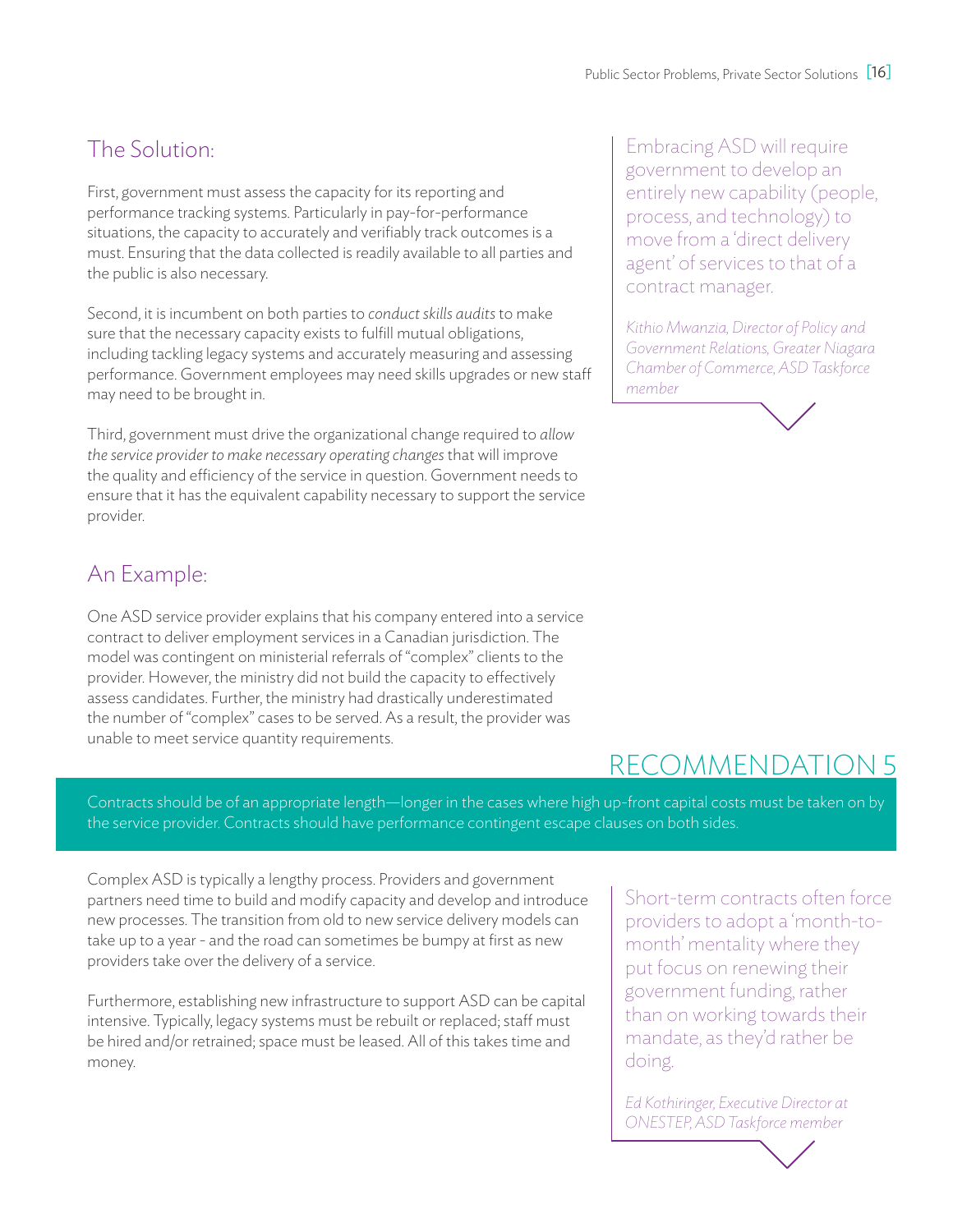## The Solution:

First, government must assess the capacity for its reporting and performance tracking systems. Particularly in pay-for-performance situations, the capacity to accurately and verifiably track outcomes is a must. Ensuring that the data collected is readily available to all parties and the public is also necessary.

Second, it is incumbent on both parties to *conduct skills audits* to make sure that the necessary capacity exists to fulfill mutual obligations, including tackling legacy systems and accurately measuring and assessing performance. Government employees may need skills upgrades or new staff may need to be brought in.

Third, government must drive the organizational change required to *allow the service provider to make necessary operating changes* that will improve the quality and efficiency of the service in question. Government needs to ensure that it has the equivalent capability necessary to support the service provider.

## An Example:

One ASD service provider explains that his company entered into a service contract to deliver employment services in a Canadian jurisdiction. The model was contingent on ministerial referrals of "complex" clients to the provider. However, the ministry did not build the capacity to effectively assess candidates. Further, the ministry had drastically underestimated the number of "complex" cases to be served. As a result, the provider was unable to meet service quantity requirements.

Embracing ASD will require government to develop an entirely new capability (people, process, and technology) to move from a 'direct delivery agent' of services to that of a contract manager.

*Kithio Mwanzia, Director of Policy and Government Relations, Greater Niagara Chamber of Commerce, ASD Taskforce member*

## recommendation 5

Contracts should be of an appropriate length—longer in the cases where high up-front capital costs must be taken on by the service provider. Contracts should have performance contingent escape clauses on both sides.

Complex ASD is typically a lengthy process. Providers and government partners need time to build and modify capacity and develop and introduce new processes. The transition from old to new service delivery models can take up to a year - and the road can sometimes be bumpy at first as new providers take over the delivery of a service.

Furthermore, establishing new infrastructure to support ASD can be capital intensive. Typically, legacy systems must be rebuilt or replaced; staff must be hired and/or retrained; space must be leased. All of this takes time and money.

Short-term contracts often force providers to adopt a 'month-tomonth' mentality where they put focus on renewing their government funding, rather than on working towards their mandate, as they'd rather be doing.

*Ed Kothiringer, Executive Director at ONESTEP, ASD Taskforce member*

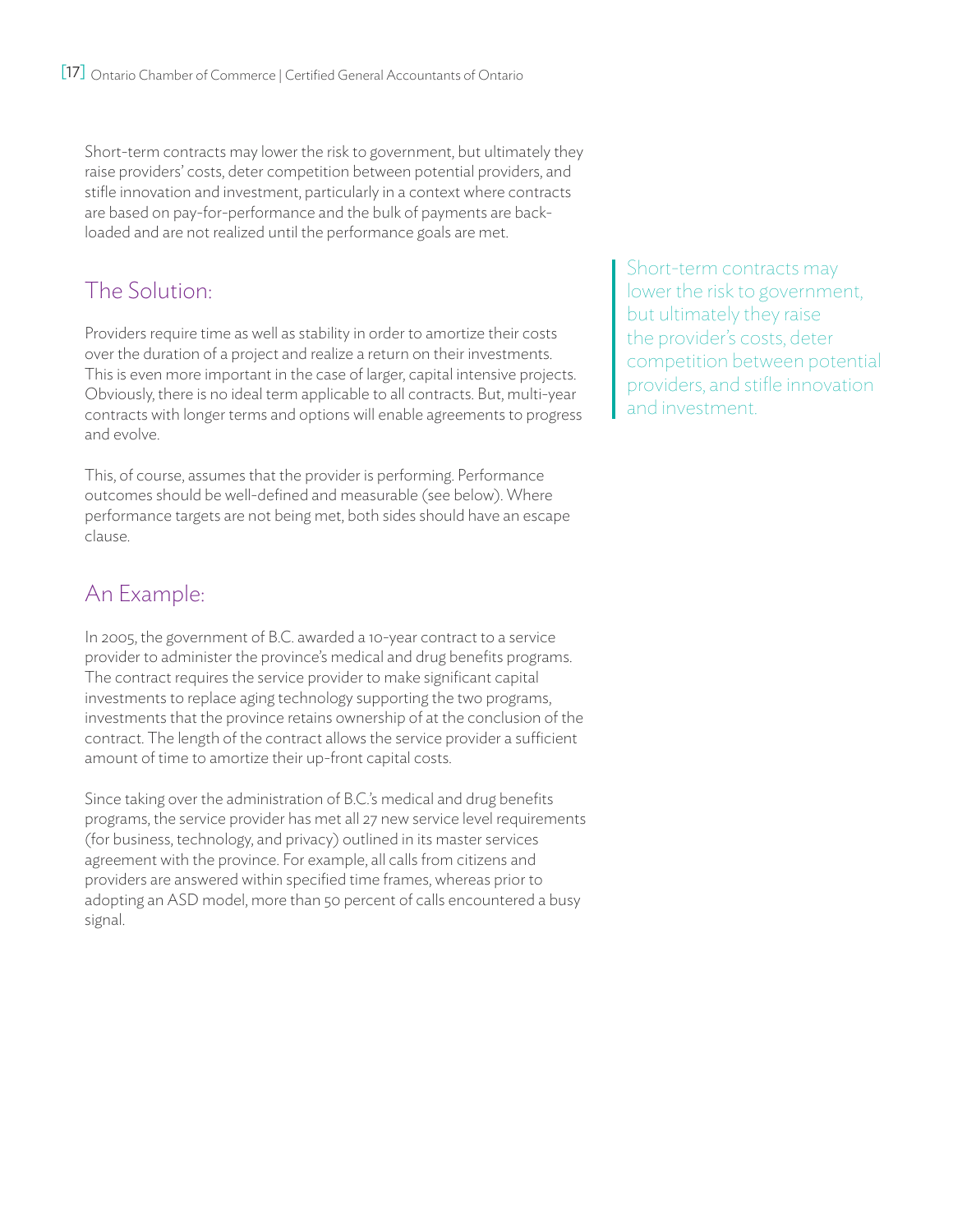Short-term contracts may lower the risk to government, but ultimately they raise providers' costs, deter competition between potential providers, and stifle innovation and investment, particularly in a context where contracts are based on pay-for-performance and the bulk of payments are backloaded and are not realized until the performance goals are met.

## The Solution:

Providers require time as well as stability in order to amortize their costs over the duration of a project and realize a return on their investments. This is even more important in the case of larger, capital intensive projects. Obviously, there is no ideal term applicable to all contracts. But, multi-year contracts with longer terms and options will enable agreements to progress and evolve.

This, of course, assumes that the provider is performing. Performance outcomes should be well-defined and measurable (see below). Where performance targets are not being met, both sides should have an escape clause.

## An Example:

In 2005, the government of B.C. awarded a 10-year contract to a service provider to administer the province's medical and drug benefits programs. The contract requires the service provider to make significant capital investments to replace aging technology supporting the two programs, investments that the province retains ownership of at the conclusion of the contract. The length of the contract allows the service provider a sufficient amount of time to amortize their up-front capital costs.

Since taking over the administration of B.C.'s medical and drug benefits programs, the service provider has met all 27 new service level requirements (for business, technology, and privacy) outlined in its master services agreement with the province. For example, all calls from citizens and providers are answered within specified time frames, whereas prior to adopting an ASD model, more than 50 percent of calls encountered a busy signal.

Short-term contracts may lower the risk to government, but ultimately they raise the provider's costs, deter competition between potential providers, and stifle innovation and investment.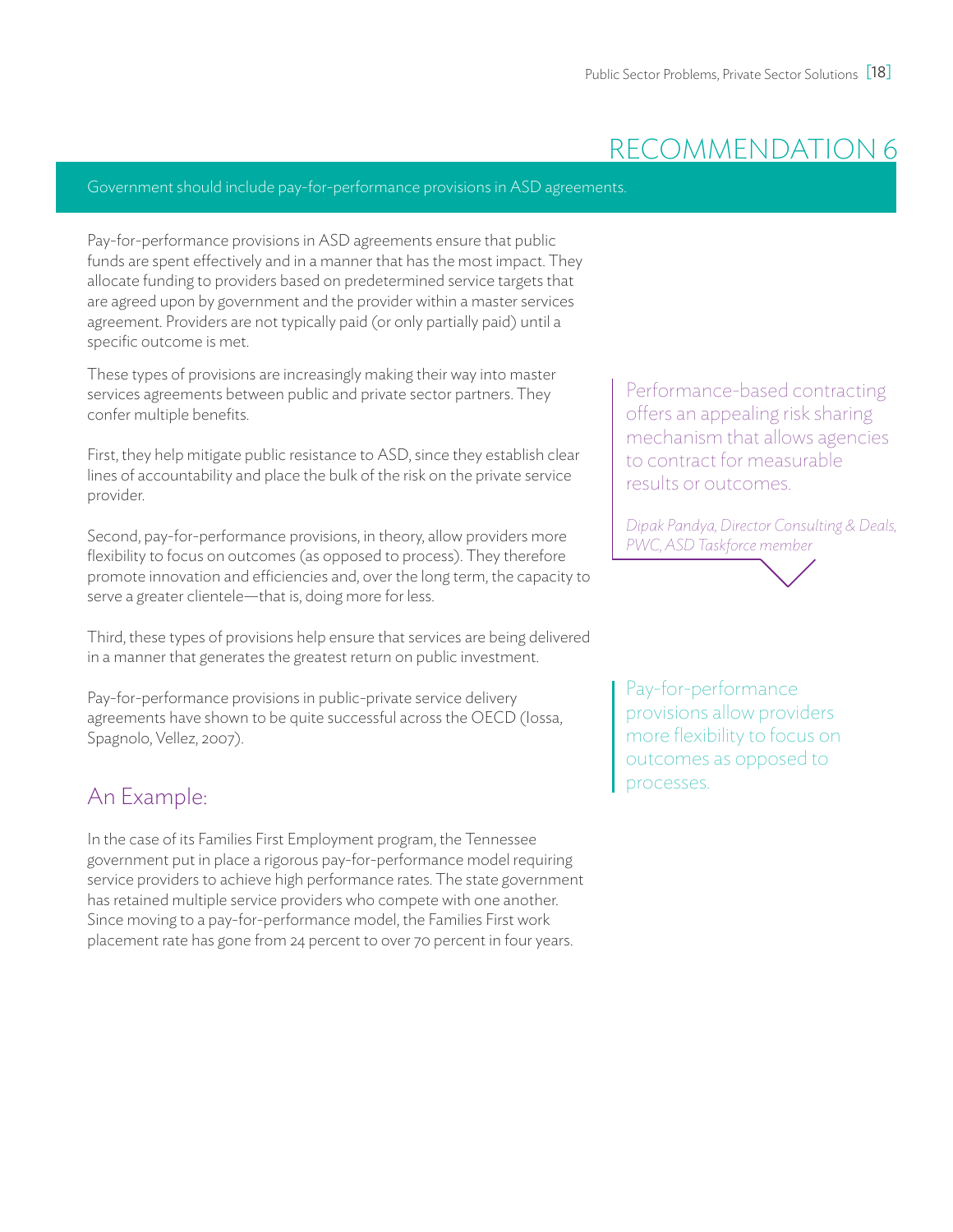## recommendation 6

#### Government should include pay-for-performance provisions in ASD agreements.

Pay-for-performance provisions in ASD agreements ensure that public funds are spent effectively and in a manner that has the most impact. They allocate funding to providers based on predetermined service targets that are agreed upon by government and the provider within a master services agreement. Providers are not typically paid (or only partially paid) until a specific outcome is met.

These types of provisions are increasingly making their way into master services agreements between public and private sector partners. They confer multiple benefits.

First, they help mitigate public resistance to ASD, since they establish clear lines of accountability and place the bulk of the risk on the private service provider.

Second, pay-for-performance provisions, in theory, allow providers more flexibility to focus on outcomes (as opposed to process). They therefore promote innovation and efficiencies and, over the long term, the capacity to serve a greater clientele—that is, doing more for less.

Third, these types of provisions help ensure that services are being delivered in a manner that generates the greatest return on public investment.

Pay-for-performance provisions in public-private service delivery agreements have shown to be quite successful across the OECD (Iossa, Spagnolo, Vellez, 2007).

### An Example:

In the case of its Families First Employment program, the Tennessee government put in place a rigorous pay-for-performance model requiring service providers to achieve high performance rates. The state government has retained multiple service providers who compete with one another. Since moving to a pay-for-performance model, the Families First work placement rate has gone from 24 percent to over 70 percent in four years.

Performance-based contracting offers an appealing risk sharing mechanism that allows agencies to contract for measurable results or outcomes.

*Dipak Pandya, Director Consulting & Deals, PWC, ASD Taskforce member* 



Pay-for-performance provisions allow providers more flexibility to focus on outcomes as opposed to processes.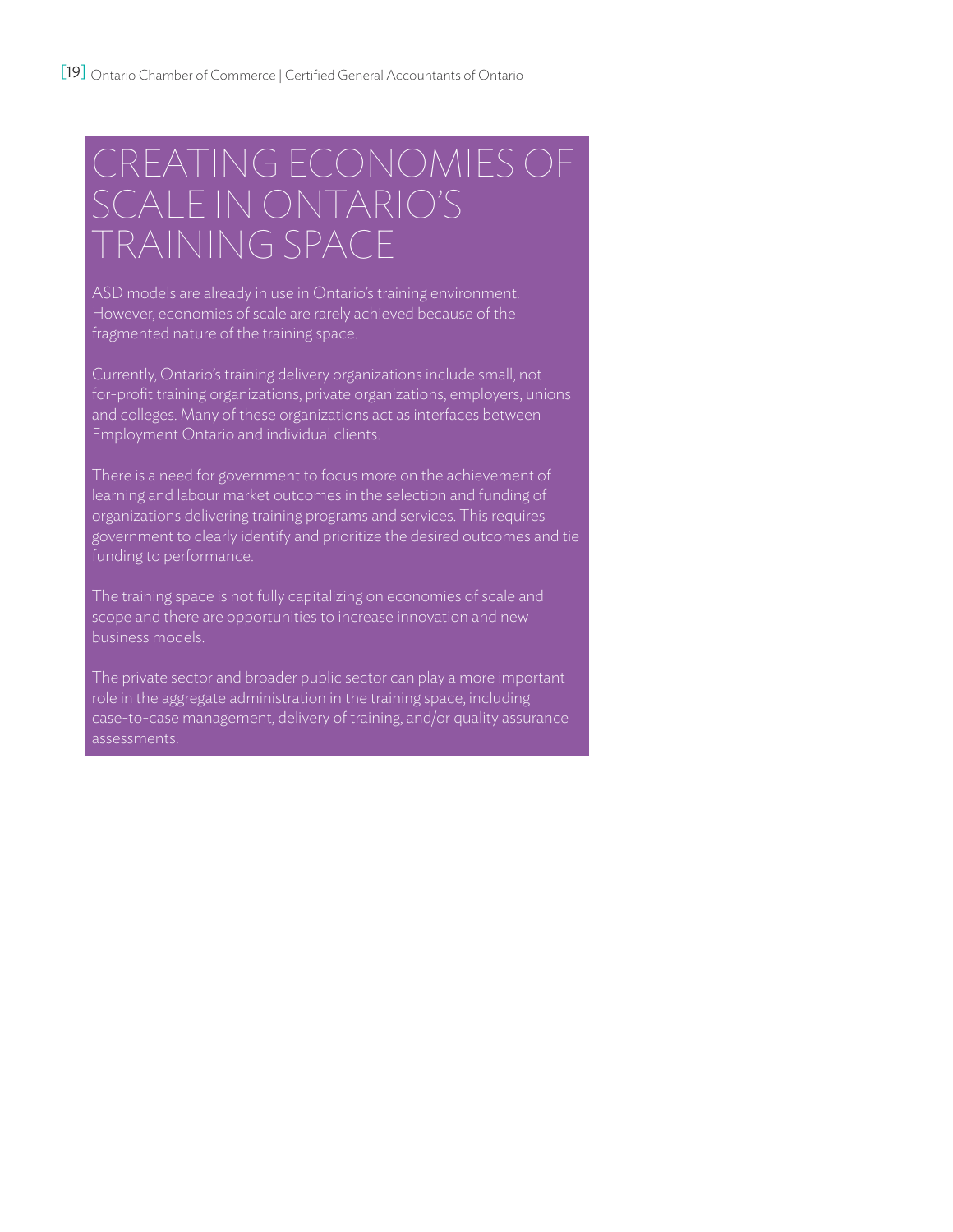# Creating economies of scale in Ontario's training space

ASD models are already in use in Ontario's training environment. However, economies of scale are rarely achieved because of the fragmented nature of the training space.

Currently, Ontario's training delivery organizations include small, notfor-profit training organizations, private organizations, employers, unions and colleges. Many of these organizations act as interfaces between Employment Ontario and individual clients.

There is a need for government to focus more on the achievement of learning and labour market outcomes in the selection and funding of organizations delivering training programs and services. This requires government to clearly identify and prioritize the desired outcomes and tie funding to performance.

The training space is not fully capitalizing on economies of scale and scope and there are opportunities to increase innovation and new business models.

The private sector and broader public sector can play a more important role in the aggregate administration in the training space, including case-to-case management, delivery of training, and/or quality assurance assessments.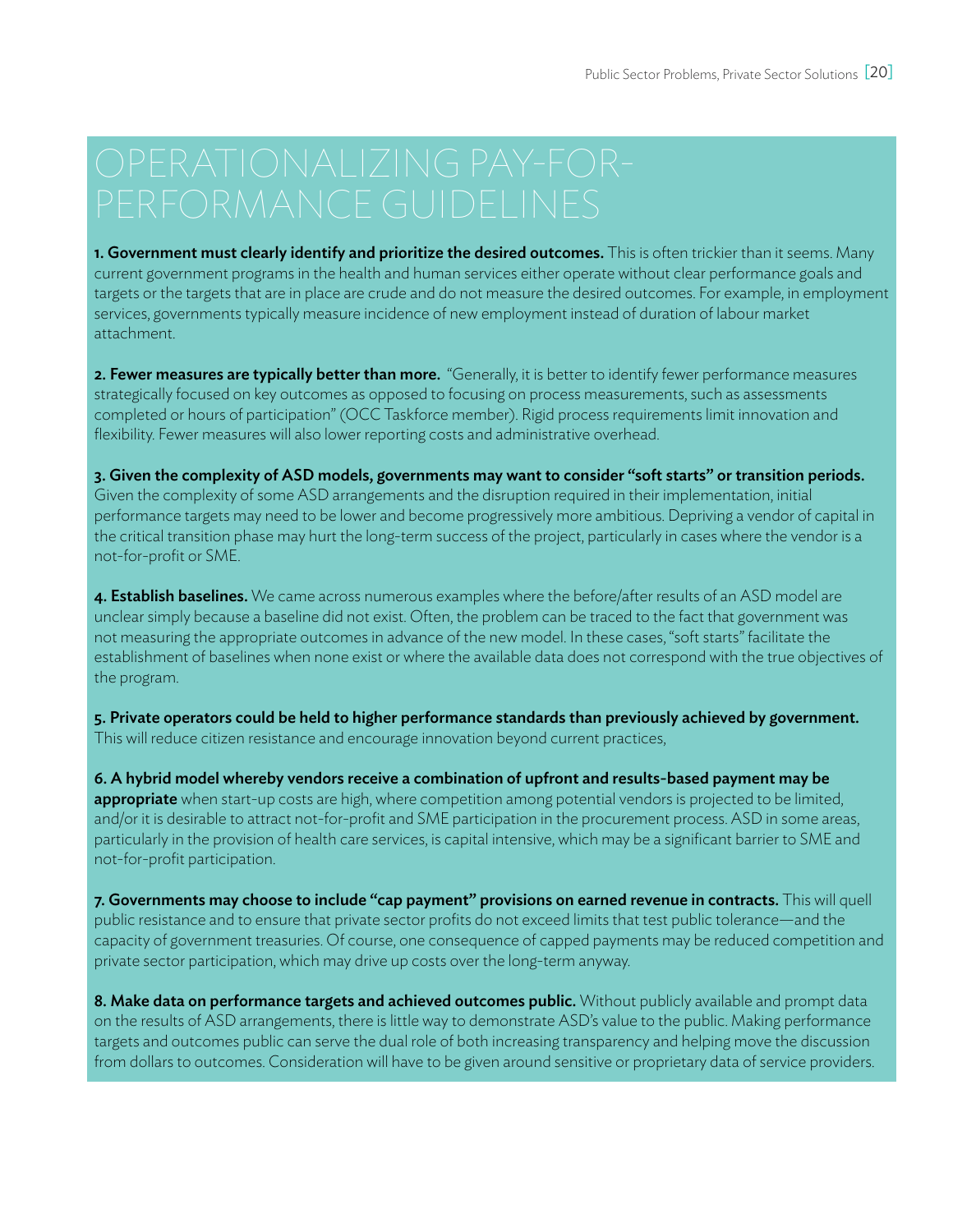1. Government must clearly identify and prioritize the desired outcomes. This is often trickier than it seems. Many current government programs in the health and human services either operate without clear performance goals and targets or the targets that are in place are crude and do not measure the desired outcomes. For example, in employment services, governments typically measure incidence of new employment instead of duration of labour market attachment.

2. Fewer measures are typically better than more. "Generally, it is better to identify fewer performance measures strategically focused on key outcomes as opposed to focusing on process measurements, such as assessments completed or hours of participation" (OCC Taskforce member). Rigid process requirements limit innovation and flexibility. Fewer measures will also lower reporting costs and administrative overhead.

3. Given the complexity of ASD models, governments may want to consider "soft starts" or transition periods. Given the complexity of some ASD arrangements and the disruption required in their implementation, initial performance targets may need to be lower and become progressively more ambitious. Depriving a vendor of capital in the critical transition phase may hurt the long-term success of the project, particularly in cases where the vendor is a not-for-profit or SME.

4. Establish baselines. We came across numerous examples where the before/after results of an ASD model are unclear simply because a baseline did not exist. Often, the problem can be traced to the fact that government was not measuring the appropriate outcomes in advance of the new model. In these cases, "soft starts" facilitate the establishment of baselines when none exist or where the available data does not correspond with the true objectives of the program.

5. Private operators could be held to higher performance standards than previously achieved by government. This will reduce citizen resistance and encourage innovation beyond current practices,

6. A hybrid model whereby vendors receive a combination of upfront and results-based payment may be appropriate when start-up costs are high, where competition among potential vendors is projected to be limited, and/or it is desirable to attract not-for-profit and SME participation in the procurement process. ASD in some areas, particularly in the provision of health care services, is capital intensive, which may be a significant barrier to SME and not-for-profit participation.

7. Governments may choose to include "cap payment" provisions on earned revenue in contracts. This will quell public resistance and to ensure that private sector profits do not exceed limits that test public tolerance—and the capacity of government treasuries. Of course, one consequence of capped payments may be reduced competition and private sector participation, which may drive up costs over the long-term anyway.

8. Make data on performance targets and achieved outcomes public. Without publicly available and prompt data on the results of ASD arrangements, there is little way to demonstrate ASD's value to the public. Making performance targets and outcomes public can serve the dual role of both increasing transparency and helping move the discussion from dollars to outcomes. Consideration will have to be given around sensitive or proprietary data of service providers.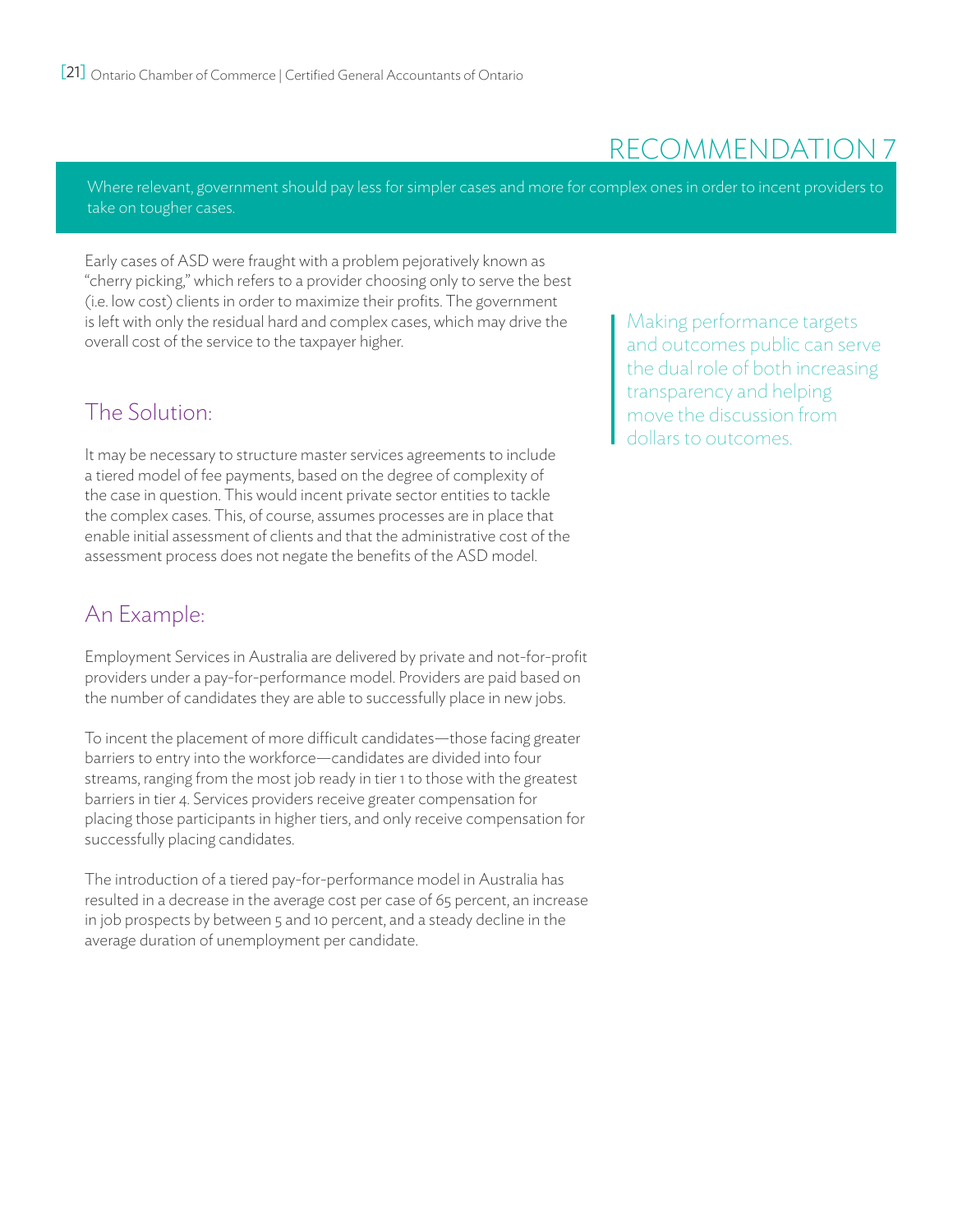## recommendation 7

Where relevant, government should pay less for simpler cases and more for complex ones in order to incent providers to take on tougher cases.

Early cases of ASD were fraught with a problem pejoratively known as "cherry picking," which refers to a provider choosing only to serve the best (i.e. low cost) clients in order to maximize their profits. The government is left with only the residual hard and complex cases, which may drive the overall cost of the service to the taxpayer higher.

### The Solution:

It may be necessary to structure master services agreements to include a tiered model of fee payments, based on the degree of complexity of the case in question. This would incent private sector entities to tackle the complex cases. This, of course, assumes processes are in place that enable initial assessment of clients and that the administrative cost of the assessment process does not negate the benefits of the ASD model.

### An Example:

Employment Services in Australia are delivered by private and not-for-profit providers under a pay-for-performance model. Providers are paid based on the number of candidates they are able to successfully place in new jobs.

To incent the placement of more difficult candidates—those facing greater barriers to entry into the workforce—candidates are divided into four streams, ranging from the most job ready in tier 1 to those with the greatest barriers in tier 4. Services providers receive greater compensation for placing those participants in higher tiers, and only receive compensation for successfully placing candidates.

The introduction of a tiered pay-for-performance model in Australia has resulted in a decrease in the average cost per case of 65 percent, an increase in job prospects by between 5 and 10 percent, and a steady decline in the average duration of unemployment per candidate.

Making performance targets and outcomes public can serve the dual role of both increasing transparency and helping move the discussion from dollars to outcomes.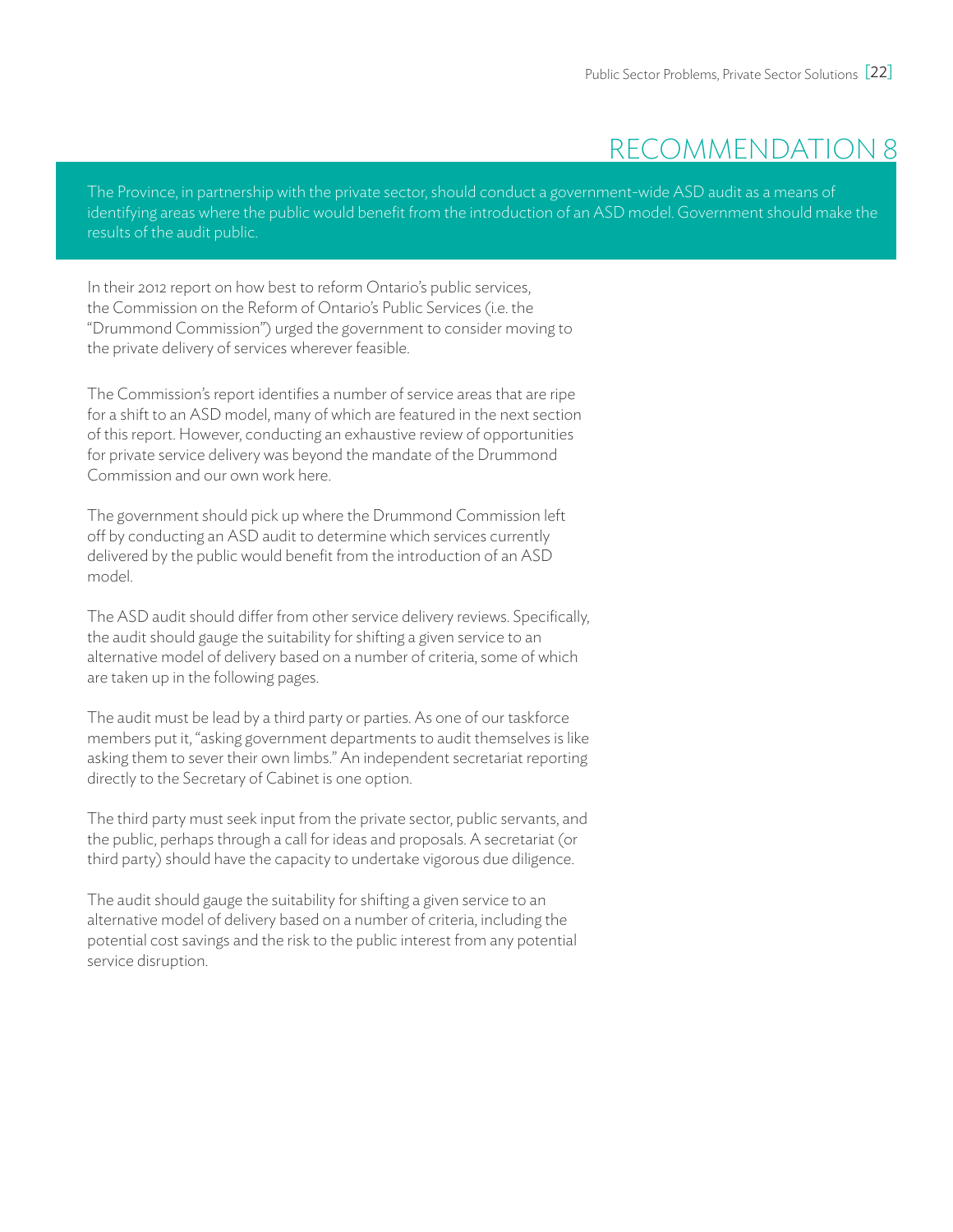## recommendation 8

The Province, in partnership with the private sector, should conduct a government-wide ASD audit as a means of identifying areas where the public would benefit from the introduction of an ASD model. Government should make the results of the audit public.

In their 2012 report on how best to reform Ontario's public services, the Commission on the Reform of Ontario's Public Services (i.e. the "Drummond Commission") urged the government to consider moving to the private delivery of services wherever feasible.

The Commission's report identifies a number of service areas that are ripe for a shift to an ASD model, many of which are featured in the next section of this report. However, conducting an exhaustive review of opportunities for private service delivery was beyond the mandate of the Drummond Commission and our own work here.

The government should pick up where the Drummond Commission left off by conducting an ASD audit to determine which services currently delivered by the public would benefit from the introduction of an ASD model.

The ASD audit should differ from other service delivery reviews. Specifically, the audit should gauge the suitability for shifting a given service to an alternative model of delivery based on a number of criteria, some of which are taken up in the following pages.

The audit must be lead by a third party or parties. As one of our taskforce members put it, "asking government departments to audit themselves is like asking them to sever their own limbs." An independent secretariat reporting directly to the Secretary of Cabinet is one option.

The third party must seek input from the private sector, public servants, and the public, perhaps through a call for ideas and proposals. A secretariat (or third party) should have the capacity to undertake vigorous due diligence.

The audit should gauge the suitability for shifting a given service to an alternative model of delivery based on a number of criteria, including the potential cost savings and the risk to the public interest from any potential service disruption.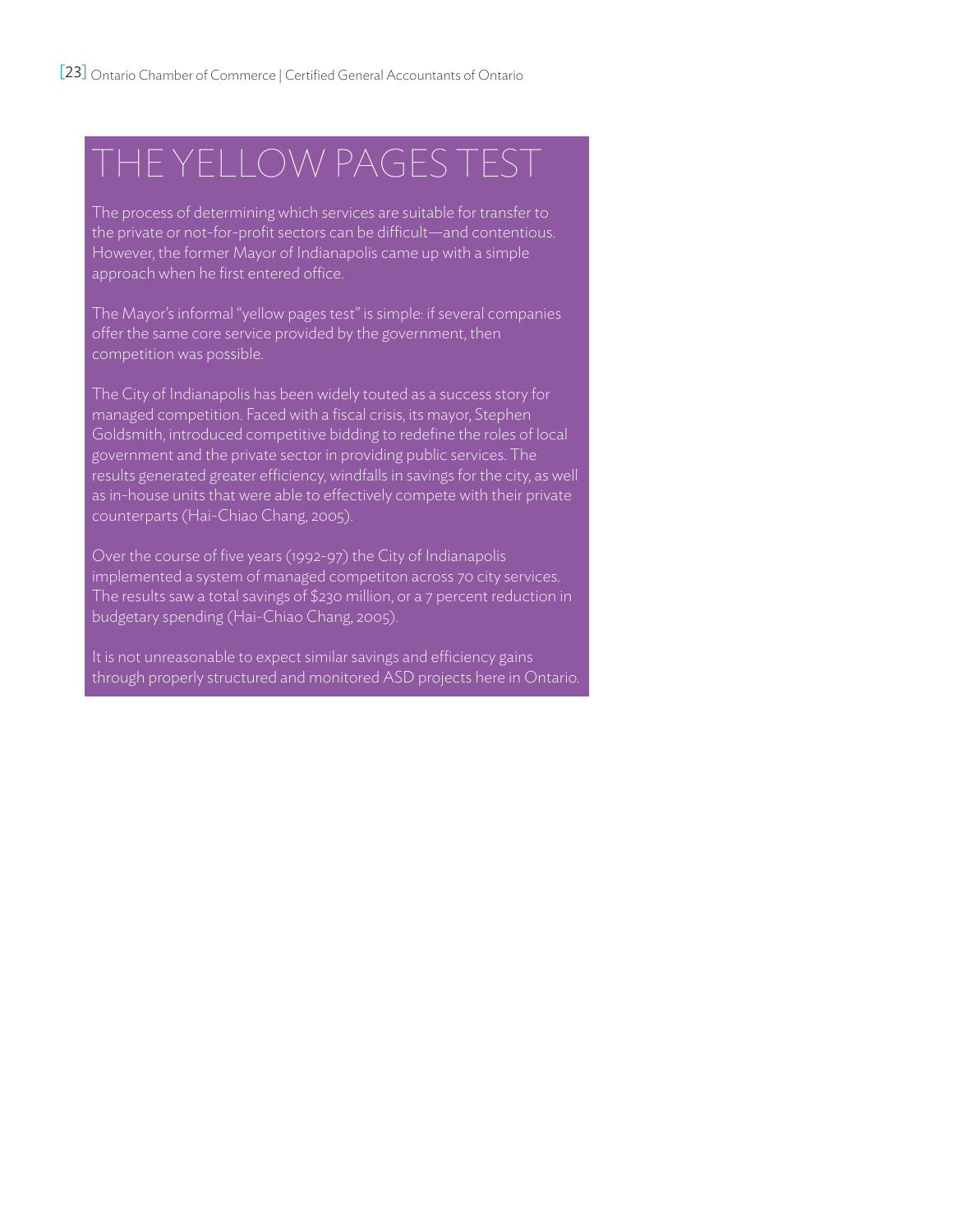# The Yellow Pages Test

The process of determining which services are suitable for transfer to the private or not-for-profit sectors can be difficult—and contentious. However, the former Mayor of Indianapolis came up with a simple approach when he first entered office.

The Mayor's informal "yellow pages test" is simple: if several companies offer the same core service provided by the government, then competition was possible.

The City of Indianapolis has been widely touted as a success story for managed competition. Faced with a fiscal crisis, its mayor, Stephen Goldsmith, introduced competitive bidding to redefine the roles of local government and the private sector in providing public services. The results generated greater efficiency, windfalls in savings for the city, as well as in-house units that were able to effectively compete with their private counterparts (Hai-Chiao Chang, 2005).

Over the course of five years (1992-97) the City of Indianapolis implemented a system of managed competiton across 70 city services. The results saw a total savings of \$230 million, or a 7 percent reduction in budgetary spending (Hai-Chiao Chang, 2005).

It is not unreasonable to expect similar savings and efficiency gains through properly structured and monitored ASD projects here in Ontario.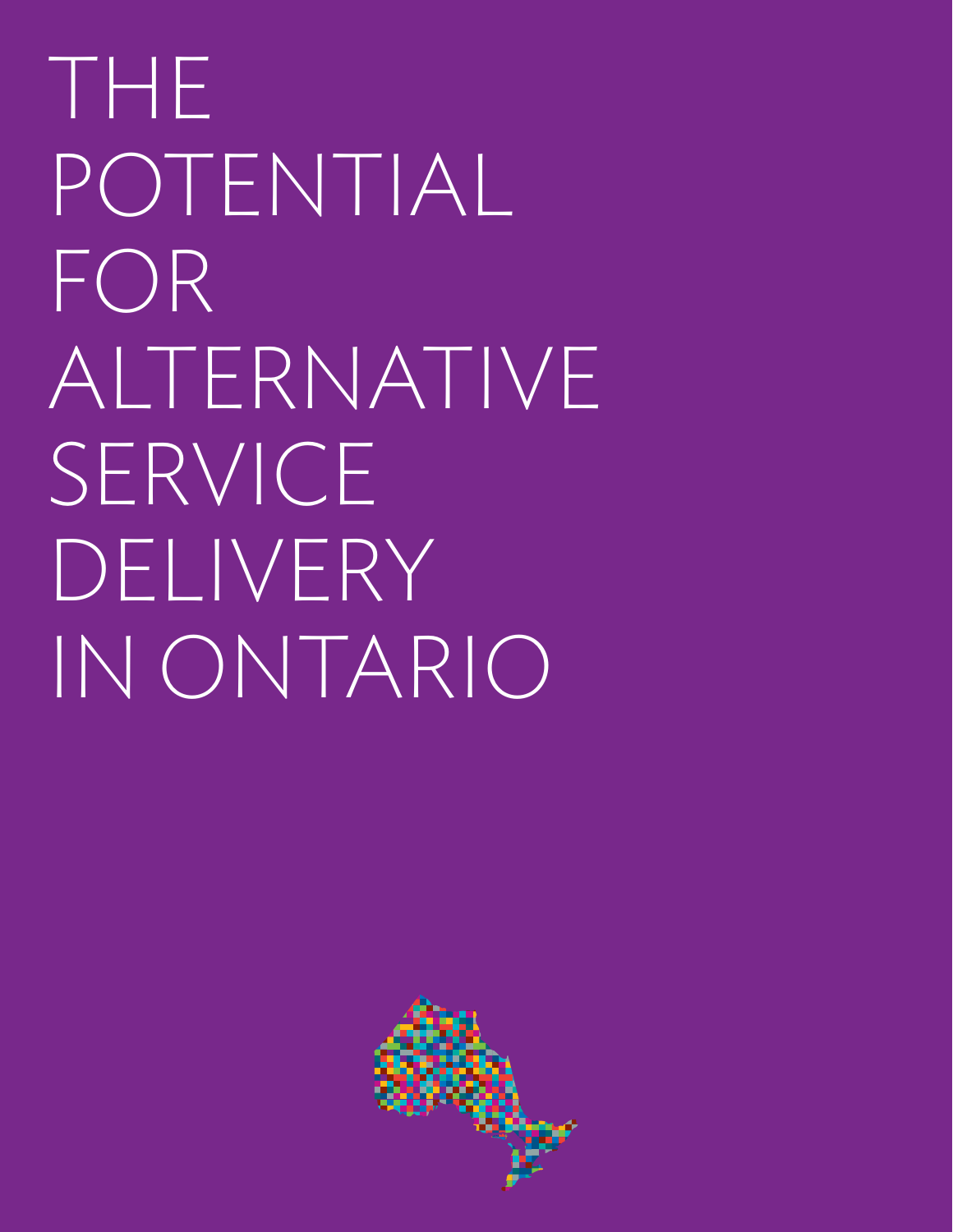THE POTENTIAL FOR ALTERNATIVE SERVICE DELIVERY IN ONTARIO

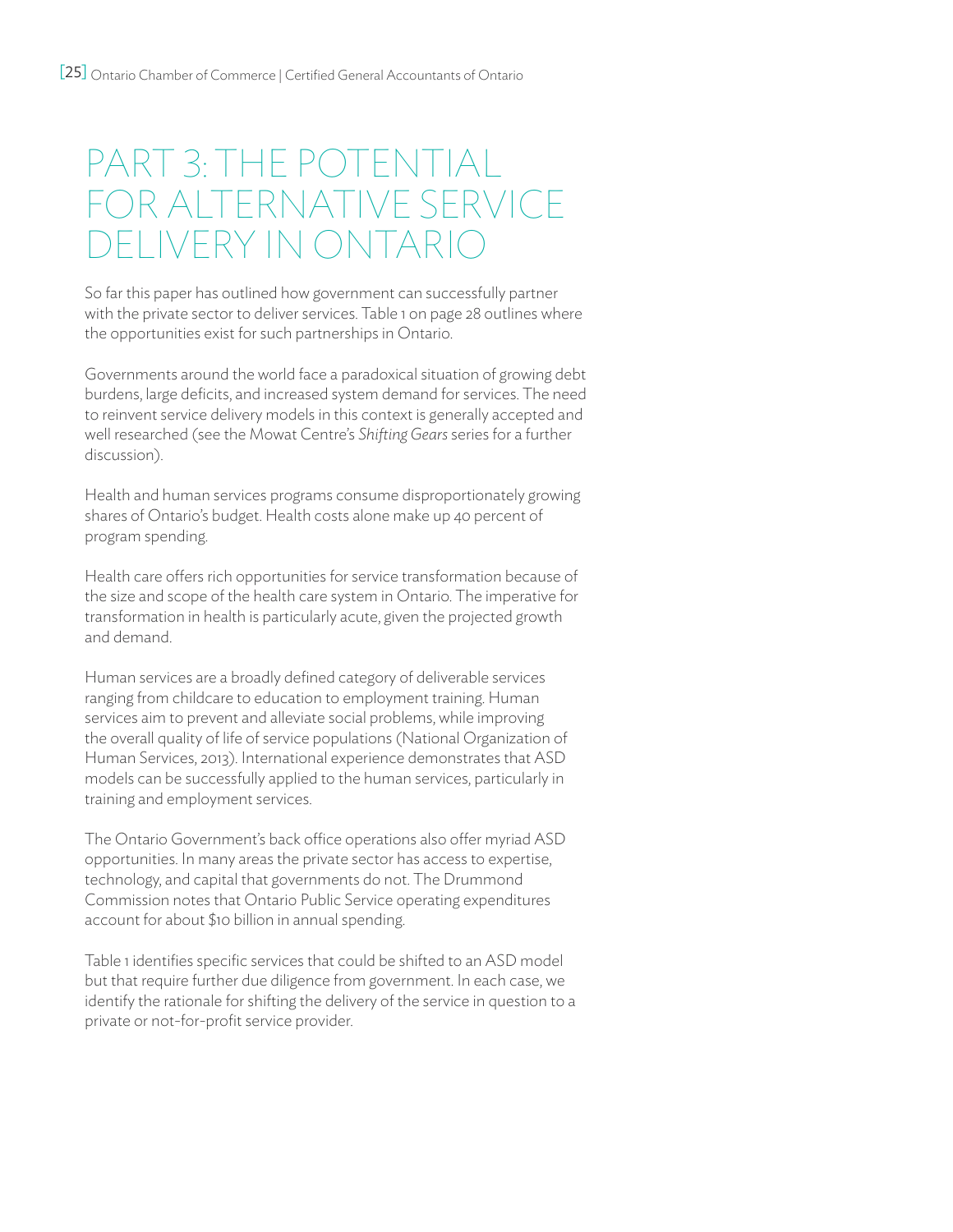# PART 3: THE POTENTIAL FOR Alternative Service DELIVERY IN ONTARI

So far this paper has outlined how government can successfully partner with the private sector to deliver services. Table 1 on page 28 outlines where the opportunities exist for such partnerships in Ontario.

Governments around the world face a paradoxical situation of growing debt burdens, large deficits, and increased system demand for services. The need to reinvent service delivery models in this context is generally accepted and well researched (see the Mowat Centre's *Shifting Gears* series for a further discussion).

Health and human services programs consume disproportionately growing shares of Ontario's budget. Health costs alone make up 40 percent of program spending.

Health care offers rich opportunities for service transformation because of the size and scope of the health care system in Ontario. The imperative for transformation in health is particularly acute, given the projected growth and demand.

Human services are a broadly defined category of deliverable services ranging from childcare to education to employment training. Human services aim to prevent and alleviate social problems, while improving the overall quality of life of service populations (National Organization of Human Services, 2013). International experience demonstrates that ASD models can be successfully applied to the human services, particularly in training and employment services.

The Ontario Government's back office operations also offer myriad ASD opportunities. In many areas the private sector has access to expertise, technology, and capital that governments do not. The Drummond Commission notes that Ontario Public Service operating expenditures account for about \$10 billion in annual spending.

Table 1 identifies specific services that could be shifted to an ASD model but that require further due diligence from government. In each case, we identify the rationale for shifting the delivery of the service in question to a private or not-for-profit service provider.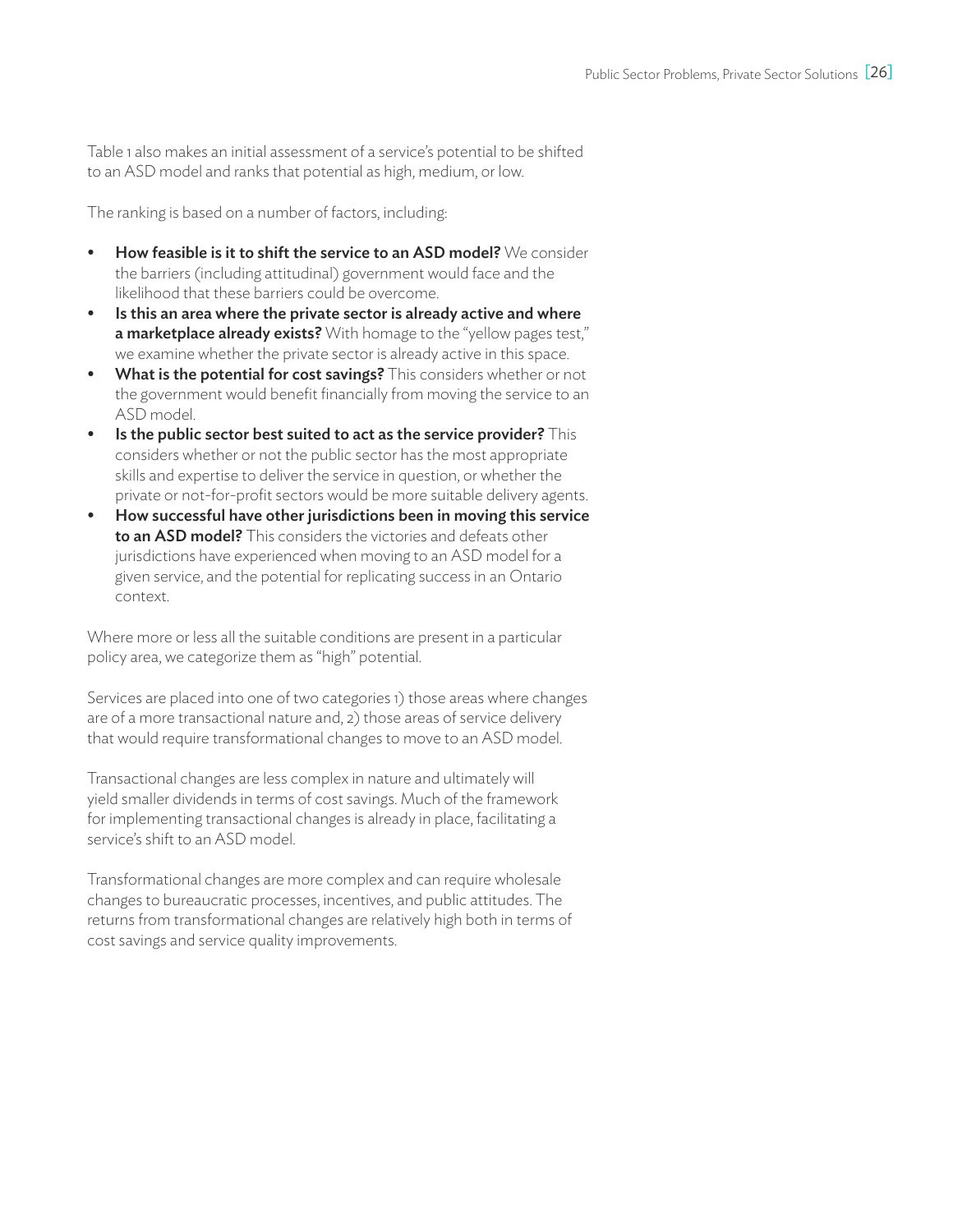Table 1 also makes an initial assessment of a service's potential to be shifted to an ASD model and ranks that potential as high, medium, or low.

The ranking is based on a number of factors, including:

- How feasible is it to shift the service to an ASD model? We consider the barriers (including attitudinal) government would face and the likelihood that these barriers could be overcome.
- Is this an area where the private sector is already active and where a marketplace already exists? With homage to the "yellow pages test," we examine whether the private sector is already active in this space.
- What is the potential for cost savings? This considers whether or not the government would benefit financially from moving the service to an ASD model.
- $\bullet$  Is the public sector best suited to act as the service provider? This considers whether or not the public sector has the most appropriate skills and expertise to deliver the service in question, or whether the private or not-for-profit sectors would be more suitable delivery agents.
- How successful have other jurisdictions been in moving this service to an ASD model? This considers the victories and defeats other jurisdictions have experienced when moving to an ASD model for a given service, and the potential for replicating success in an Ontario context.

Where more or less all the suitable conditions are present in a particular policy area, we categorize them as "high" potential.

Services are placed into one of two categories 1) those areas where changes are of a more transactional nature and, 2) those areas of service delivery that would require transformational changes to move to an ASD model.

Transactional changes are less complex in nature and ultimately will yield smaller dividends in terms of cost savings. Much of the framework for implementing transactional changes is already in place, facilitating a service's shift to an ASD model.

Transformational changes are more complex and can require wholesale changes to bureaucratic processes, incentives, and public attitudes. The returns from transformational changes are relatively high both in terms of cost savings and service quality improvements.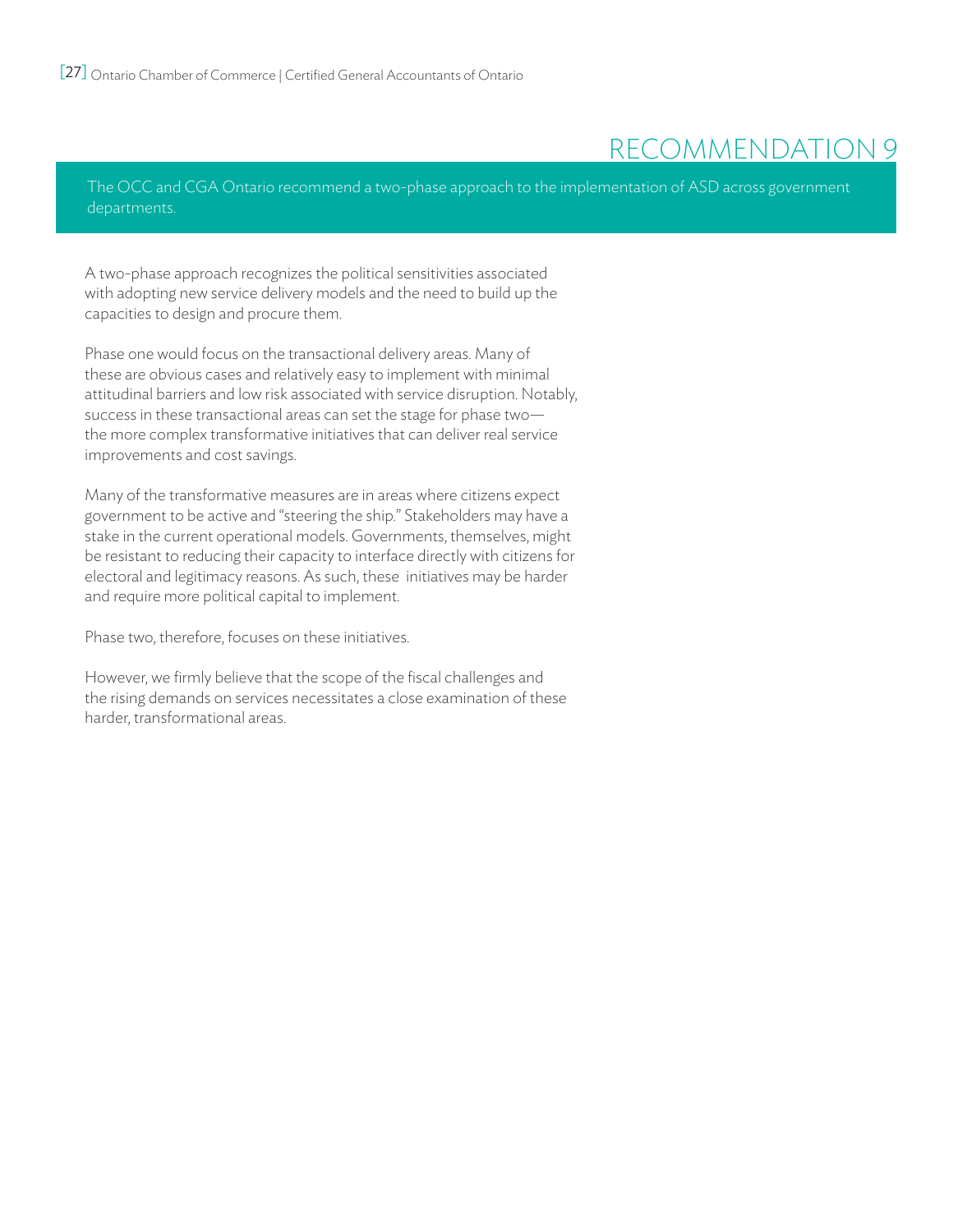## recommendation 9

The OCC and CGA Ontario recommend a two-phase approach to the implementation of ASD across government departments.

A two-phase approach recognizes the political sensitivities associated with adopting new service delivery models and the need to build up the capacities to design and procure them.

Phase one would focus on the transactional delivery areas. Many of these are obvious cases and relatively easy to implement with minimal attitudinal barriers and low risk associated with service disruption. Notably, success in these transactional areas can set the stage for phase two the more complex transformative initiatives that can deliver real service improvements and cost savings.

Many of the transformative measures are in areas where citizens expect government to be active and "steering the ship." Stakeholders may have a stake in the current operational models. Governments, themselves, might be resistant to reducing their capacity to interface directly with citizens for electoral and legitimacy reasons. As such, these initiatives may be harder and require more political capital to implement.

Phase two, therefore, focuses on these initiatives.

However, we firmly believe that the scope of the fiscal challenges and the rising demands on services necessitates a close examination of these harder, transformational areas.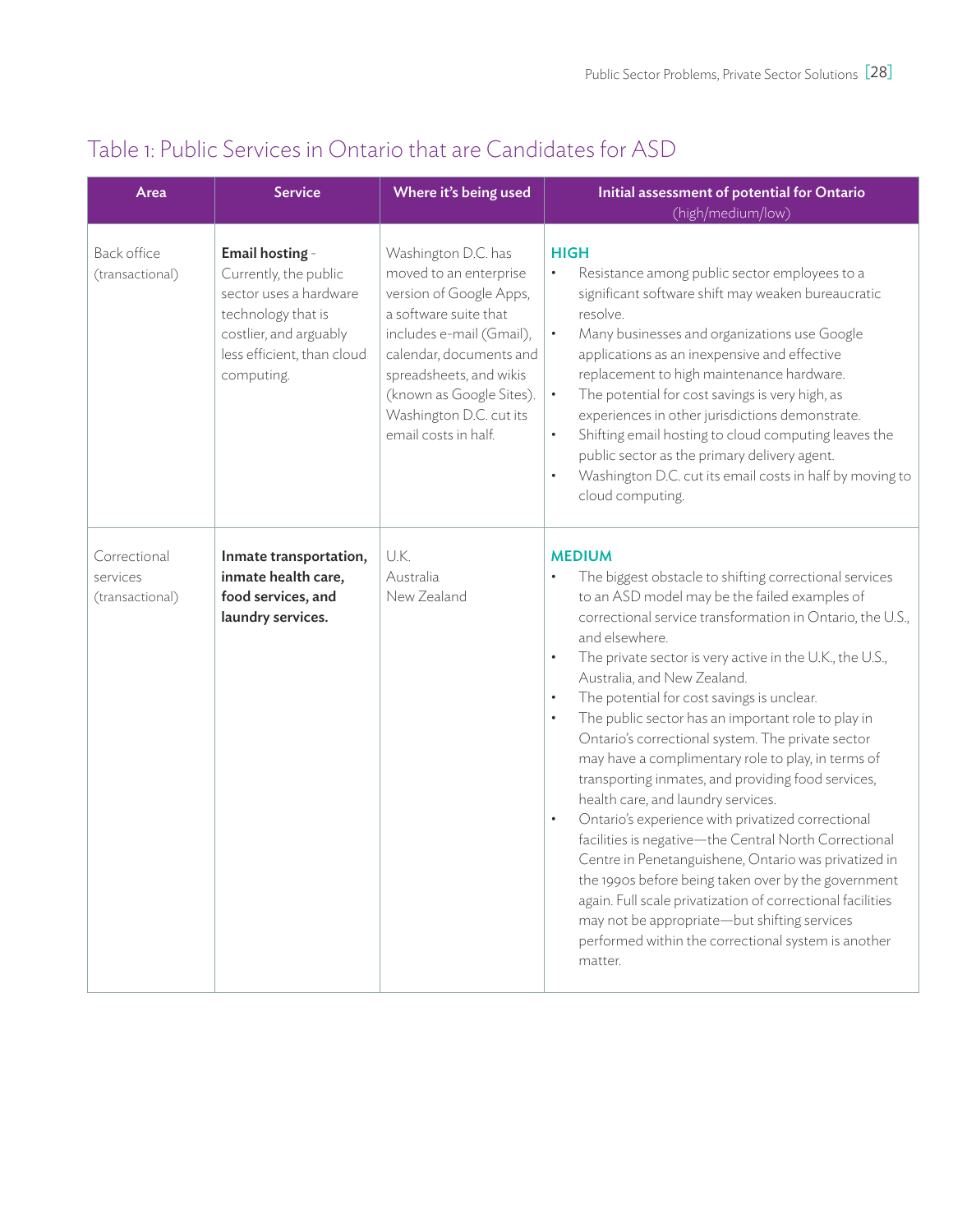| Area                                        | <b>Service</b>                                                                                                                                                 | Where it's being used                                                                                                                                                                                                                                              | Initial assessment of potential for Ontario<br>(high/medium/low)                                                                                                                                                                                                                                                                                                                                                                                                                                                                                                                                                                                                                                                                                                                                                                                                                                                                                                                                                                                                               |
|---------------------------------------------|----------------------------------------------------------------------------------------------------------------------------------------------------------------|--------------------------------------------------------------------------------------------------------------------------------------------------------------------------------------------------------------------------------------------------------------------|--------------------------------------------------------------------------------------------------------------------------------------------------------------------------------------------------------------------------------------------------------------------------------------------------------------------------------------------------------------------------------------------------------------------------------------------------------------------------------------------------------------------------------------------------------------------------------------------------------------------------------------------------------------------------------------------------------------------------------------------------------------------------------------------------------------------------------------------------------------------------------------------------------------------------------------------------------------------------------------------------------------------------------------------------------------------------------|
| <b>Back office</b><br>(transactional)       | Email hosting -<br>Currently, the public<br>sector uses a hardware<br>technology that is<br>costlier, and arguably<br>less efficient, than cloud<br>computing. | Washington D.C. has<br>moved to an enterprise<br>version of Google Apps,<br>a software suite that<br>includes e-mail (Gmail),<br>calendar, documents and<br>spreadsheets, and wikis<br>(known as Google Sites).<br>Washington D.C. cut its<br>email costs in half. | <b>HIGH</b><br>Resistance among public sector employees to a<br>$\bullet$<br>significant software shift may weaken bureaucratic<br>resolve.<br>Many businesses and organizations use Google<br>$\bullet$<br>applications as an inexpensive and effective<br>replacement to high maintenance hardware.<br>The potential for cost savings is very high, as<br>$\bullet$<br>experiences in other jurisdictions demonstrate.<br>Shifting email hosting to cloud computing leaves the<br>$\bullet$<br>public sector as the primary delivery agent.<br>Washington D.C. cut its email costs in half by moving to<br>$\bullet$<br>cloud computing.                                                                                                                                                                                                                                                                                                                                                                                                                                     |
| Correctional<br>services<br>(transactional) | Inmate transportation,<br>inmate health care,<br>food services, and<br>laundry services.                                                                       | U.K.<br>Australia<br>New Zealand                                                                                                                                                                                                                                   | <b>MEDIUM</b><br>The biggest obstacle to shifting correctional services<br>to an ASD model may be the failed examples of<br>correctional service transformation in Ontario, the U.S.,<br>and elsewhere.<br>The private sector is very active in the U.K., the U.S.,<br>$\bullet$<br>Australia, and New Zealand.<br>The potential for cost savings is unclear.<br>$\bullet$<br>The public sector has an important role to play in<br>$\bullet$<br>Ontario's correctional system. The private sector<br>may have a complimentary role to play, in terms of<br>transporting inmates, and providing food services,<br>health care, and laundry services.<br>Ontario's experience with privatized correctional<br>$\bullet$<br>facilities is negative-the Central North Correctional<br>Centre in Penetanguishene, Ontario was privatized in<br>the 1990s before being taken over by the government<br>again. Full scale privatization of correctional facilities<br>may not be appropriate-but shifting services<br>performed within the correctional system is another<br>matter. |

## Table 1: Public Services in Ontario that are Candidates for ASD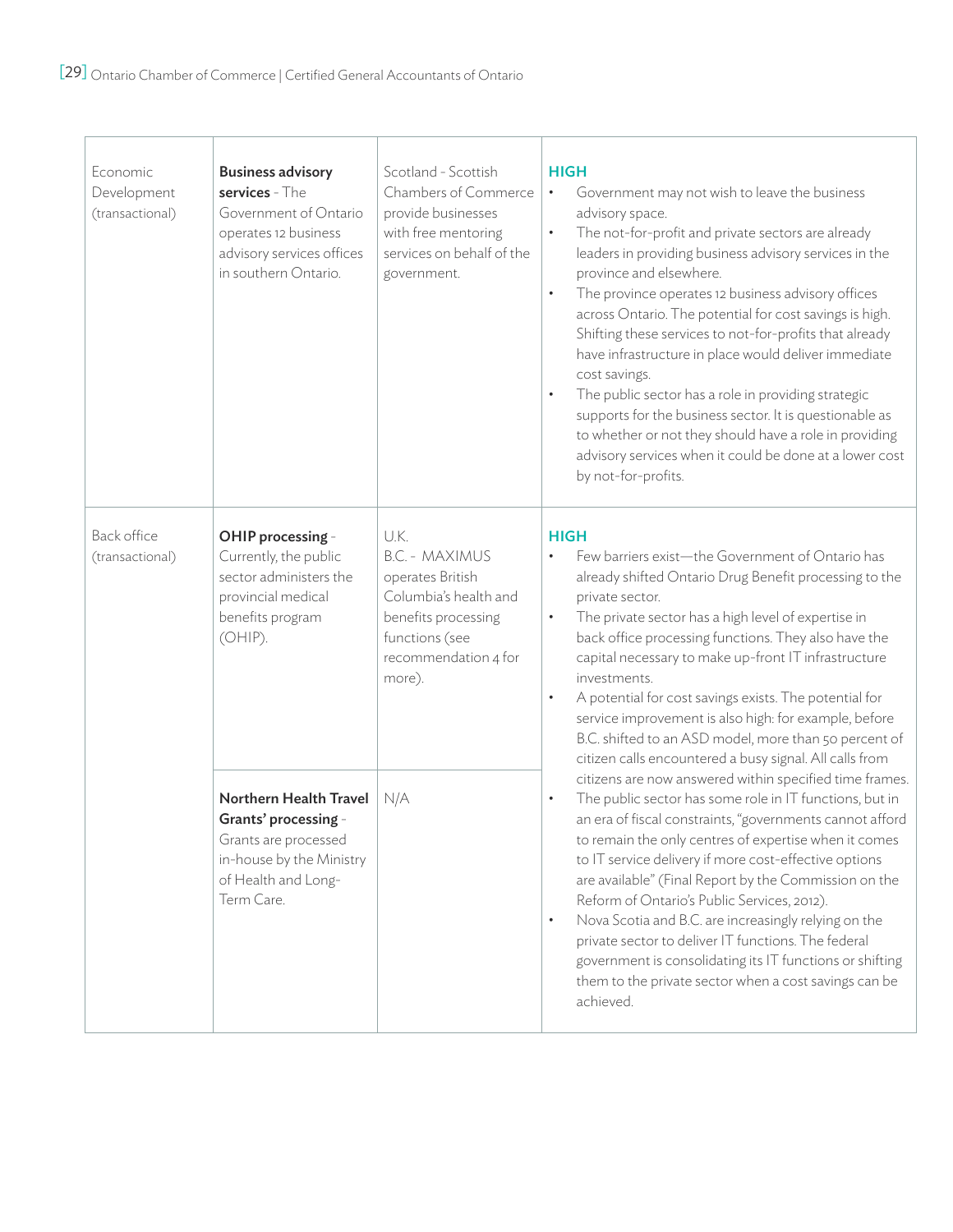| Economic<br>Development<br>(transactional) | <b>Business advisory</b><br>services - The<br>Government of Ontario<br>operates 12 business<br>advisory services offices<br>in southern Ontario. | Scotland - Scottish<br>Chambers of Commerce<br>provide businesses<br>with free mentoring<br>services on behalf of the<br>government.                  | HIGH<br>Government may not wish to leave the business<br>$\bullet$<br>advisory space.<br>$\bullet$<br>The not-for-profit and private sectors are already<br>leaders in providing business advisory services in the<br>province and elsewhere.<br>The province operates 12 business advisory offices<br>$\bullet$<br>across Ontario. The potential for cost savings is high.<br>Shifting these services to not-for-profits that already<br>have infrastructure in place would deliver immediate<br>cost savings.<br>The public sector has a role in providing strategic<br>$\bullet$<br>supports for the business sector. It is questionable as<br>to whether or not they should have a role in providing<br>advisory services when it could be done at a lower cost<br>by not-for-profits. |
|--------------------------------------------|--------------------------------------------------------------------------------------------------------------------------------------------------|-------------------------------------------------------------------------------------------------------------------------------------------------------|--------------------------------------------------------------------------------------------------------------------------------------------------------------------------------------------------------------------------------------------------------------------------------------------------------------------------------------------------------------------------------------------------------------------------------------------------------------------------------------------------------------------------------------------------------------------------------------------------------------------------------------------------------------------------------------------------------------------------------------------------------------------------------------------|
| Back office<br>(transactional)             | OHIP processing -<br>Currently, the public<br>sector administers the<br>provincial medical<br>benefits program<br>(OHIP).                        | U.K.<br><b>B.C. - MAXIMUS</b><br>operates British<br>Columbia's health and<br>benefits processing<br>functions (see<br>recommendation 4 for<br>more). | <b>HIGH</b><br>Few barriers exist-the Government of Ontario has<br>$\bullet$<br>already shifted Ontario Drug Benefit processing to the<br>private sector.<br>The private sector has a high level of expertise in<br>$\bullet$<br>back office processing functions. They also have the<br>capital necessary to make up-front IT infrastructure<br>investments.<br>A potential for cost savings exists. The potential for<br>$\bullet$<br>service improvement is also high: for example, before<br>B.C. shifted to an ASD model, more than 50 percent of<br>citizen calls encountered a busy signal. All calls from                                                                                                                                                                          |
|                                            | Northern Health Travel<br>Grants' processing -<br>Grants are processed<br>in-house by the Ministry<br>of Health and Long-<br>Term Care.          | N/A                                                                                                                                                   | citizens are now answered within specified time frames.<br>The public sector has some role in IT functions, but in<br>$\bullet$<br>an era of fiscal constraints, "governments cannot afford<br>to remain the only centres of expertise when it comes<br>to IT service delivery if more cost-effective options<br>are available" (Final Report by the Commission on the<br>Reform of Ontario's Public Services, 2012).<br>Nova Scotia and B.C. are increasingly relying on the<br>$\bullet$<br>private sector to deliver IT functions. The federal<br>government is consolidating its IT functions or shifting<br>them to the private sector when a cost savings can be<br>achieved.                                                                                                        |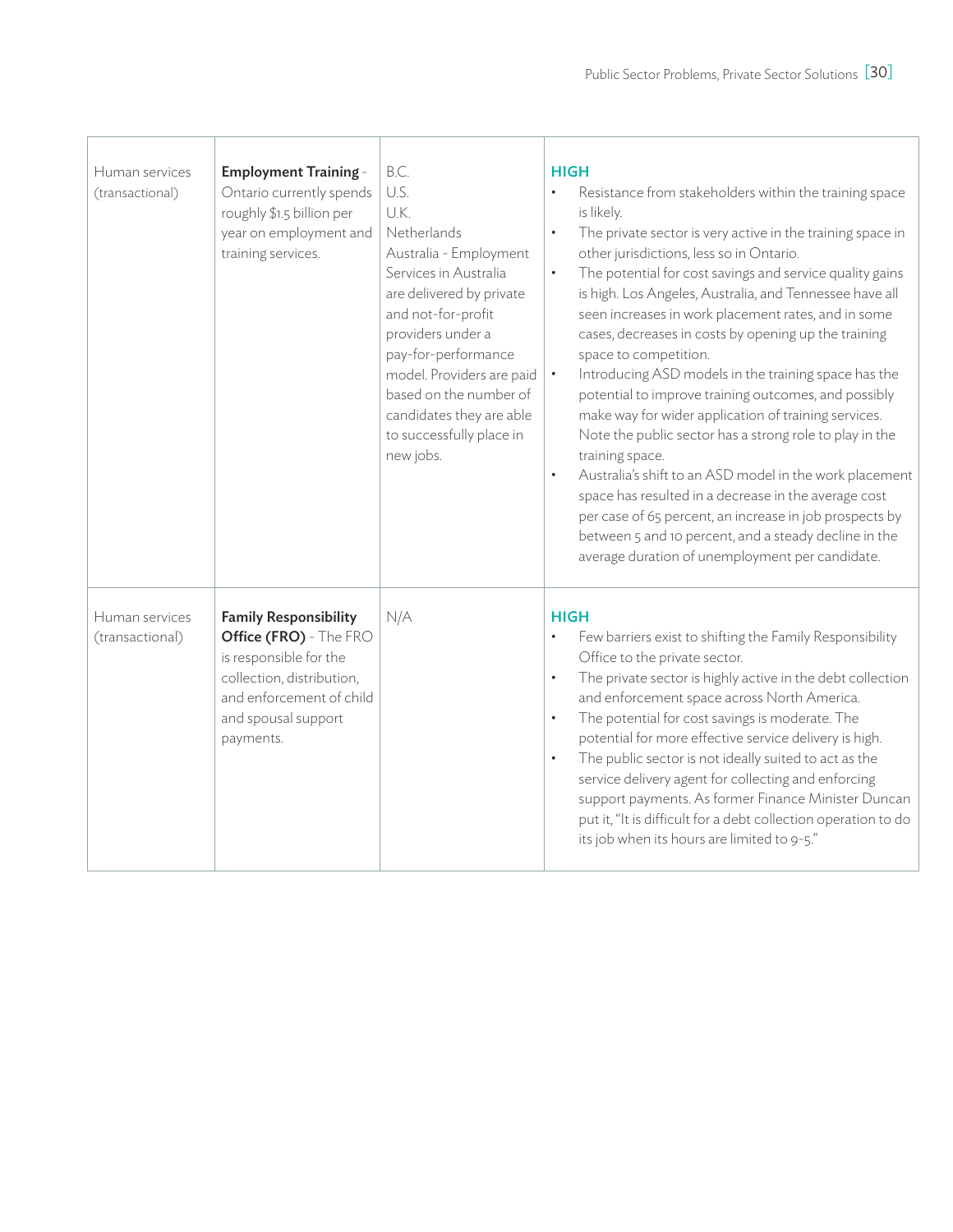| Human services<br>(transactional) | <b>Employment Training -</b><br>Ontario currently spends<br>roughly \$1.5 billion per<br>year on employment and<br>training services.                                         | B.C.<br>U.S.<br>U.K.<br>Netherlands<br>Australia - Employment<br>Services in Australia<br>are delivered by private<br>and not-for-profit<br>providers under a<br>pay-for-performance<br>model. Providers are paid<br>based on the number of<br>candidates they are able<br>to successfully place in<br>new jobs. | <b>HIGH</b><br>Resistance from stakeholders within the training space<br>is likely.<br>The private sector is very active in the training space in<br>$\bullet$<br>other jurisdictions, less so in Ontario.<br>The potential for cost savings and service quality gains<br>$\bullet$<br>is high. Los Angeles, Australia, and Tennessee have all<br>seen increases in work placement rates, and in some<br>cases, decreases in costs by opening up the training<br>space to competition.<br>Introducing ASD models in the training space has the<br>$\bullet$<br>potential to improve training outcomes, and possibly<br>make way for wider application of training services.<br>Note the public sector has a strong role to play in the<br>training space.<br>Australia's shift to an ASD model in the work placement<br>$\bullet$<br>space has resulted in a decrease in the average cost<br>per case of 65 percent, an increase in job prospects by<br>between 5 and 10 percent, and a steady decline in the<br>average duration of unemployment per candidate. |
|-----------------------------------|-------------------------------------------------------------------------------------------------------------------------------------------------------------------------------|------------------------------------------------------------------------------------------------------------------------------------------------------------------------------------------------------------------------------------------------------------------------------------------------------------------|------------------------------------------------------------------------------------------------------------------------------------------------------------------------------------------------------------------------------------------------------------------------------------------------------------------------------------------------------------------------------------------------------------------------------------------------------------------------------------------------------------------------------------------------------------------------------------------------------------------------------------------------------------------------------------------------------------------------------------------------------------------------------------------------------------------------------------------------------------------------------------------------------------------------------------------------------------------------------------------------------------------------------------------------------------------|
| Human services<br>(transactional) | <b>Family Responsibility</b><br>Office (FRO) - The FRO<br>is responsible for the<br>collection, distribution,<br>and enforcement of child<br>and spousal support<br>payments. | N/A                                                                                                                                                                                                                                                                                                              | <b>HIGH</b><br>Few barriers exist to shifting the Family Responsibility<br>$\bullet$<br>Office to the private sector.<br>The private sector is highly active in the debt collection<br>$\bullet$<br>and enforcement space across North America.<br>The potential for cost savings is moderate. The<br>$\bullet$<br>potential for more effective service delivery is high.<br>The public sector is not ideally suited to act as the<br>$\bullet$<br>service delivery agent for collecting and enforcing<br>support payments. As former Finance Minister Duncan<br>put it, "It is difficult for a debt collection operation to do<br>its job when its hours are limited to 9-5."                                                                                                                                                                                                                                                                                                                                                                                   |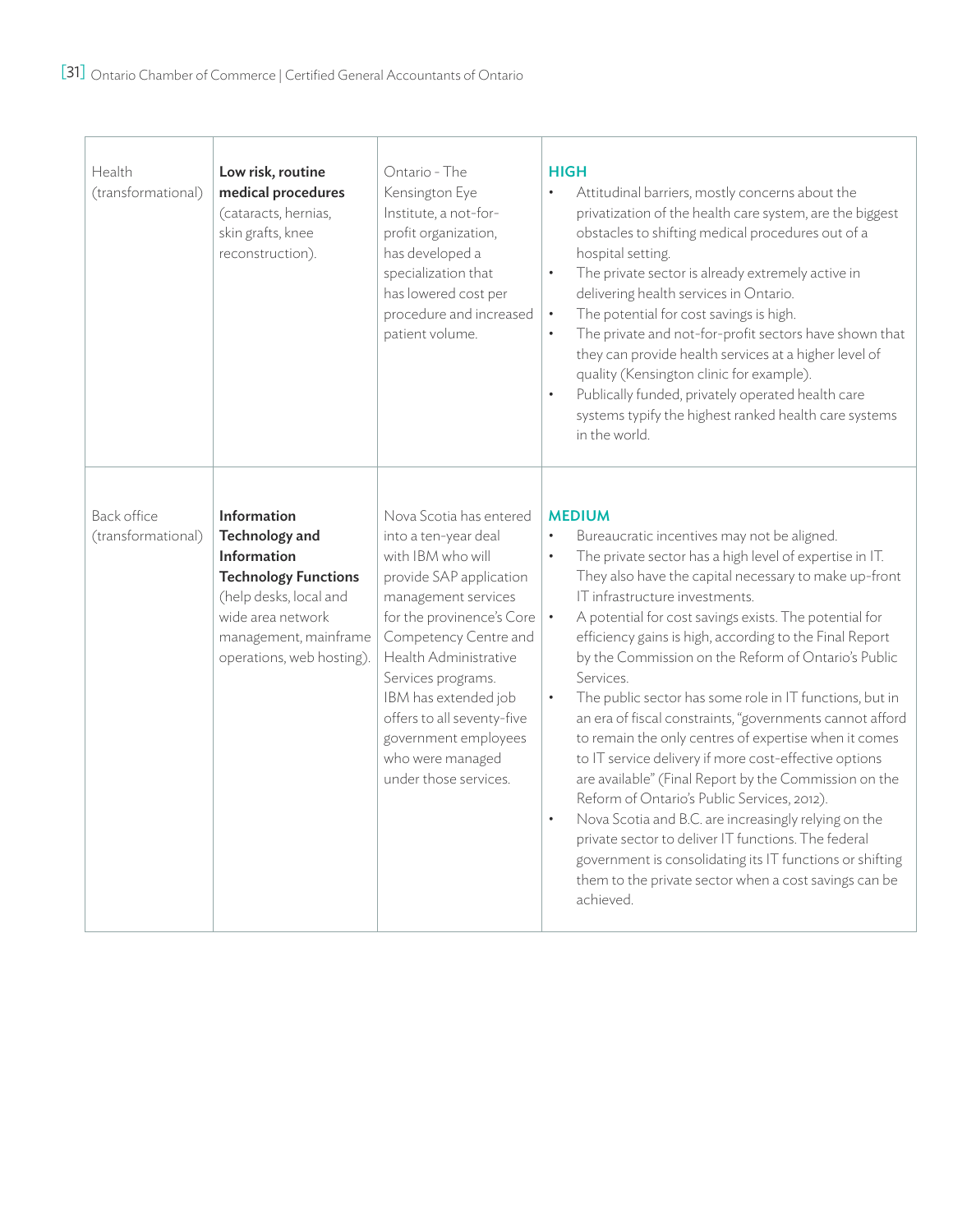| Health<br>(transformational)      | Low risk, routine<br>medical procedures<br>(cataracts, hernias,<br>skin grafts, knee<br>reconstruction).                                                                                | Ontario - The<br>Kensington Eye<br>Institute, a not-for-<br>profit organization,<br>has developed a<br>specialization that<br>has lowered cost per<br>procedure and increased<br>patient volume.                                                                                                                                                       | <b>HIGH</b><br>$\bullet$<br>Attitudinal barriers, mostly concerns about the<br>privatization of the health care system, are the biggest<br>obstacles to shifting medical procedures out of a<br>hospital setting.<br>The private sector is already extremely active in<br>$\bullet$<br>delivering health services in Ontario.<br>The potential for cost savings is high.<br>$\bullet$<br>The private and not-for-profit sectors have shown that<br>$\bullet$<br>they can provide health services at a higher level of<br>quality (Kensington clinic for example).<br>Publically funded, privately operated health care<br>$\bullet$<br>systems typify the highest ranked health care systems<br>in the world.                                                                                                                                                                                                                                                                                                                                                                  |
|-----------------------------------|-----------------------------------------------------------------------------------------------------------------------------------------------------------------------------------------|--------------------------------------------------------------------------------------------------------------------------------------------------------------------------------------------------------------------------------------------------------------------------------------------------------------------------------------------------------|--------------------------------------------------------------------------------------------------------------------------------------------------------------------------------------------------------------------------------------------------------------------------------------------------------------------------------------------------------------------------------------------------------------------------------------------------------------------------------------------------------------------------------------------------------------------------------------------------------------------------------------------------------------------------------------------------------------------------------------------------------------------------------------------------------------------------------------------------------------------------------------------------------------------------------------------------------------------------------------------------------------------------------------------------------------------------------|
| Back office<br>(transformational) | Information<br><b>Technology and</b><br>Information<br><b>Technology Functions</b><br>(help desks, local and<br>wide area network<br>management, mainframe<br>operations, web hosting). | Nova Scotia has entered<br>into a ten-year deal<br>with IBM who will<br>provide SAP application<br>management services<br>for the provinence's Core<br>Competency Centre and<br>Health Administrative<br>Services programs.<br>IBM has extended job<br>offers to all seventy-five<br>government employees<br>who were managed<br>under those services. | <b>MEDIUM</b><br>$\bullet$<br>Bureaucratic incentives may not be aligned.<br>The private sector has a high level of expertise in IT.<br>$\bullet$<br>They also have the capital necessary to make up-front<br>IT infrastructure investments.<br>$\bullet$<br>A potential for cost savings exists. The potential for<br>efficiency gains is high, according to the Final Report<br>by the Commission on the Reform of Ontario's Public<br>Services.<br>The public sector has some role in IT functions, but in<br>$\bullet$<br>an era of fiscal constraints, "governments cannot afford<br>to remain the only centres of expertise when it comes<br>to IT service delivery if more cost-effective options<br>are available" (Final Report by the Commission on the<br>Reform of Ontario's Public Services, 2012).<br>Nova Scotia and B.C. are increasingly relying on the<br>$\bullet$<br>private sector to deliver IT functions. The federal<br>government is consolidating its IT functions or shifting<br>them to the private sector when a cost savings can be<br>achieved. |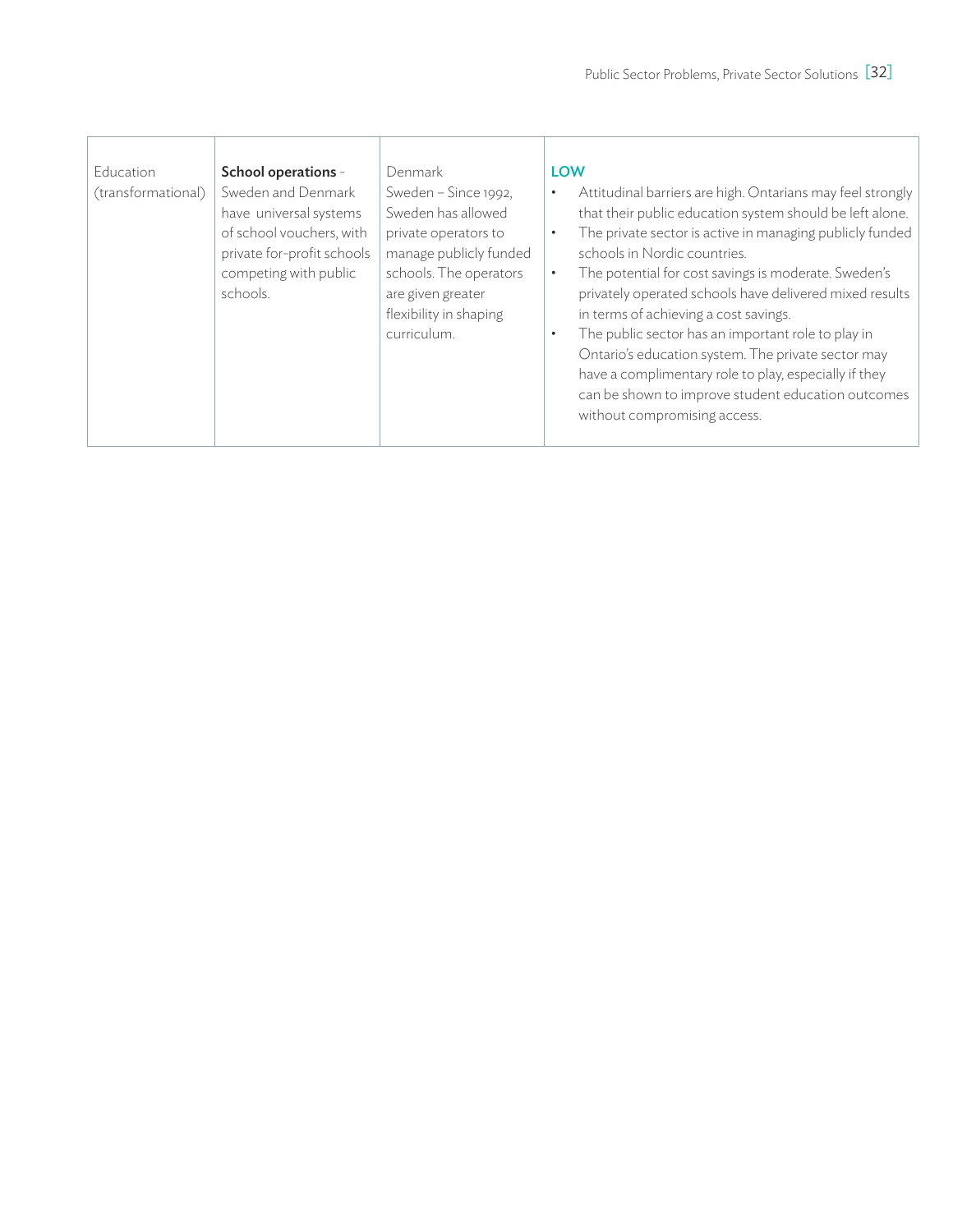| Education<br>(transformational) | School operations -<br>Sweden and Denmark<br>have universal systems<br>of school vouchers, with<br>private for-profit schools<br>competing with public<br>schools. | Denmark<br>Sweden - Since 1992,<br>Sweden has allowed<br>private operators to<br>manage publicly funded<br>schools. The operators<br>are given greater<br>flexibility in shaping<br>curriculum. | <b>LOW</b><br>Attitudinal barriers are high. Ontarians may feel strongly<br>$\bullet$<br>that their public education system should be left alone.<br>The private sector is active in managing publicly funded<br>$\bullet$<br>schools in Nordic countries.<br>The potential for cost savings is moderate. Sweden's<br>$\bullet$<br>privately operated schools have delivered mixed results<br>in terms of achieving a cost savings.<br>The public sector has an important role to play in<br>$\bullet$<br>Ontario's education system. The private sector may<br>have a complimentary role to play, especially if they<br>can be shown to improve student education outcomes<br>without compromising access. |
|---------------------------------|--------------------------------------------------------------------------------------------------------------------------------------------------------------------|-------------------------------------------------------------------------------------------------------------------------------------------------------------------------------------------------|-------------------------------------------------------------------------------------------------------------------------------------------------------------------------------------------------------------------------------------------------------------------------------------------------------------------------------------------------------------------------------------------------------------------------------------------------------------------------------------------------------------------------------------------------------------------------------------------------------------------------------------------------------------------------------------------------------------|
|---------------------------------|--------------------------------------------------------------------------------------------------------------------------------------------------------------------|-------------------------------------------------------------------------------------------------------------------------------------------------------------------------------------------------|-------------------------------------------------------------------------------------------------------------------------------------------------------------------------------------------------------------------------------------------------------------------------------------------------------------------------------------------------------------------------------------------------------------------------------------------------------------------------------------------------------------------------------------------------------------------------------------------------------------------------------------------------------------------------------------------------------------|

т

Т

I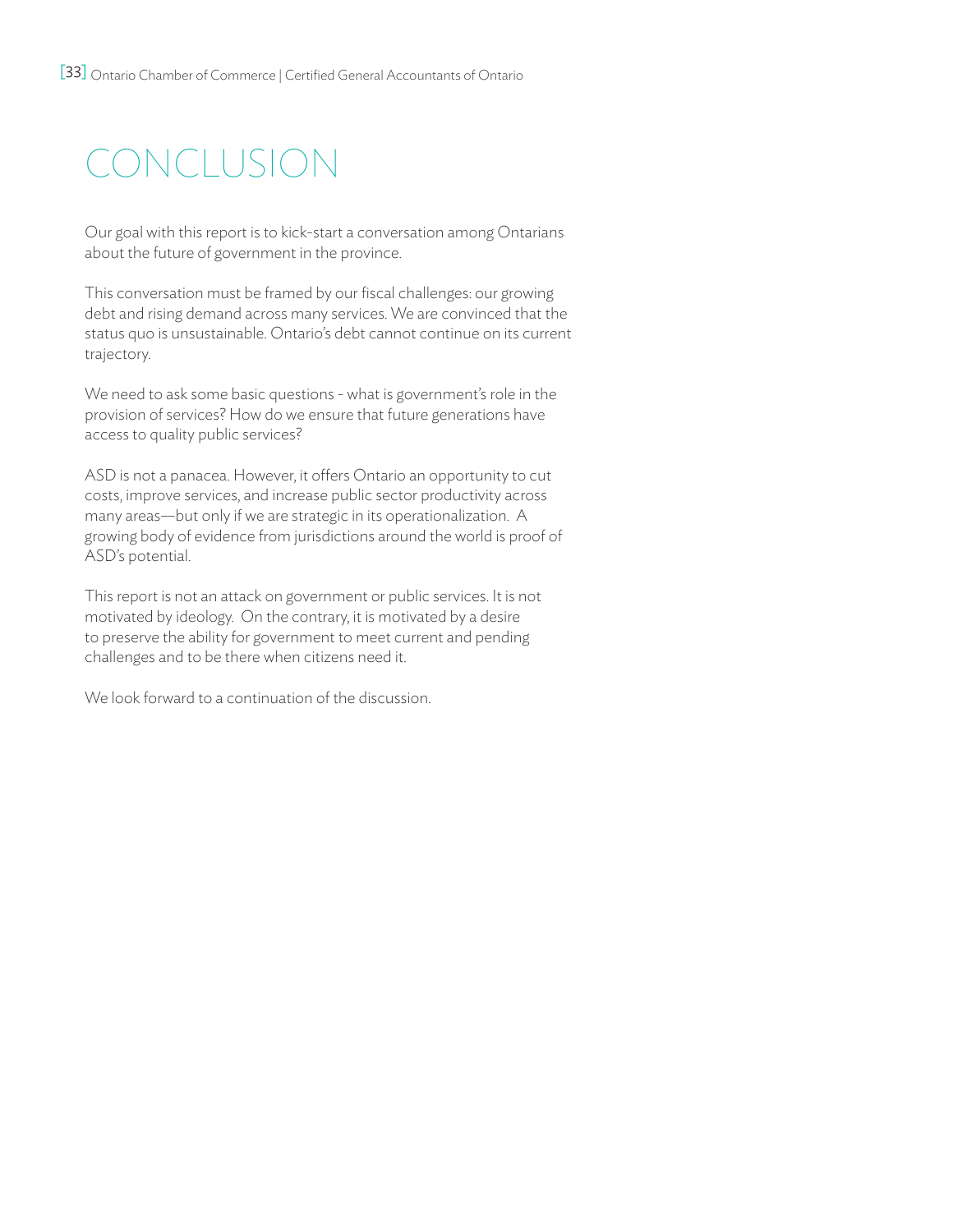# conclusion

Our goal with this report is to kick-start a conversation among Ontarians about the future of government in the province.

This conversation must be framed by our fiscal challenges: our growing debt and rising demand across many services. We are convinced that the status quo is unsustainable. Ontario's debt cannot continue on its current trajectory.

We need to ask some basic questions - what is government's role in the provision of services? How do we ensure that future generations have access to quality public services?

ASD is not a panacea. However, it offers Ontario an opportunity to cut costs, improve services, and increase public sector productivity across many areas—but only if we are strategic in its operationalization. A growing body of evidence from jurisdictions around the world is proof of ASD's potential.

This report is not an attack on government or public services. It is not motivated by ideology. On the contrary, it is motivated by a desire to preserve the ability for government to meet current and pending challenges and to be there when citizens need it.

We look forward to a continuation of the discussion.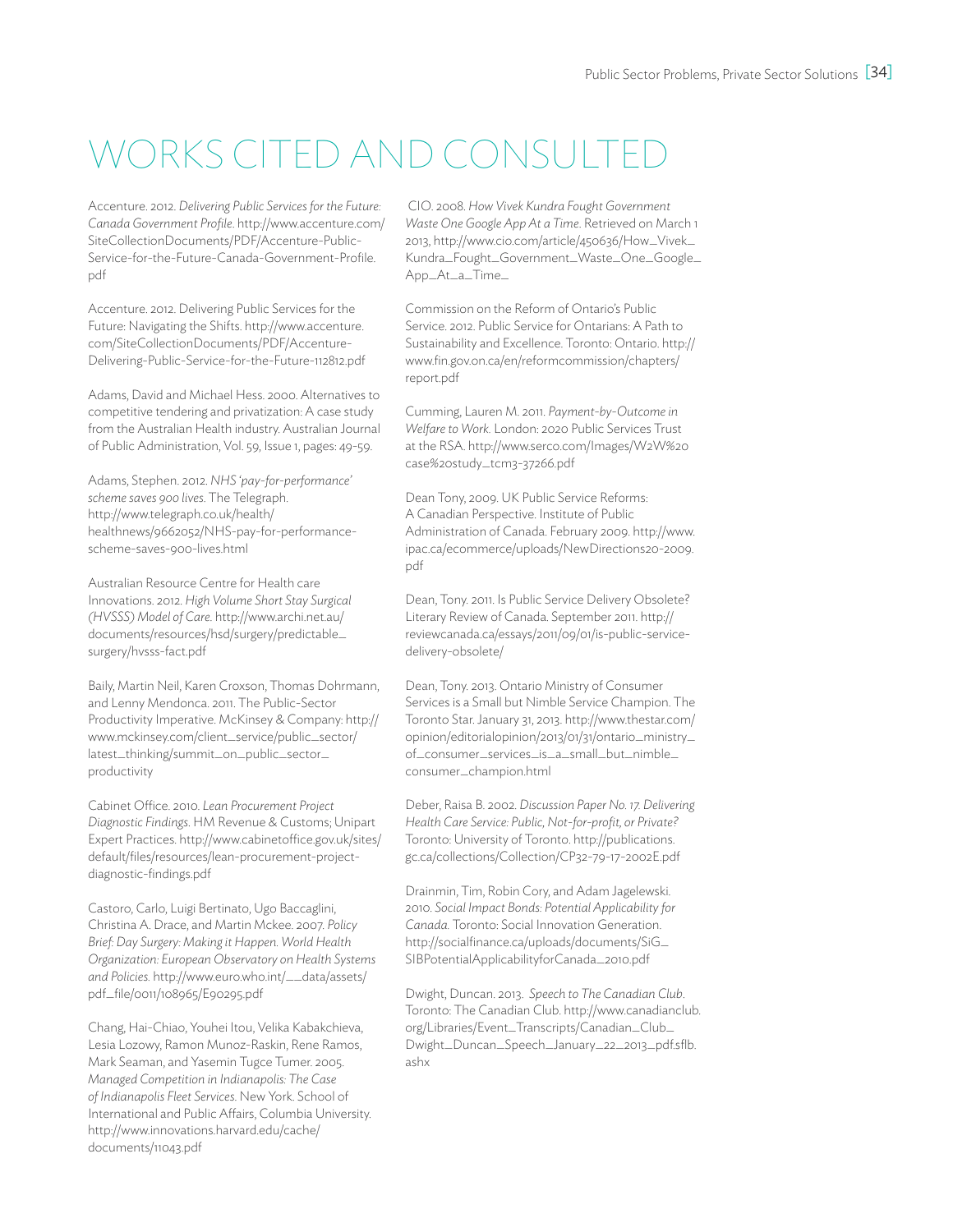# WORKS CITED AND CONSULTE

Accenture. 2012. *Delivering Public Services for the Future: Canada Government Profile*. http://www.accenture.com/ SiteCollectionDocuments/PDF/Accenture-Public-Service-for-the-Future-Canada-Government-Profile. pdf

Accenture. 2012. Delivering Public Services for the Future: Navigating the Shifts. http://www.accenture. com/SiteCollectionDocuments/PDF/Accenture-Delivering-Public-Service-for-the-Future-112812.pdf

Adams, David and Michael Hess. 2000. Alternatives to competitive tendering and privatization: A case study from the Australian Health industry. Australian Journal of Public Administration, Vol. 59, Issue 1, pages: 49-59.

Adams, Stephen. 2012. *NHS 'pay-for-performance' scheme saves 900 lives*. The Telegraph. http://www.telegraph.co.uk/health/ healthnews/9662052/NHS-pay-for-performancescheme-saves-900-lives.html

Australian Resource Centre for Health care Innovations. 2012. *High Volume Short Stay Surgical (HVSSS) Model of Care*. http://www.archi.net.au/ documents/resources/hsd/surgery/predictable\_ surgery/hvsss-fact.pdf

Baily, Martin Neil, Karen Croxson, Thomas Dohrmann, and Lenny Mendonca. 2011. The Public-Sector Productivity Imperative. McKinsey & Company: http:// www.mckinsey.com/client\_service/public\_sector/ latest\_thinking/summit\_on\_public\_sector\_ productivity

Cabinet Office. 2010. *Lean Procurement Project Diagnostic Findings*. HM Revenue & Customs; Unipart Expert Practices. http://www.cabinetoffice.gov.uk/sites/ default/files/resources/lean-procurement-projectdiagnostic-findings.pdf

Castoro, Carlo, Luigi Bertinato, Ugo Baccaglini, Christina A. Drace, and Martin Mckee. 2007. *Policy Brief: Day Surgery: Making it Happen. World Health Organization: European Observatory on Health Systems and Policies.* http://www.euro.who.int/\_\_data/assets/ pdf\_file/0011/108965/E90295.pdf

Chang, Hai-Chiao, Youhei Itou, Velika Kabakchieva, Lesia Lozowy, Ramon Munoz-Raskin, Rene Ramos, Mark Seaman, and Yasemin Tugce Tumer. 2005. *Managed Competition in Indianapolis: The Case of Indianapolis Fleet Services*. New York. School of International and Public Affairs, Columbia University. http://www.innovations.harvard.edu/cache/ documents/11043.pdf

 CIO. 2008. *How Vivek Kundra Fought Government Waste One Google App At a Time*. Retrieved on March 1 2013, http://www.cio.com/article/450636/How\_Vivek\_ Kundra\_Fought\_Government\_Waste\_One\_Google\_ App\_At\_a\_Time\_

Commission on the Reform of Ontario's Public Service. 2012. Public Service for Ontarians: A Path to Sustainability and Excellence. Toronto: Ontario. http:// www.fin.gov.on.ca/en/reformcommission/chapters/ report.pdf

Cumming, Lauren M. 2011. *Payment-by-Outcome in Welfare to Work.* London: 2020 Public Services Trust at the RSA. http://www.serco.com/Images/W2W%20 case%20study\_tcm3-37266.pdf

Dean Tony, 2009. UK Public Service Reforms: A Canadian Perspective. Institute of Public Administration of Canada. February 2009. http://www. ipac.ca/ecommerce/uploads/NewDirections20-2009. pdf

Dean, Tony. 2011. Is Public Service Delivery Obsolete? Literary Review of Canada. September 2011. http:// reviewcanada.ca/essays/2011/09/01/is-public-servicedelivery-obsolete/

Dean, Tony. 2013. Ontario Ministry of Consumer Services is a Small but Nimble Service Champion. The Toronto Star. January 31, 2013. http://www.thestar.com/ opinion/editorialopinion/2013/01/31/ontario\_ministry\_ of\_consumer\_services\_is\_a\_small\_but\_nimble\_ consumer\_champion.html

Deber, Raisa B. 2002. *Discussion Paper No. 17. Delivering Health Care Service: Public, Not-for-profit, or Private?* Toronto: University of Toronto. http://publications. gc.ca/collections/Collection/CP32-79-17-2002E.pdf

Drainmin, Tim, Robin Cory, and Adam Jagelewski. 2010. *Social Impact Bonds: Potential Applicability for Canada.* Toronto: Social Innovation Generation. http://socialfinance.ca/uploads/documents/SiG\_ SIBPotentialApplicabilityforCanada\_2010.pdf

Dwight, Duncan. 2013. *Speech to The Canadian Club*. Toronto: The Canadian Club. http://www.canadianclub. org/Libraries/Event\_Transcripts/Canadian\_Club\_ Dwight\_Duncan\_Speech\_January\_22\_2013\_pdf.sflb. ashx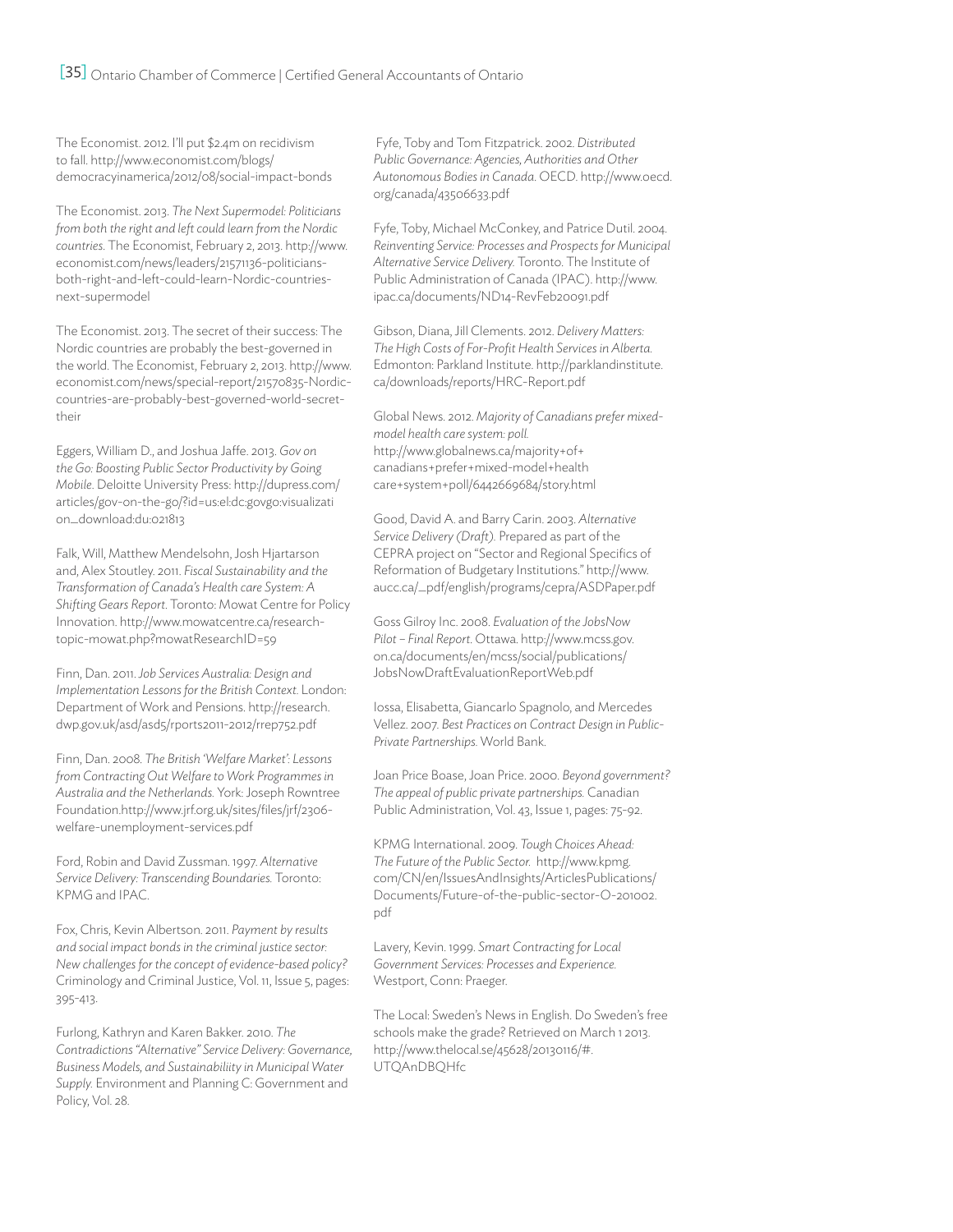[35] Ontario Chamber of Commerce | Certified General Accountants of Ontario

The Economist. 2012. I'll put \$2.4m on recidivism to fall. http://www.economist.com/blogs/ democracyinamerica/2012/08/social-impact-bonds

The Economist. 2013. *The Next Supermodel: Politicians from both the right and left could learn from the Nordic countries*. The Economist, February 2, 2013. http://www. economist.com/news/leaders/21571136-politiciansboth-right-and-left-could-learn-Nordic-countriesnext-supermodel

The Economist. 2013. The secret of their success: The Nordic countries are probably the best-governed in the world. The Economist, February 2, 2013. http://www. economist.com/news/special-report/21570835-Nordiccountries-are-probably-best-governed-world-secrettheir

Eggers, William D., and Joshua Jaffe. 2013. *Gov on the Go: Boosting Public Sector Productivity by Going Mobile*. Deloitte University Press: http://dupress.com/ articles/gov-on-the-go/?id=us:el:dc:govgo:visualizati on\_download:du:021813

Falk, Will, Matthew Mendelsohn, Josh Hjartarson and, Alex Stoutley. 2011. *Fiscal Sustainability and the Transformation of Canada's Health care System: A Shifting Gears Report*. Toronto: Mowat Centre for Policy Innovation. http://www.mowatcentre.ca/researchtopic-mowat.php?mowatResearchID=59

Finn, Dan. 2011. *Job Services Australia: Design and Implementation Lessons for the British Context.* London: Department of Work and Pensions. http://research. dwp.gov.uk/asd/asd5/rports2011-2012/rrep752.pdf

Finn, Dan. 2008. *The British 'Welfare Market': Lessons from Contracting Out Welfare to Work Programmes in Australia and the Netherlands.* York: Joseph Rowntree Foundation.http://www.jrf.org.uk/sites/files/jrf/2306 welfare-unemployment-services.pdf

Ford, Robin and David Zussman. 1997. *Alternative Service Delivery: Transcending Boundaries.* Toronto: KPMG and IPAC.

Fox, Chris, Kevin Albertson. 2011. *Payment by results and social impact bonds in the criminal justice sector: New challenges for the concept of evidence-based policy?*  Criminology and Criminal Justice, Vol. 11, Issue 5, pages: 395-413.

Furlong, Kathryn and Karen Bakker. 2010. *The Contradictions "Alternative" Service Delivery: Governance, Business Models, and Sustainabiliity in Municipal Water Supply.* Environment and Planning C: Government and Policy, Vol. 28.

 Fyfe, Toby and Tom Fitzpatrick. 2002. *Distributed Public Governance: Agencies, Authorities and Other Autonomous Bodies in Canada*. OECD. http://www.oecd. org/canada/43506633.pdf

Fyfe, Toby, Michael McConkey, and Patrice Dutil. 2004. *Reinventing Service: Processes and Prospects for Municipal Alternative Service Delivery.* Toronto. The Institute of Public Administration of Canada (IPAC). http://www. ipac.ca/documents/ND14-RevFeb20091.pdf

Gibson, Diana, Jill Clements. 2012. *Delivery Matters: The High Costs of For-Profit Health Services in Alberta.* Edmonton: Parkland Institute. http://parklandinstitute. ca/downloads/reports/HRC-Report.pdf

Global News. 2012. *Majority of Canadians prefer mixedmodel health care system: poll.* http://www.globalnews.ca/majority+of+ canadians+prefer+mixed-model+health care+system+poll/6442669684/story.html

Good, David A. and Barry Carin. 2003. *Alternative Service Delivery (Draft).* Prepared as part of the CEPRA project on "Sector and Regional Specifics of Reformation of Budgetary Institutions." http://www. aucc.ca/\_pdf/english/programs/cepra/ASDPaper.pdf

Goss Gilroy Inc. 2008. *Evaluation of the JobsNow Pilot – Final Report*. Ottawa. http://www.mcss.gov. on.ca/documents/en/mcss/social/publications/ JobsNowDraftEvaluationReportWeb.pdf

Iossa, Elisabetta, Giancarlo Spagnolo, and Mercedes Vellez. 2007. *Best Practices on Contract Design in Public-Private Partnerships.* World Bank.

Joan Price Boase, Joan Price. 2000. *Beyond government? The appeal of public private partnerships.* Canadian Public Administration, Vol. 43, Issue 1, pages: 75-92.

KPMG International. 2009. *Tough Choices Ahead: The Future of the Public Sector.* http://www.kpmg. com/CN/en/IssuesAndInsights/ArticlesPublications/ Documents/Future-of-the-public-sector-O-201002. pdf

Lavery, Kevin. 1999. *Smart Contracting for Local Government Services: Processes and Experience.* Westport, Conn: Praeger.

The Local: Sweden's News in English. Do Sweden's free schools make the grade? Retrieved on March 1 2013. http://www.thelocal.se/45628/20130116/#. UTQAnDBQHfc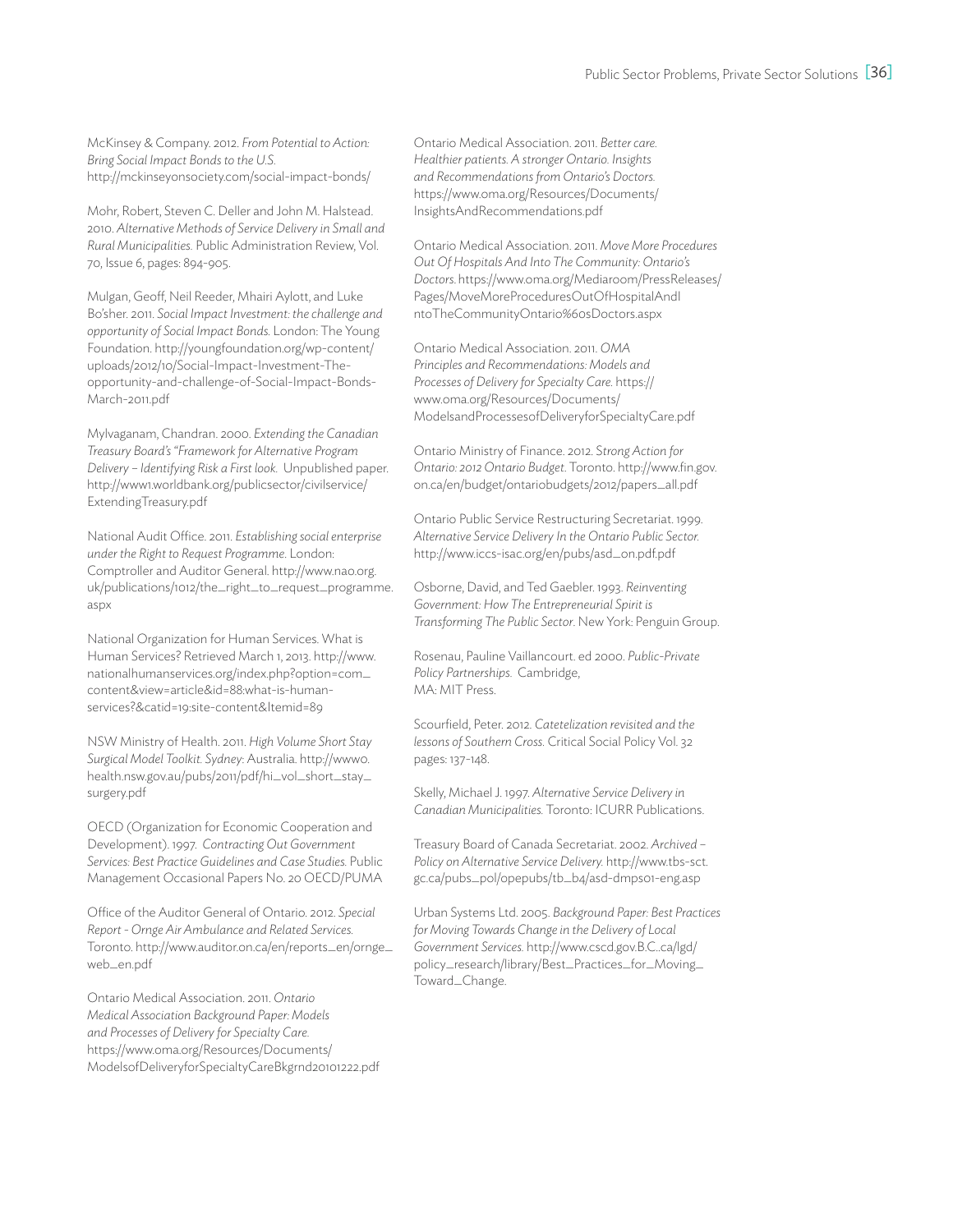McKinsey & Company. 2012. *From Potential to Action: Bring Social Impact Bonds to the U.S.* http://mckinseyonsociety.com/social-impact-bonds/

Mohr, Robert, Steven C. Deller and John M. Halstead. 2010. *Alternative Methods of Service Delivery in Small and Rural Municipalities.* Public Administration Review, Vol. 70, Issue 6, pages: 894-905.

Mulgan, Geoff, Neil Reeder, Mhairi Aylott, and Luke Bo'sher. 2011. *Social Impact Investment: the challenge and opportunity of Social Impact Bonds.* London: The Young Foundation. http://youngfoundation.org/wp-content/ uploads/2012/10/Social-Impact-Investment-Theopportunity-and-challenge-of-Social-Impact-Bonds-March-2011.pdf

Mylvaganam, Chandran. 2000. *Extending the Canadian Treasury Board's "Framework for Alternative Program Delivery – Identifying Risk a First look.* Unpublished paper. http://www1.worldbank.org/publicsector/civilservice/ ExtendingTreasury.pdf

National Audit Office. 2011. *Establishing social enterprise under the Right to Request Programme*. London: Comptroller and Auditor General. http://www.nao.org. uk/publications/1012/the\_right\_to\_request\_programme. aspx

National Organization for Human Services. What is Human Services? Retrieved March 1, 2013. http://www. nationalhumanservices.org/index.php?option=com\_ content&view=article&id=88:what-is-humanservices?&catid=19:site-content&Itemid=89

NSW Ministry of Health. 2011. *High Volume Short Stay Surgical Model Toolkit. Sydney*: Australia. http://www0. health.nsw.gov.au/pubs/2011/pdf/hi\_vol\_short\_stay\_ surgery.pdf

OECD (Organization for Economic Cooperation and Development). 1997. *Contracting Out Government Services: Best Practice Guidelines and Case Studies.* Public Management Occasional Papers No. 20 OECD/PUMA

Office of the Auditor General of Ontario. 2012. *Special Report - Ornge Air Ambulance and Related Services.* Toronto. http://www.auditor.on.ca/en/reports\_en/ornge\_ web\_en.pdf

Ontario Medical Association. 2011. *Ontario Medical Association Background Paper: Models and Processes of Delivery for Specialty Care.*  https://www.oma.org/Resources/Documents/ ModelsofDeliveryforSpecialtyCareBkgrnd20101222.pdf

Ontario Medical Association. 2011. *Better care. Healthier patients. A stronger Ontario. Insights and Recommendations from Ontario's Doctors.* https://www.oma.org/Resources/Documents/ InsightsAndRecommendations.pdf

Ontario Medical Association. 2011. *Move More Procedures Out Of Hospitals And Into The Community: Ontario's Doctors*. https://www.oma.org/Mediaroom/PressReleases/ Pages/MoveMoreProceduresOutOfHospitalAndI ntoTheCommunityOntario%60sDoctors.aspx

Ontario Medical Association. 2011. *OMA Principles and Recommendations: Models and Processes of Delivery for Specialty Care.* https:// www.oma.org/Resources/Documents/ ModelsandProcessesofDeliveryforSpecialtyCare.pdf

Ontario Ministry of Finance. 2012. S*trong Action for Ontario: 2012 Ontario Budget*. Toronto. http://www.fin.gov. on.ca/en/budget/ontariobudgets/2012/papers\_all.pdf

Ontario Public Service Restructuring Secretariat. 1999. *Alternative Service Delivery In the Ontario Public Sector.* http://www.iccs-isac.org/en/pubs/asd\_on.pdf.pdf

Osborne, David, and Ted Gaebler. 1993. *Reinventing Government: How The Entrepreneurial Spirit is Transforming The Public Sector*. New York: Penguin Group.

Rosenau, Pauline Vaillancourt. ed 2000. *Public-Private Policy Partnerships.* Cambridge, MA: MIT Press.

Scourfield, Peter. 2012. *Catetelization revisited and the lessons of Southern Cross.* Critical Social Policy Vol. 32 pages: 137-148.

Skelly, Michael J. 1997. *Alternative Service Delivery in Canadian Municipalities.* Toronto: ICURR Publications.

Treasury Board of Canada Secretariat. 2002. *Archived – Policy on Alternative Service Delivery.* http://www.tbs-sct. gc.ca/pubs\_pol/opepubs/tb\_b4/asd-dmps01-eng.asp

Urban Systems Ltd. 2005. *Background Paper: Best Practices for Moving Towards Change in the Delivery of Local Government Services.* http://www.cscd.gov.B.C..ca/lgd/ policy\_research/library/Best\_Practices\_for\_Moving\_ Toward\_Change.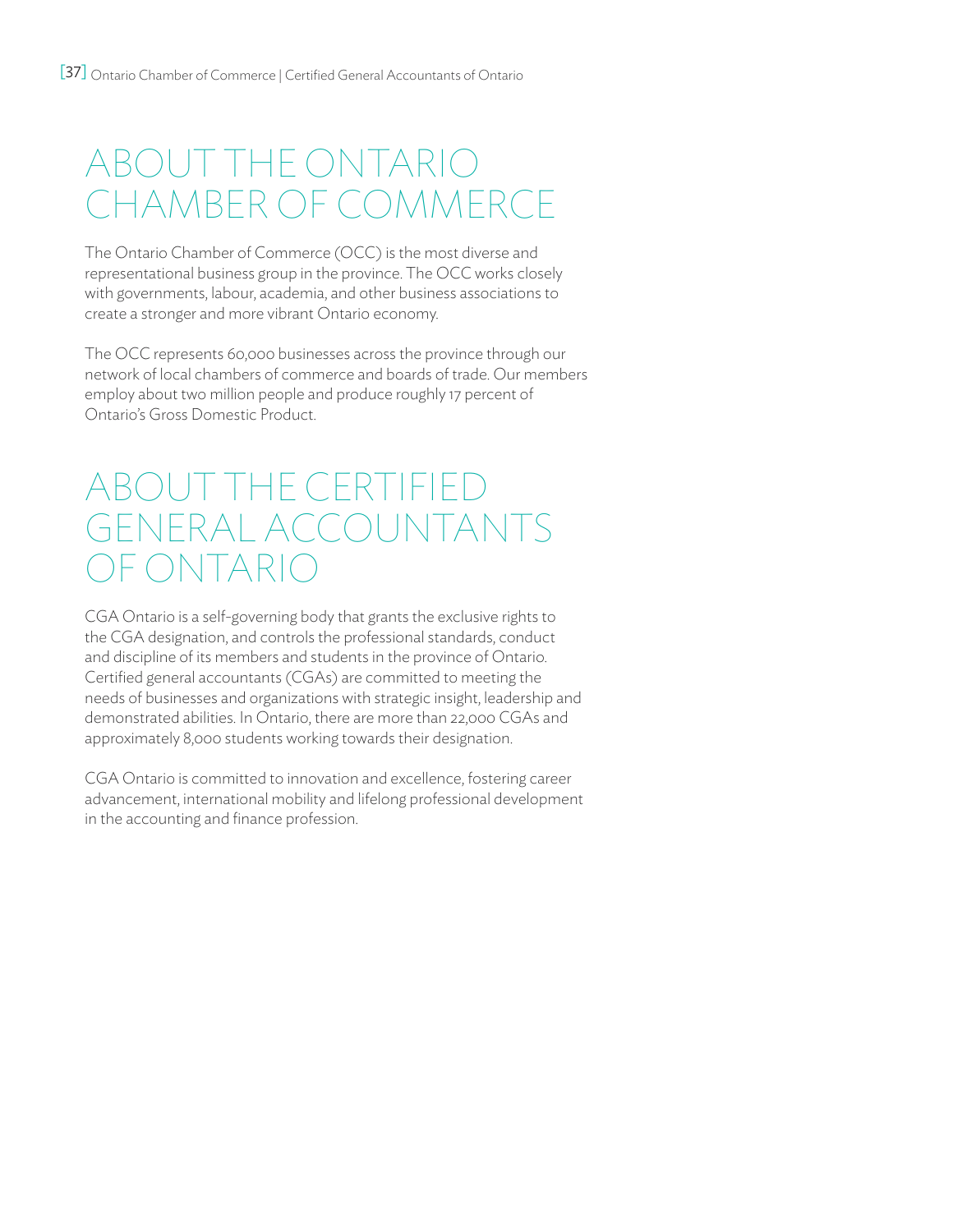# About the Ontario Chamber of Commerce

The Ontario Chamber of Commerce (OCC) is the most diverse and representational business group in the province. The OCC works closely with governments, labour, academia, and other business associations to create a stronger and more vibrant Ontario economy.

The OCC represents 60,000 businesses across the province through our network of local chambers of commerce and boards of trade. Our members employ about two million people and produce roughly 17 percent of Ontario's Gross Domestic Product.

# About THE Certified General Accountants )F ONTARI

CGA Ontario is a self-governing body that grants the exclusive rights to the CGA designation, and controls the professional standards, conduct and discipline of its members and students in the province of Ontario. Certified general accountants (CGAs) are committed to meeting the needs of businesses and organizations with strategic insight, leadership and demonstrated abilities. In Ontario, there are more than 22,000 CGAs and approximately 8,000 students working towards their designation.

CGA Ontario is committed to innovation and excellence, fostering career advancement, international mobility and lifelong professional development in the accounting and finance profession.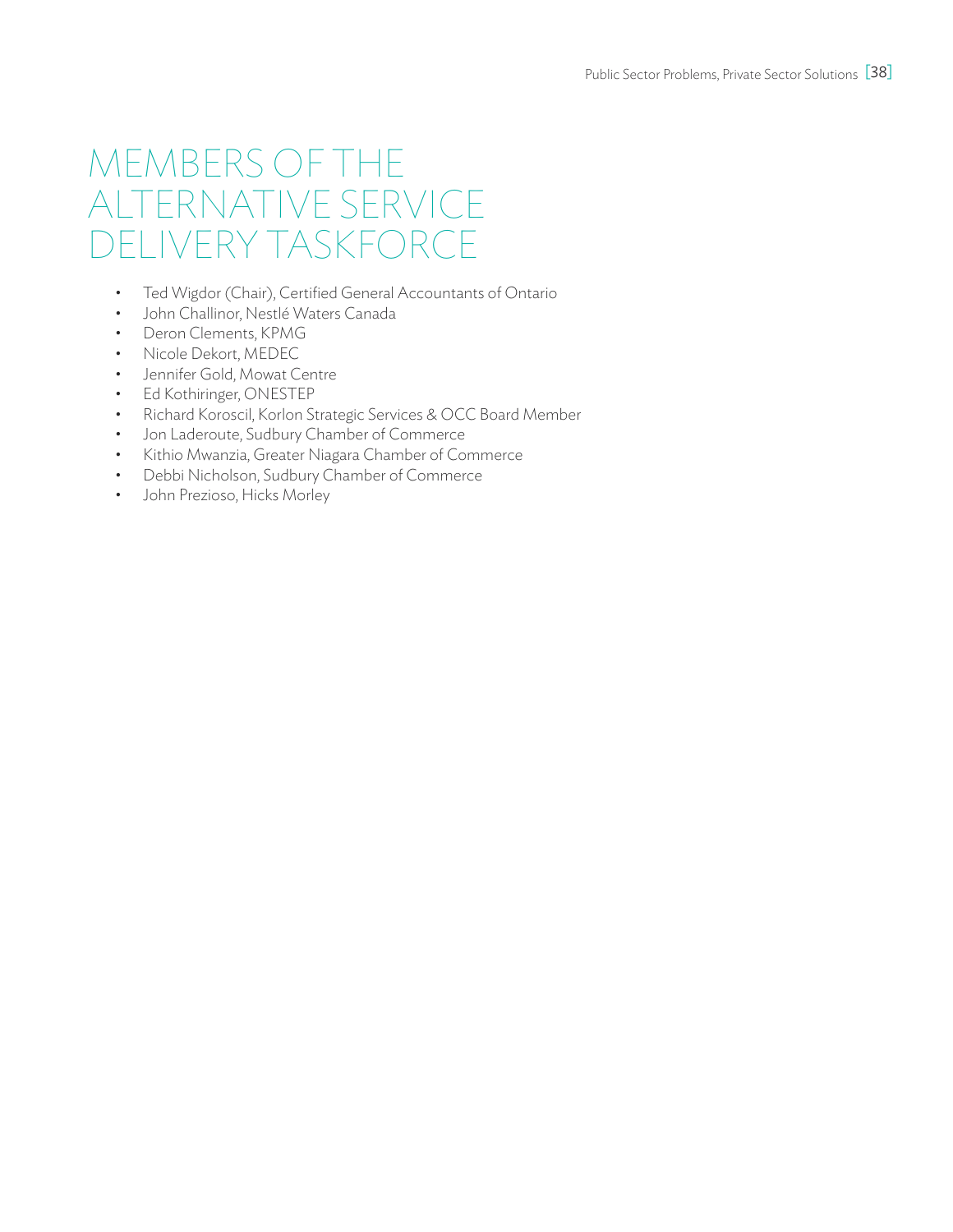# Members of the Alternative Service Delivery Taskforce

- • Ted Wigdor (Chair), Certified General Accountants of Ontario
- • John Challinor, Nestlé Waters Canada
- • Deron Clements, KPMG
- • Nicole Dekort, MEDEC
- • Jennifer Gold, Mowat Centre
- • Ed Kothiringer, ONESTEP
- • Richard Koroscil, Korlon Strategic Services & OCC Board Member
- • Jon Laderoute, Sudbury Chamber of Commerce
- • Kithio Mwanzia, Greater Niagara Chamber of Commerce
- • Debbi Nicholson, Sudbury Chamber of Commerce
- John Prezioso, Hicks Morley